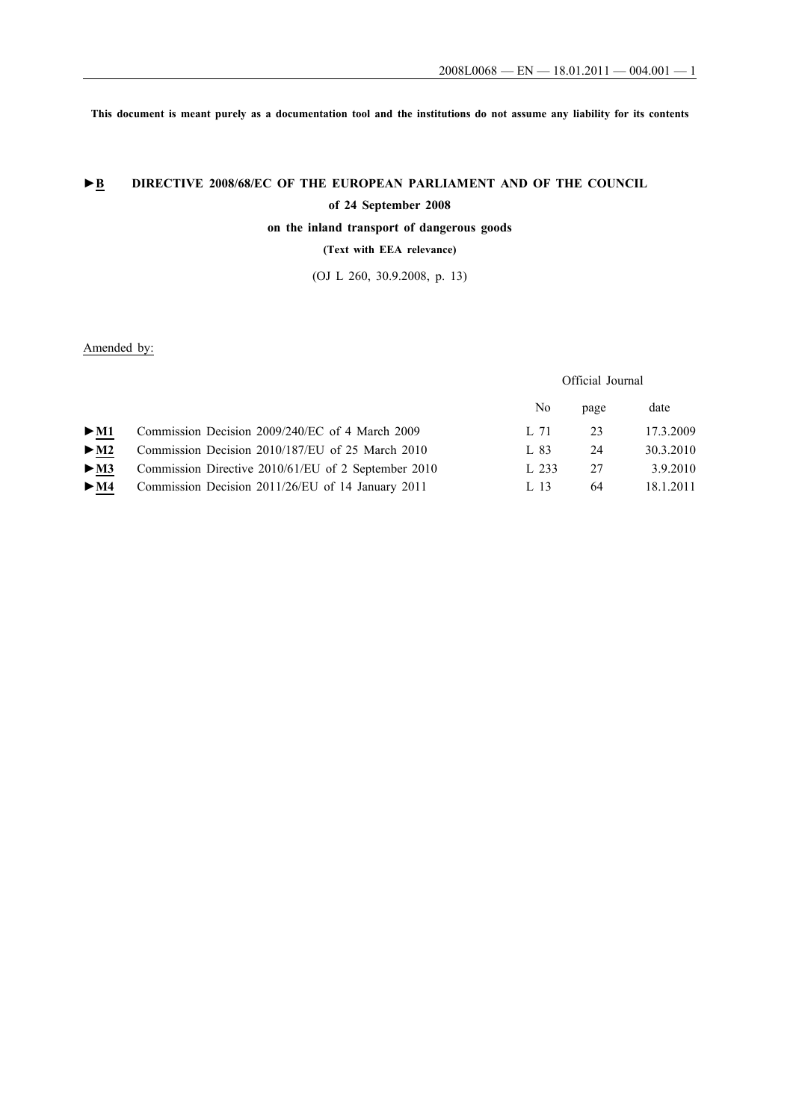**This document is meant purely as a documentation tool and the institutions do not assume any liability for its contents**

# **►B DIRECTIVE 2008/68/EC OF THE EUROPEAN PARLIAMENT AND OF THE COUNCIL**

**of 24 September 2008**

# **on the inland transport of dangerous goods**

### **(Text with EEA relevance)**

(OJ L 260, 30.9.2008, p. 13)

# Amended by:

|        |                                                     | Official Journal |      |           |
|--------|-----------------------------------------------------|------------------|------|-----------|
|        |                                                     | No               | page | date      |
| $>$ M1 | Commission Decision 2009/240/EC of 4 March 2009     | L 71             | 23   | 17.3.2009 |
| $>$ M2 | Commission Decision 2010/187/EU of 25 March 2010    | L 83             | 24   | 30.3.2010 |
| $>$ M3 | Commission Directive 2010/61/EU of 2 September 2010 | L 233            | 27   | 3.9.2010  |
| > M4   | Commission Decision 2011/26/EU of 14 January 2011   | L 13             | 64   | 18.1.2011 |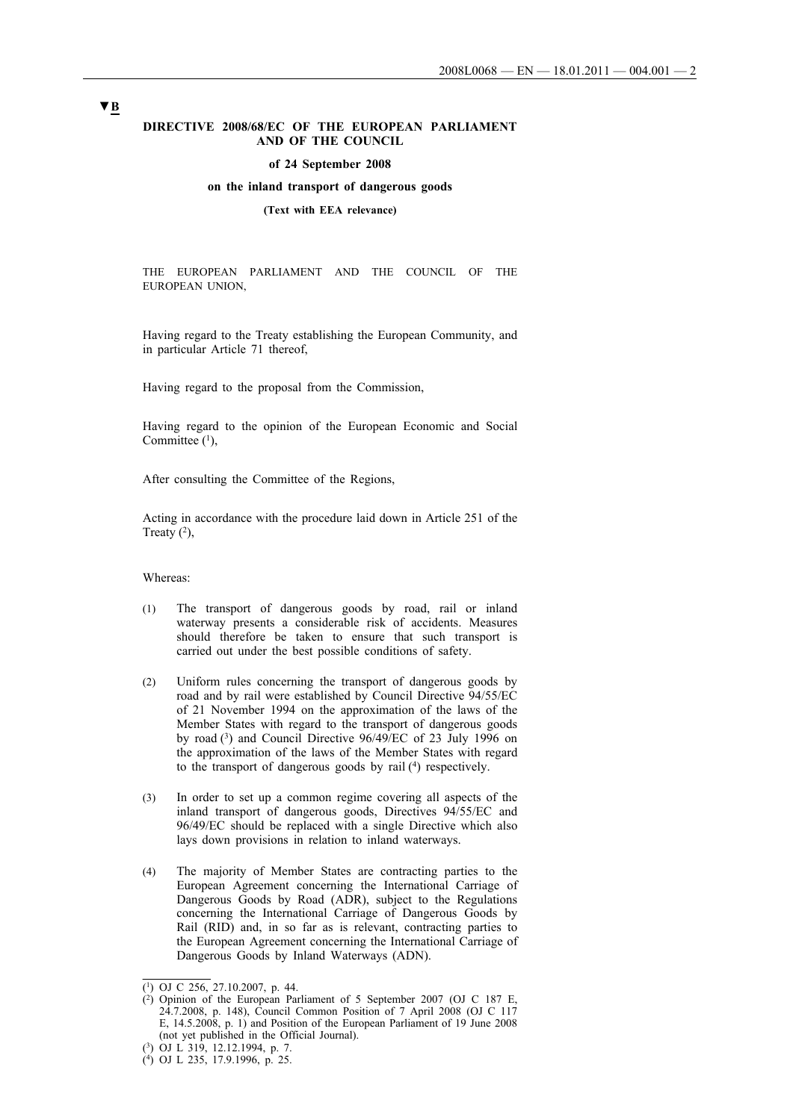### **DIRECTIVE 2008/68/EC OF THE EUROPEAN PARLIAMENT AND OF THE COUNCIL**

#### **of 24 September 2008**

### **on the inland transport of dangerous goods**

**(Text with EEA relevance)**

THE EUROPEAN PARLIAMENT AND THE COUNCIL OF THE EUROPEAN UNION,

Having regard to the Treaty establishing the European Community, and in particular Article 71 thereof,

Having regard to the proposal from the Commission,

Having regard to the opinion of the European Economic and Social Committee  $(1)$ ,

After consulting the Committee of the Regions,

Acting in accordance with the procedure laid down in Article 251 of the Treaty  $(2)$ ,

Whereas:

- (1) The transport of dangerous goods by road, rail or inland waterway presents a considerable risk of accidents. Measures should therefore be taken to ensure that such transport is carried out under the best possible conditions of safety.
- (2) Uniform rules concerning the transport of dangerous goods by road and by rail were established by Council Directive 94/55/EC of 21 November 1994 on the approximation of the laws of the Member States with regard to the transport of dangerous goods by road (3) and Council Directive 96/49/EC of 23 July 1996 on the approximation of the laws of the Member States with regard to the transport of dangerous goods by rail (4) respectively.
- (3) In order to set up a common regime covering all aspects of the inland transport of dangerous goods, Directives 94/55/EC and 96/49/EC should be replaced with a single Directive which also lays down provisions in relation to inland waterways.
- (4) The majority of Member States are contracting parties to the European Agreement concerning the International Carriage of Dangerous Goods by Road (ADR), subject to the Regulations concerning the International Carriage of Dangerous Goods by Rail (RID) and, in so far as is relevant, contracting parties to the European Agreement concerning the International Carriage of Dangerous Goods by Inland Waterways (ADN).

<sup>(1)</sup> OJ C 256, 27.10.2007, p. 44.

 $(2)$  Opinion of the European Parliament of 5 September 2007 (OJ C 187 E, 24.7.2008, p. 148), Council Common Position of 7 April 2008 (OJ C 117 E, 14.5.2008, p. 1) and Position of the European Parliament of 19 June 2008 (not yet published in the Official Journal).

<sup>(3)</sup> OJ L 319, 12.12.1994, p. 7.

<sup>(4)</sup> OJ L 235, 17.9.1996, p. 25.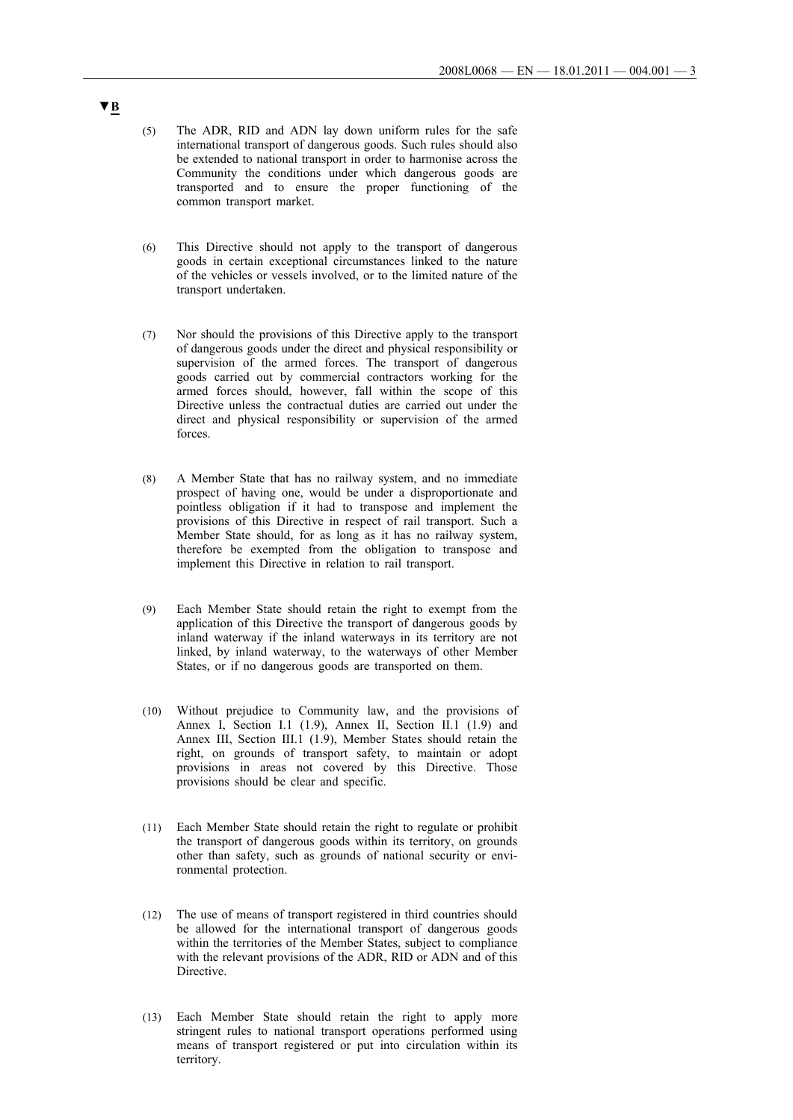- (5) The ADR, RID and ADN lay down uniform rules for the safe international transport of dangerous goods. Such rules should also be extended to national transport in order to harmonise across the Community the conditions under which dangerous goods are transported and to ensure the proper functioning of the common transport market.
- (6) This Directive should not apply to the transport of dangerous goods in certain exceptional circumstances linked to the nature of the vehicles or vessels involved, or to the limited nature of the transport undertaken.
- (7) Nor should the provisions of this Directive apply to the transport of dangerous goods under the direct and physical responsibility or supervision of the armed forces. The transport of dangerous goods carried out by commercial contractors working for the armed forces should, however, fall within the scope of this Directive unless the contractual duties are carried out under the direct and physical responsibility or supervision of the armed forces.
- (8) A Member State that has no railway system, and no immediate prospect of having one, would be under a disproportionate and pointless obligation if it had to transpose and implement the provisions of this Directive in respect of rail transport. Such a Member State should, for as long as it has no railway system, therefore be exempted from the obligation to transpose and implement this Directive in relation to rail transport.
- (9) Each Member State should retain the right to exempt from the application of this Directive the transport of dangerous goods by inland waterway if the inland waterways in its territory are not linked, by inland waterway, to the waterways of other Member States, or if no dangerous goods are transported on them.
- (10) Without prejudice to Community law, and the provisions of Annex I, Section I.1 (1.9), Annex II, Section II.1 (1.9) and Annex III, Section III.1 (1.9), Member States should retain the right, on grounds of transport safety, to maintain or adopt provisions in areas not covered by this Directive. Those provisions should be clear and specific.
- (11) Each Member State should retain the right to regulate or prohibit the transport of dangerous goods within its territory, on grounds other than safety, such as grounds of national security or environmental protection.
- (12) The use of means of transport registered in third countries should be allowed for the international transport of dangerous goods within the territories of the Member States, subject to compliance with the relevant provisions of the ADR, RID or ADN and of this **Directive**
- (13) Each Member State should retain the right to apply more stringent rules to national transport operations performed using means of transport registered or put into circulation within its territory.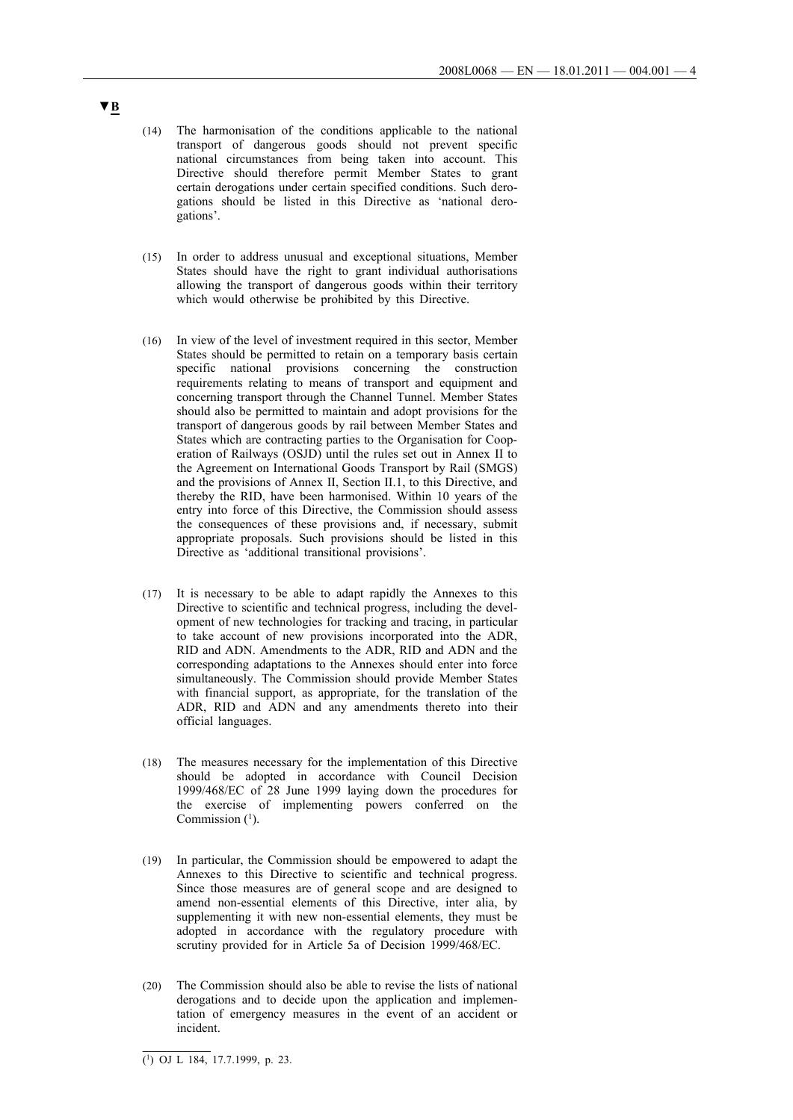- (14) The harmonisation of the conditions applicable to the national transport of dangerous goods should not prevent specific national circumstances from being taken into account. This Directive should therefore permit Member States to grant certain derogations under certain specified conditions. Such derogations should be listed in this Directive as 'national derogations'.
- (15) In order to address unusual and exceptional situations, Member States should have the right to grant individual authorisations allowing the transport of dangerous goods within their territory which would otherwise be prohibited by this Directive.
- (16) In view of the level of investment required in this sector, Member States should be permitted to retain on a temporary basis certain specific national provisions concerning the construction requirements relating to means of transport and equipment and concerning transport through the Channel Tunnel. Member States should also be permitted to maintain and adopt provisions for the transport of dangerous goods by rail between Member States and States which are contracting parties to the Organisation for Cooperation of Railways (OSJD) until the rules set out in Annex II to the Agreement on International Goods Transport by Rail (SMGS) and the provisions of Annex II, Section II.1, to this Directive, and thereby the RID, have been harmonised. Within 10 years of the entry into force of this Directive, the Commission should assess the consequences of these provisions and, if necessary, submit appropriate proposals. Such provisions should be listed in this Directive as 'additional transitional provisions'.
- (17) It is necessary to be able to adapt rapidly the Annexes to this Directive to scientific and technical progress, including the development of new technologies for tracking and tracing, in particular to take account of new provisions incorporated into the ADR, RID and ADN. Amendments to the ADR, RID and ADN and the corresponding adaptations to the Annexes should enter into force simultaneously. The Commission should provide Member States with financial support, as appropriate, for the translation of the ADR, RID and ADN and any amendments thereto into their official languages.
- (18) The measures necessary for the implementation of this Directive should be adopted in accordance with Council Decision 1999/468/EC of 28 June 1999 laying down the procedures for the exercise of implementing powers conferred on the Commission  $(1)$ .
- (19) In particular, the Commission should be empowered to adapt the Annexes to this Directive to scientific and technical progress. Since those measures are of general scope and are designed to amend non-essential elements of this Directive, inter alia, by supplementing it with new non-essential elements, they must be adopted in accordance with the regulatory procedure with scrutiny provided for in Article 5a of Decision 1999/468/EC.
- (20) The Commission should also be able to revise the lists of national derogations and to decide upon the application and implementation of emergency measures in the event of an accident or incident.

 $\overline{(^1)}$  OJ L 184, 17.7.1999, p. 23.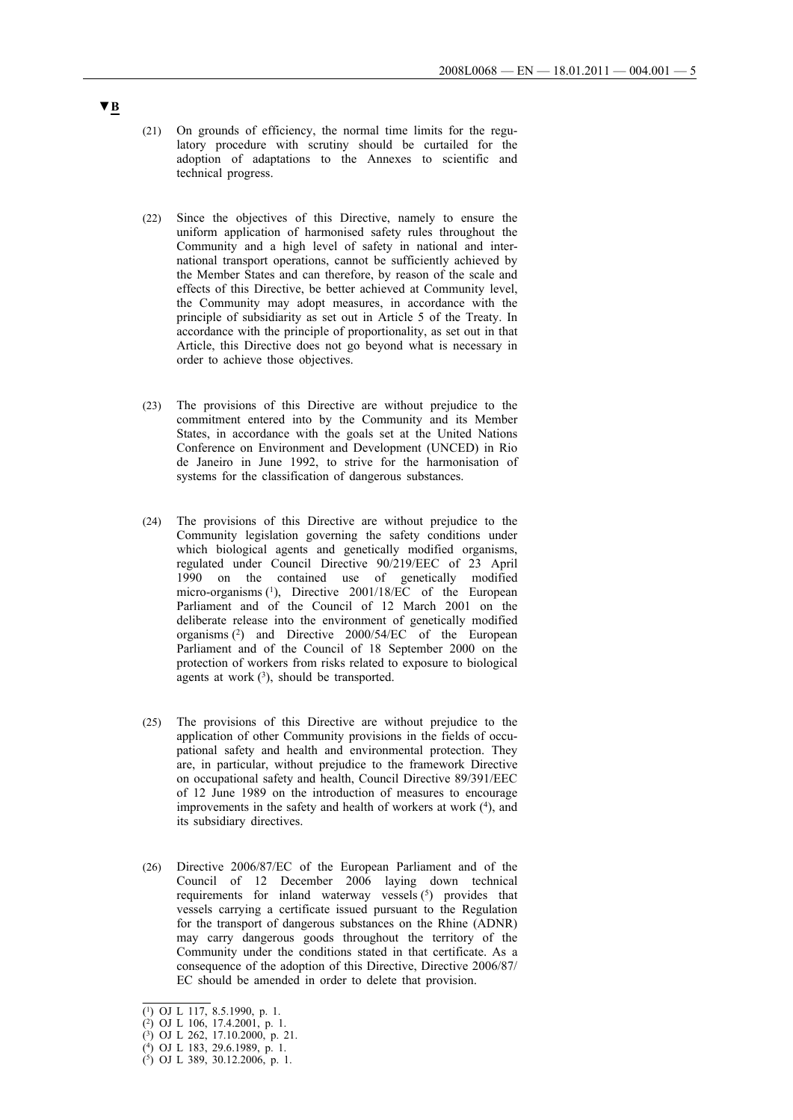- (21) On grounds of efficiency, the normal time limits for the regulatory procedure with scrutiny should be curtailed for the adoption of adaptations to the Annexes to scientific and technical progress.
- (22) Since the objectives of this Directive, namely to ensure the uniform application of harmonised safety rules throughout the Community and a high level of safety in national and international transport operations, cannot be sufficiently achieved by the Member States and can therefore, by reason of the scale and effects of this Directive, be better achieved at Community level, the Community may adopt measures, in accordance with the principle of subsidiarity as set out in Article 5 of the Treaty. In accordance with the principle of proportionality, as set out in that Article, this Directive does not go beyond what is necessary in order to achieve those objectives.
- (23) The provisions of this Directive are without prejudice to the commitment entered into by the Community and its Member States, in accordance with the goals set at the United Nations Conference on Environment and Development (UNCED) in Rio de Janeiro in June 1992, to strive for the harmonisation of systems for the classification of dangerous substances.
- (24) The provisions of this Directive are without prejudice to the Community legislation governing the safety conditions under which biological agents and genetically modified organisms, regulated under Council Directive 90/219/EEC of 23 April 1990 on the contained use of genetically modified micro-organisms (1), Directive 2001/18/EC of the European Parliament and of the Council of 12 March 2001 on the deliberate release into the environment of genetically modified organisms (2) and Directive 2000/54/EC of the European Parliament and of the Council of 18 September 2000 on the protection of workers from risks related to exposure to biological agents at work  $(3)$ , should be transported.
- (25) The provisions of this Directive are without prejudice to the application of other Community provisions in the fields of occupational safety and health and environmental protection. They are, in particular, without prejudice to the framework Directive on occupational safety and health, Council Directive 89/391/EEC of 12 June 1989 on the introduction of measures to encourage improvements in the safety and health of workers at work  $(4)$ , and its subsidiary directives.
- (26) Directive 2006/87/EC of the European Parliament and of the Council of 12 December 2006 laying down technical requirements for inland waterway vessels (5) provides that vessels carrying a certificate issued pursuant to the Regulation for the transport of dangerous substances on the Rhine (ADNR) may carry dangerous goods throughout the territory of the Community under the conditions stated in that certificate. As a consequence of the adoption of this Directive, Directive 2006/87/ EC should be amended in order to delete that provision.

<sup>(1)</sup> OJ L 117, 8.5.1990, p. 1.

<sup>(2)</sup> OJ L 106, 17.4.2001, p. 1.

<sup>(3)</sup> OJ L 262, 17.10.2000, p. 21.

<sup>(4)</sup> OJ L 183, 29.6.1989, p. 1.

 $(5)$  OJ L 389, 30, 12, 2006, p. 1.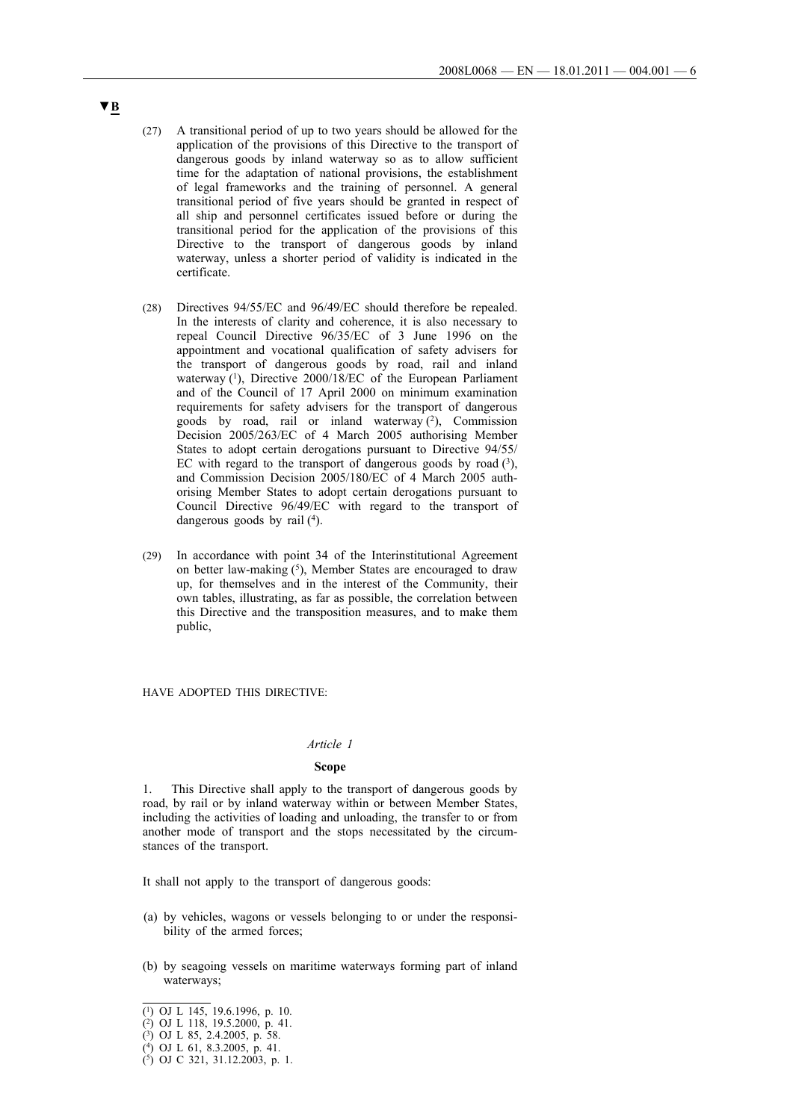- (27) A transitional period of up to two years should be allowed for the application of the provisions of this Directive to the transport of dangerous goods by inland waterway so as to allow sufficient time for the adaptation of national provisions, the establishment of legal frameworks and the training of personnel. A general transitional period of five years should be granted in respect of all ship and personnel certificates issued before or during the transitional period for the application of the provisions of this Directive to the transport of dangerous goods by inland waterway, unless a shorter period of validity is indicated in the certificate.
- (28) Directives 94/55/EC and 96/49/EC should therefore be repealed. In the interests of clarity and coherence, it is also necessary to repeal Council Directive 96/35/EC of 3 June 1996 on the appointment and vocational qualification of safety advisers for the transport of dangerous goods by road, rail and inland waterway (1), Directive 2000/18/EC of the European Parliament and of the Council of 17 April 2000 on minimum examination requirements for safety advisers for the transport of dangerous goods by road, rail or inland waterway  $(2)$ , Commission Decision 2005/263/EC of 4 March 2005 authorising Member States to adopt certain derogations pursuant to Directive 94/55/ EC with regard to the transport of dangerous goods by road  $(3)$ , and Commission Decision 2005/180/EC of 4 March 2005 authorising Member States to adopt certain derogations pursuant to Council Directive 96/49/EC with regard to the transport of dangerous goods by rail (4).
- (29) In accordance with point 34 of the Interinstitutional Agreement on better law-making (5), Member States are encouraged to draw up, for themselves and in the interest of the Community, their own tables, illustrating, as far as possible, the correlation between this Directive and the transposition measures, and to make them public,

## HAVE ADOPTED THIS DIRECTIVE:

### *Article 1*

### **Scope**

1. This Directive shall apply to the transport of dangerous goods by road, by rail or by inland waterway within or between Member States, including the activities of loading and unloading, the transfer to or from another mode of transport and the stops necessitated by the circumstances of the transport.

It shall not apply to the transport of dangerous goods:

- (a) by vehicles, wagons or vessels belonging to or under the responsibility of the armed forces;
- (b) by seagoing vessels on maritime waterways forming part of inland waterways;

<sup>(1)</sup> OJ L 145, 19.6.1996, p. 10.

<sup>(2)</sup> OJ L 118, 19.5.2000, p. 41.

<sup>(3)</sup> OJ L 85, 2.4.2005, p. 58.

<sup>(4)</sup> OJ L 61, 8.3.2005, p. 41.

<sup>(5)</sup> OJ C 321, 31.12.2003, p. 1.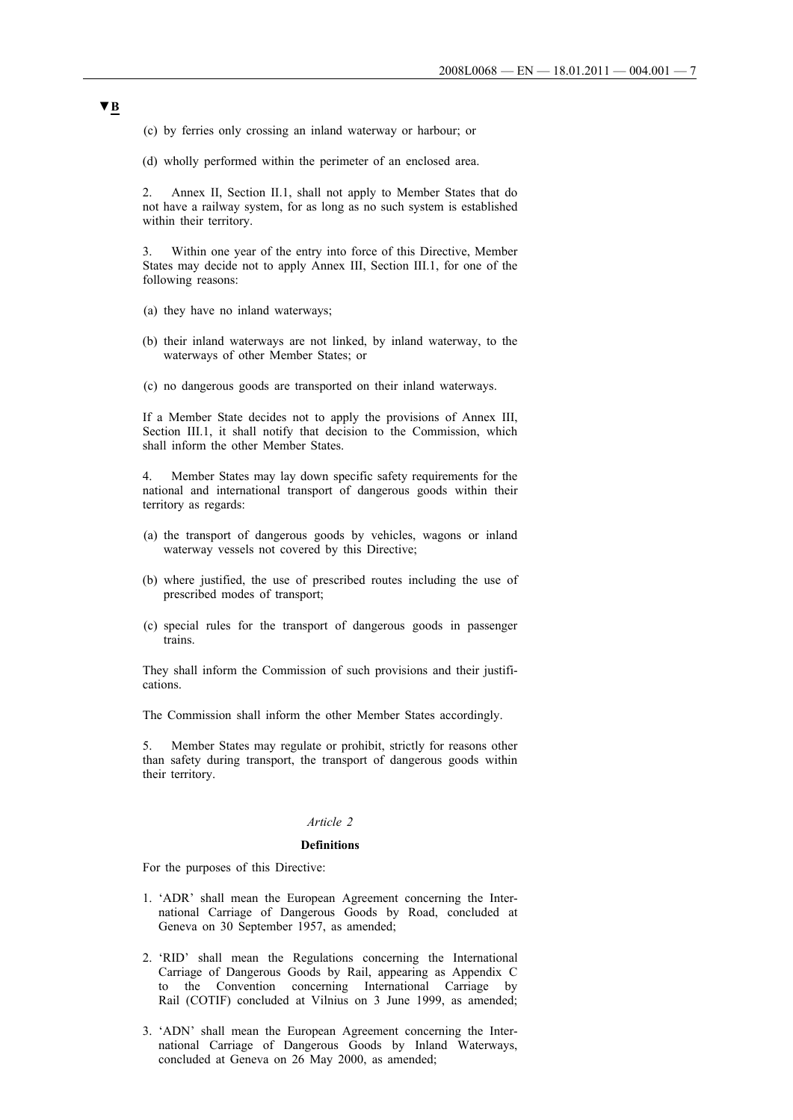(c) by ferries only crossing an inland waterway or harbour; or

(d) wholly performed within the perimeter of an enclosed area.

2. Annex II, Section II.1, shall not apply to Member States that do not have a railway system, for as long as no such system is established within their territory.

3. Within one year of the entry into force of this Directive, Member States may decide not to apply Annex III, Section III.1, for one of the following reasons:

- (a) they have no inland waterways;
- (b) their inland waterways are not linked, by inland waterway, to the waterways of other Member States; or
- (c) no dangerous goods are transported on their inland waterways.

If a Member State decides not to apply the provisions of Annex III, Section III.1, it shall notify that decision to the Commission, which shall inform the other Member States.

4. Member States may lay down specific safety requirements for the national and international transport of dangerous goods within their territory as regards:

- (a) the transport of dangerous goods by vehicles, wagons or inland waterway vessels not covered by this Directive;
- (b) where justified, the use of prescribed routes including the use of prescribed modes of transport;
- (c) special rules for the transport of dangerous goods in passenger trains.

They shall inform the Commission of such provisions and their justifications.

The Commission shall inform the other Member States accordingly.

5. Member States may regulate or prohibit, strictly for reasons other than safety during transport, the transport of dangerous goods within their territory.

# *Article 2*

### **Definitions**

For the purposes of this Directive:

- 1. 'ADR' shall mean the European Agreement concerning the International Carriage of Dangerous Goods by Road, concluded at Geneva on 30 September 1957, as amended;
- 2. 'RID' shall mean the Regulations concerning the International Carriage of Dangerous Goods by Rail, appearing as Appendix C to the Convention concerning International Carriage by Rail (COTIF) concluded at Vilnius on 3 June 1999, as amended;
- 3. 'ADN' shall mean the European Agreement concerning the International Carriage of Dangerous Goods by Inland Waterways, concluded at Geneva on 26 May 2000, as amended;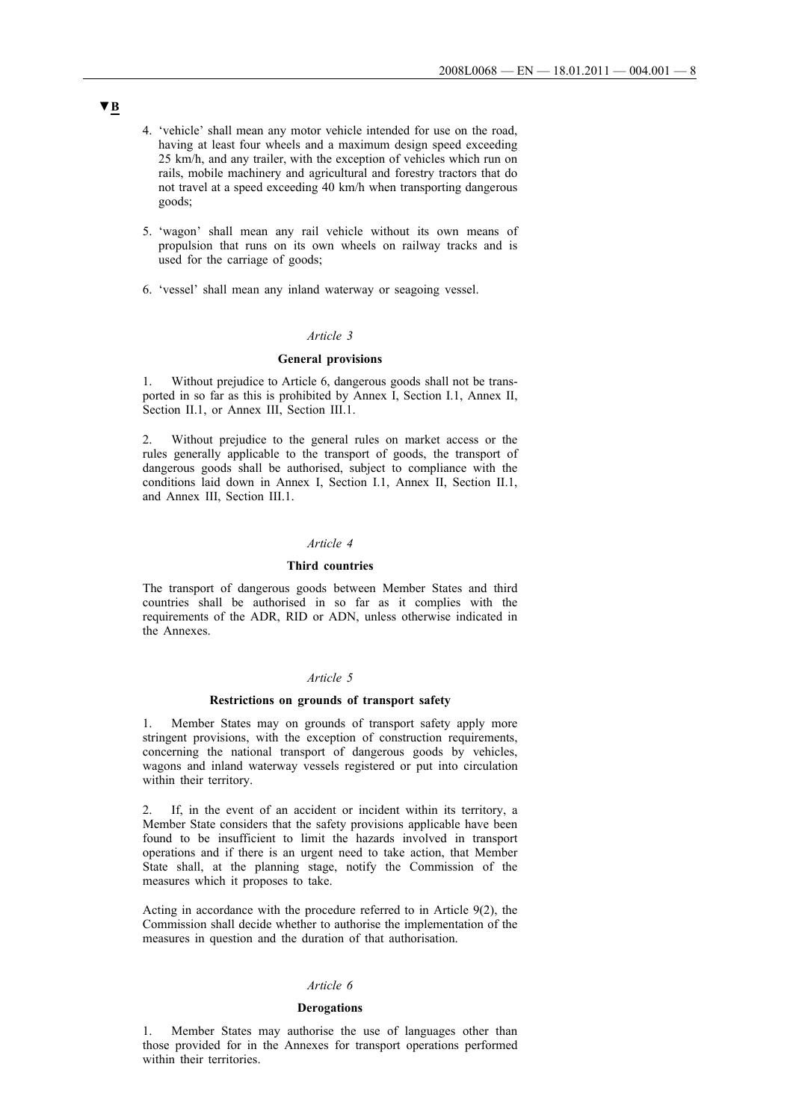- 4. 'vehicle' shall mean any motor vehicle intended for use on the road, having at least four wheels and a maximum design speed exceeding 25 km/h, and any trailer, with the exception of vehicles which run on rails, mobile machinery and agricultural and forestry tractors that do not travel at a speed exceeding 40 km/h when transporting dangerous goods;
- 5. 'wagon' shall mean any rail vehicle without its own means of propulsion that runs on its own wheels on railway tracks and is used for the carriage of goods;
- 6. 'vessel' shall mean any inland waterway or seagoing vessel.

## *Article 3*

# **General provisions**

1. Without prejudice to Article 6, dangerous goods shall not be transported in so far as this is prohibited by Annex I, Section I.1, Annex II, Section II.1, or Annex III, Section III.1.

2. Without prejudice to the general rules on market access or the rules generally applicable to the transport of goods, the transport of dangerous goods shall be authorised, subject to compliance with the conditions laid down in Annex I, Section I.1, Annex II, Section II.1, and Annex III, Section III.1.

### *Article 4*

#### **Third countries**

The transport of dangerous goods between Member States and third countries shall be authorised in so far as it complies with the requirements of the ADR, RID or ADN, unless otherwise indicated in the Annexes.

### *Article 5*

#### **Restrictions on grounds of transport safety**

1. Member States may on grounds of transport safety apply more stringent provisions, with the exception of construction requirements, concerning the national transport of dangerous goods by vehicles, wagons and inland waterway vessels registered or put into circulation within their territory.

If, in the event of an accident or incident within its territory, a Member State considers that the safety provisions applicable have been found to be insufficient to limit the hazards involved in transport operations and if there is an urgent need to take action, that Member State shall, at the planning stage, notify the Commission of the measures which it proposes to take.

Acting in accordance with the procedure referred to in Article 9(2), the Commission shall decide whether to authorise the implementation of the measures in question and the duration of that authorisation.

### *Article 6*

#### **Derogations**

1. Member States may authorise the use of languages other than those provided for in the Annexes for transport operations performed within their territories.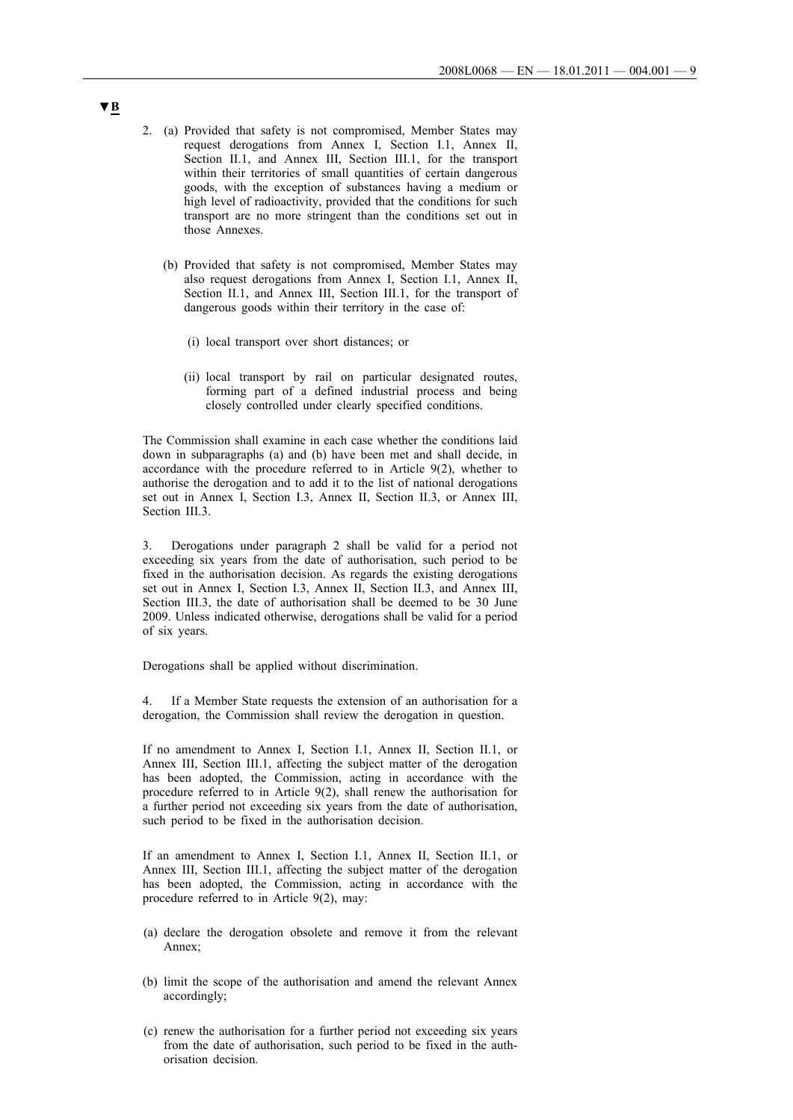- 2. (a) Provided that safety is not compromised, Member States may request derogations from Annex I, Section I.1, Annex II, Section II.1, and Annex III, Section III.1, for the transport within their territories of small quantities of certain dangerous goods, with the exception of substances having a medium or high level of radioactivity, provided that the conditions for such transport are no more stringent than the conditions set out in those Annexes.
	- (b) Provided that safety is not compromised, Member States may also request derogations from Annex I, Section I.1, Annex II, Section II.1, and Annex III, Section III.1, for the transport of dangerous goods within their territory in the case of:
		- (i) local transport over short distances; or
		- (ii) local transport by rail on particular designated routes, forming part of a defined industrial process and being closely controlled under clearly specified conditions.

The Commission shall examine in each case whether the conditions laid down in subparagraphs (a) and (b) have been met and shall decide, in accordance with the procedure referred to in Article 9(2), whether to authorise the derogation and to add it to the list of national derogations set out in Annex I, Section I.3, Annex II, Section II.3, or Annex III, Section III.3.

3. Derogations under paragraph 2 shall be valid for a period not exceeding six years from the date of authorisation, such period to be fixed in the authorisation decision. As regards the existing derogations set out in Annex I, Section I.3, Annex II, Section II.3, and Annex III, Section III.3, the date of authorisation shall be deemed to be 30 June 2009. Unless indicated otherwise, derogations shall be valid for a period of six years.

Derogations shall be applied without discrimination.

If a Member State requests the extension of an authorisation for a derogation, the Commission shall review the derogation in question.

If no amendment to Annex I, Section I.1, Annex II, Section II.1, or Annex III, Section III.1, affecting the subject matter of the derogation has been adopted, the Commission, acting in accordance with the procedure referred to in Article 9(2), shall renew the authorisation for a further period not exceeding six years from the date of authorisation, such period to be fixed in the authorisation decision.

If an amendment to Annex I, Section I.1, Annex II, Section II.1, or Annex III, Section III.1, affecting the subject matter of the derogation has been adopted, the Commission, acting in accordance with the procedure referred to in Article 9(2), may:

- (a) declare the derogation obsolete and remove it from the relevant Annex;
- (b) limit the scope of the authorisation and amend the relevant Annex accordingly;
- (c) renew the authorisation for a further period not exceeding six years from the date of authorisation, such period to be fixed in the authorisation decision.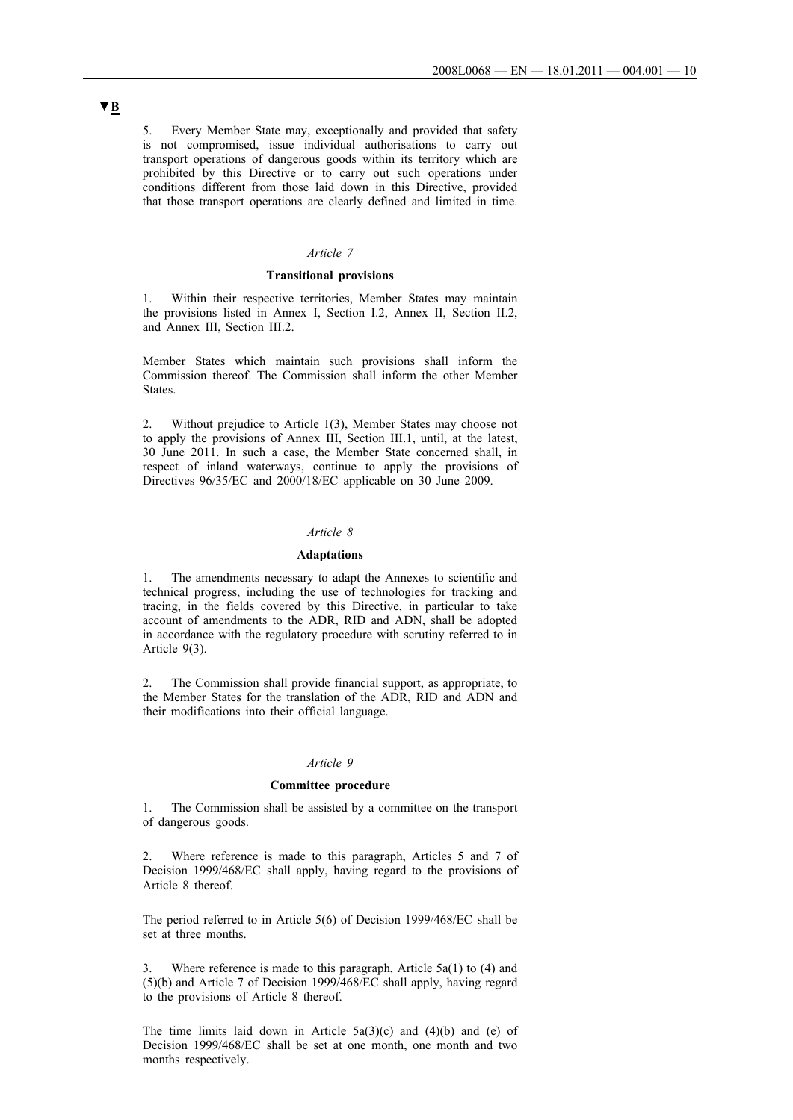5. Every Member State may, exceptionally and provided that safety is not compromised, issue individual authorisations to carry out transport operations of dangerous goods within its territory which are prohibited by this Directive or to carry out such operations under conditions different from those laid down in this Directive, provided that those transport operations are clearly defined and limited in time.

### *Article 7*

### **Transitional provisions**

Within their respective territories, Member States may maintain the provisions listed in Annex I, Section I.2, Annex II, Section II.2, and Annex III, Section III.2.

Member States which maintain such provisions shall inform the Commission thereof. The Commission shall inform the other Member States.

2. Without prejudice to Article 1(3), Member States may choose not to apply the provisions of Annex III, Section III.1, until, at the latest, 30 June 2011. In such a case, the Member State concerned shall, in respect of inland waterways, continue to apply the provisions of Directives 96/35/EC and 2000/18/EC applicable on 30 June 2009.

#### *Article 8*

#### **Adaptations**

1. The amendments necessary to adapt the Annexes to scientific and technical progress, including the use of technologies for tracking and tracing, in the fields covered by this Directive, in particular to take account of amendments to the ADR, RID and ADN, shall be adopted in accordance with the regulatory procedure with scrutiny referred to in Article 9(3).

2. The Commission shall provide financial support, as appropriate, to the Member States for the translation of the ADR, RID and ADN and their modifications into their official language.

### *Article 9*

#### **Committee procedure**

1. The Commission shall be assisted by a committee on the transport of dangerous goods.

Where reference is made to this paragraph, Articles 5 and 7 of Decision 1999/468/EC shall apply, having regard to the provisions of Article 8 thereof.

The period referred to in Article 5(6) of Decision 1999/468/EC shall be set at three months.

3. Where reference is made to this paragraph, Article 5a(1) to (4) and (5)(b) and Article 7 of Decision 1999/468/EC shall apply, having regard to the provisions of Article 8 thereof.

The time limits laid down in Article  $5a(3)(c)$  and  $(4)(b)$  and  $(e)$  of Decision 1999/468/EC shall be set at one month, one month and two months respectively.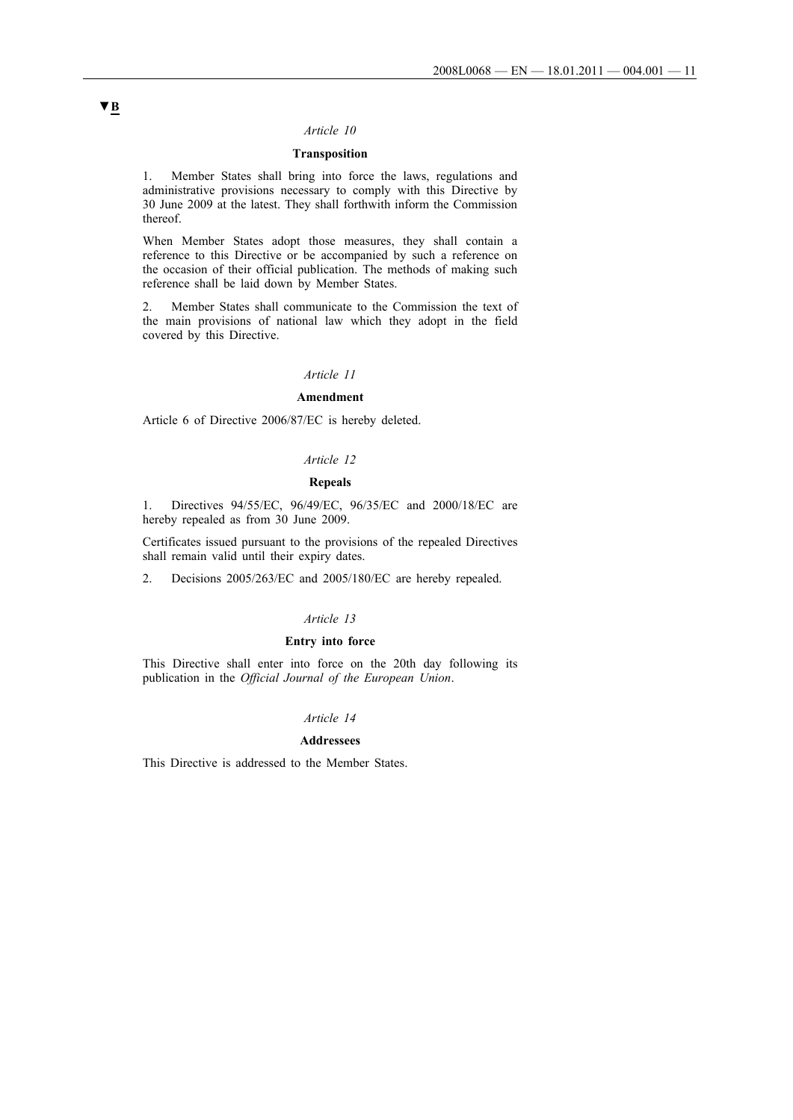## *Article 10*

## **Transposition**

1. Member States shall bring into force the laws, regulations and administrative provisions necessary to comply with this Directive by 30 June 2009 at the latest. They shall forthwith inform the Commission thereof.

When Member States adopt those measures, they shall contain a reference to this Directive or be accompanied by such a reference on the occasion of their official publication. The methods of making such reference shall be laid down by Member States.

2. Member States shall communicate to the Commission the text of the main provisions of national law which they adopt in the field covered by this Directive.

### *Article 11*

### **Amendment**

Article 6 of Directive 2006/87/EC is hereby deleted.

### *Article 12*

### **Repeals**

1. Directives 94/55/EC, 96/49/EC, 96/35/EC and 2000/18/EC are hereby repealed as from 30 June 2009.

Certificates issued pursuant to the provisions of the repealed Directives shall remain valid until their expiry dates.

2. Decisions 2005/263/EC and 2005/180/EC are hereby repealed.

## *Article 13*

### **Entry into force**

This Directive shall enter into force on the 20th day following its publication in the *Official Journal of the European Union*.

### *Article 14*

### **Addressees**

This Directive is addressed to the Member States.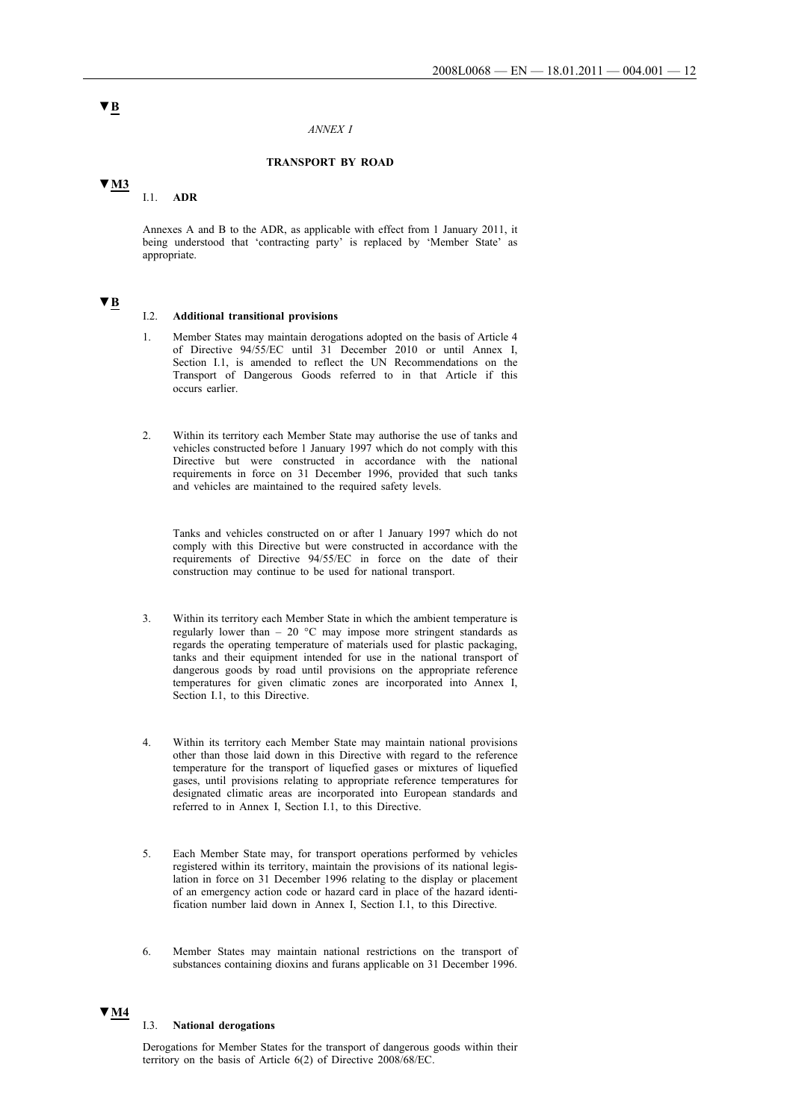#### *ANNEX I*

### **TRANSPORT BY ROAD**

I.1. **ADR**

Annexes A and B to the ADR, as applicable with effect from 1 January 2011, it being understood that 'contracting party' is replaced by 'Member State' as appropriate.

## **▼B**

#### I.2. **Additional transitional provisions**

- 1. Member States may maintain derogations adopted on the basis of Article 4 of Directive 94/55/EC until 31 December 2010 or until Annex I, Section I.1, is amended to reflect the UN Recommendations on the Transport of Dangerous Goods referred to in that Article if this occurs earlier.
- 2. Within its territory each Member State may authorise the use of tanks and vehicles constructed before 1 January 1997 which do not comply with this Directive but were constructed in accordance with the national requirements in force on 31 December 1996, provided that such tanks and vehicles are maintained to the required safety levels.

Tanks and vehicles constructed on or after 1 January 1997 which do not comply with this Directive but were constructed in accordance with the requirements of Directive 94/55/EC in force on the date of their construction may continue to be used for national transport.

- 3. Within its territory each Member State in which the ambient temperature is regularly lower than – 20 °C may impose more stringent standards as regards the operating temperature of materials used for plastic packaging, tanks and their equipment intended for use in the national transport of dangerous goods by road until provisions on the appropriate reference temperatures for given climatic zones are incorporated into Annex I, Section I.1, to this Directive.
- 4. Within its territory each Member State may maintain national provisions other than those laid down in this Directive with regard to the reference temperature for the transport of liquefied gases or mixtures of liquefied gases, until provisions relating to appropriate reference temperatures for designated climatic areas are incorporated into European standards and referred to in Annex I, Section I.1, to this Directive.
- 5. Each Member State may, for transport operations performed by vehicles registered within its territory, maintain the provisions of its national legislation in force on 31 December 1996 relating to the display or placement of an emergency action code or hazard card in place of the hazard identification number laid down in Annex I, Section I.1, to this Directive.
- 6. Member States may maintain national restrictions on the transport of substances containing dioxins and furans applicable on 31 December 1996.

### **▼M4** I.3. **National derogations**

Derogations for Member States for the transport of dangerous goods within their territory on the basis of Article 6(2) of Directive 2008/68/EC.

# **▼B**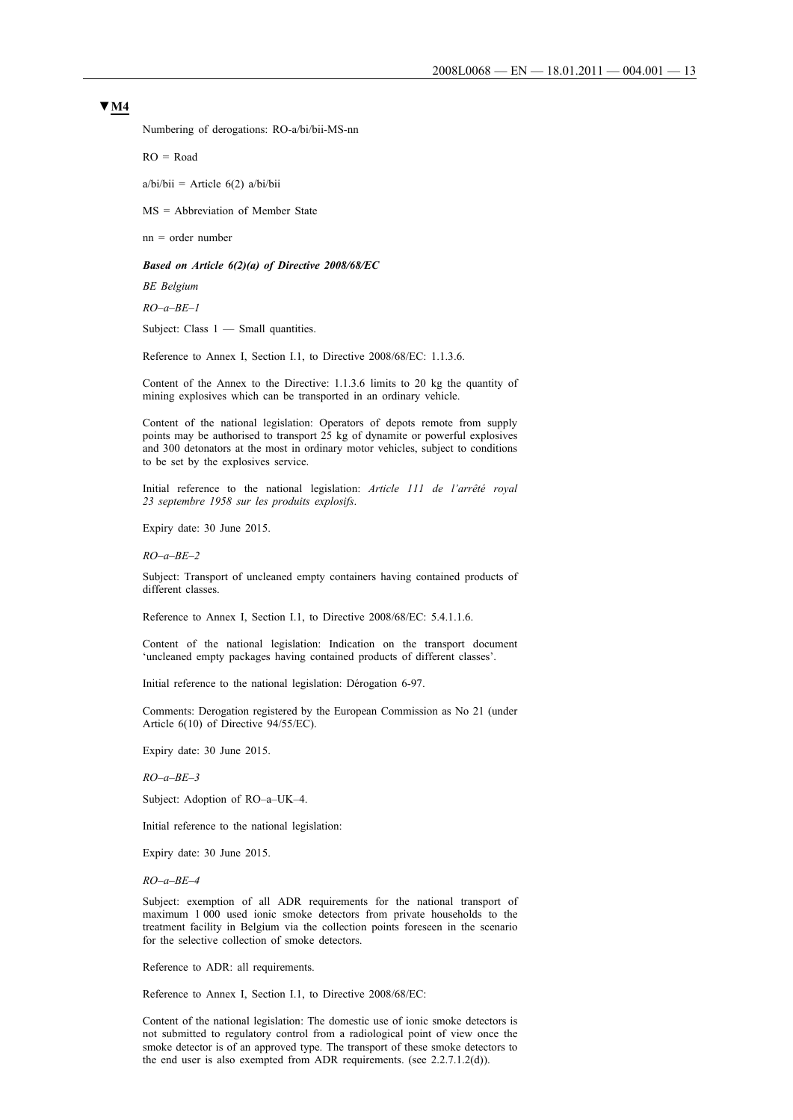Numbering of derogations: RO-a/bi/bii-MS-nn

 $RO = Road$ 

 $a/bi/bii =$  Article 6(2)  $a/bi/bii$ 

MS = Abbreviation of Member State

nn = order number

#### *Based on Article 6(2)(a) of Directive 2008/68/EC*

*BE Belgium*

*RO–a–BE–1*

Subject: Class 1 — Small quantities.

Reference to Annex I, Section I.1, to Directive 2008/68/EC: 1.1.3.6.

Content of the Annex to the Directive: 1.1.3.6 limits to 20 kg the quantity of mining explosives which can be transported in an ordinary vehicle.

Content of the national legislation: Operators of depots remote from supply points may be authorised to transport 25 kg of dynamite or powerful explosives and 300 detonators at the most in ordinary motor vehicles, subject to conditions to be set by the explosives service.

Initial reference to the national legislation: *Article 111 de l'arrêté royal 23 septembre 1958 sur les produits explosifs*.

Expiry date: 30 June 2015.

*RO–a–BE–2*

Subject: Transport of uncleaned empty containers having contained products of different classes.

Reference to Annex I, Section I.1, to Directive 2008/68/EC: 5.4.1.1.6.

Content of the national legislation: Indication on the transport document 'uncleaned empty packages having contained products of different classes'.

Initial reference to the national legislation: Dérogation 6-97.

Comments: Derogation registered by the European Commission as No 21 (under Article 6(10) of Directive 94/55/EC).

Expiry date: 30 June 2015.

*RO–a–BE–3*

Subject: Adoption of RO–a–UK–4.

Initial reference to the national legislation:

Expiry date: 30 June 2015.

*RO–a–BE–4*

Subject: exemption of all ADR requirements for the national transport of maximum 1 000 used ionic smoke detectors from private households to the treatment facility in Belgium via the collection points foreseen in the scenario for the selective collection of smoke detectors.

Reference to ADR: all requirements.

Reference to Annex I, Section I.1, to Directive 2008/68/EC:

Content of the national legislation: The domestic use of ionic smoke detectors is not submitted to regulatory control from a radiological point of view once the smoke detector is of an approved type. The transport of these smoke detectors to the end user is also exempted from ADR requirements. (see 2.2.7.1.2(d)).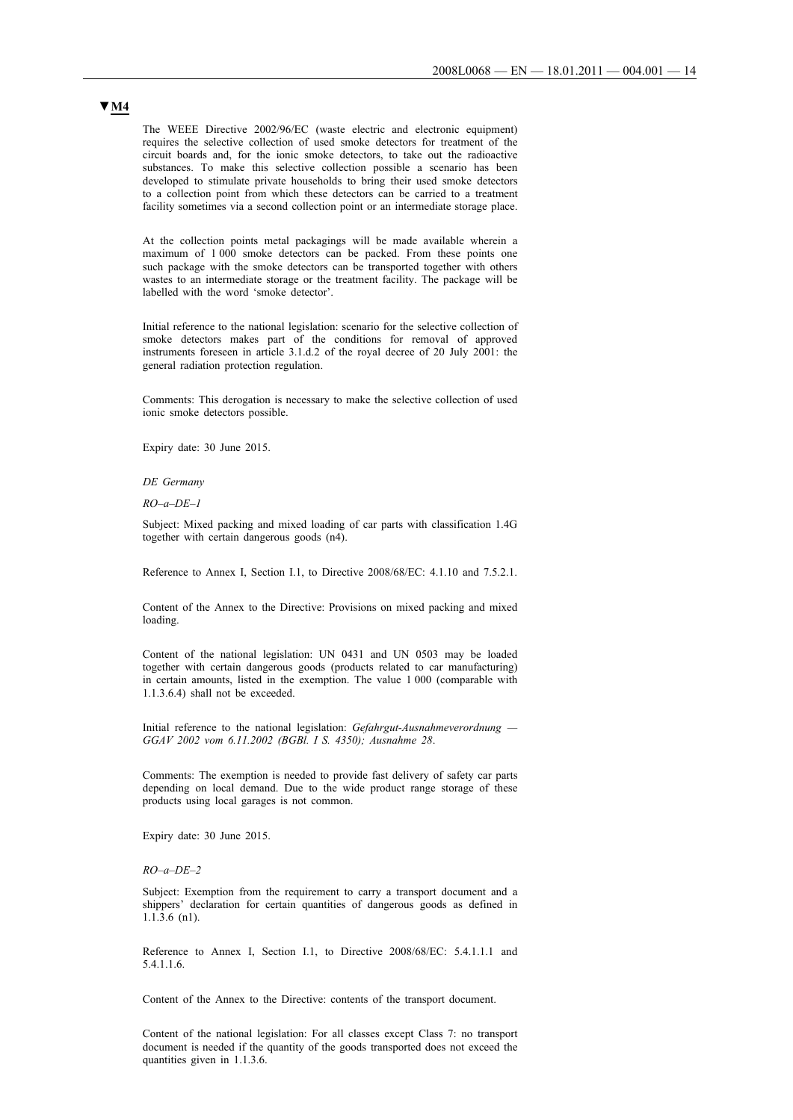The WEEE Directive 2002/96/EC (waste electric and electronic equipment) requires the selective collection of used smoke detectors for treatment of the circuit boards and, for the ionic smoke detectors, to take out the radioactive substances. To make this selective collection possible a scenario has been developed to stimulate private households to bring their used smoke detectors to a collection point from which these detectors can be carried to a treatment facility sometimes via a second collection point or an intermediate storage place.

At the collection points metal packagings will be made available wherein a maximum of 1 000 smoke detectors can be packed. From these points one such package with the smoke detectors can be transported together with others wastes to an intermediate storage or the treatment facility. The package will be labelled with the word 'smoke detector'.

Initial reference to the national legislation: scenario for the selective collection of smoke detectors makes part of the conditions for removal of approved instruments foreseen in article 3.1.d.2 of the royal decree of 20 July 2001: the general radiation protection regulation.

Comments: This derogation is necessary to make the selective collection of used ionic smoke detectors possible.

Expiry date: 30 June 2015.

*DE Germany*

*RO–a–DE–1*

Subject: Mixed packing and mixed loading of car parts with classification 1.4G together with certain dangerous goods (n4).

Reference to Annex I, Section I.1, to Directive 2008/68/EC: 4.1.10 and 7.5.2.1.

Content of the Annex to the Directive: Provisions on mixed packing and mixed loading.

Content of the national legislation: UN 0431 and UN 0503 may be loaded together with certain dangerous goods (products related to car manufacturing) in certain amounts, listed in the exemption. The value 1 000 (comparable with 1.1.3.6.4) shall not be exceeded.

Initial reference to the national legislation: *Gefahrgut-Ausnahmeverordnung — GGAV 2002 vom 6.11.2002 (BGBl. I S. 4350); Ausnahme 28*.

Comments: The exemption is needed to provide fast delivery of safety car parts depending on local demand. Due to the wide product range storage of these products using local garages is not common.

Expiry date: 30 June 2015.

*RO–a–DE–2*

Subject: Exemption from the requirement to carry a transport document and a shippers' declaration for certain quantities of dangerous goods as defined in 1.1.3.6 (n1).

Reference to Annex I, Section I.1, to Directive 2008/68/EC: 5.4.1.1.1 and 5.4.1.1.6.

Content of the Annex to the Directive: contents of the transport document.

Content of the national legislation: For all classes except Class 7: no transport document is needed if the quantity of the goods transported does not exceed the quantities given in 1.1.3.6.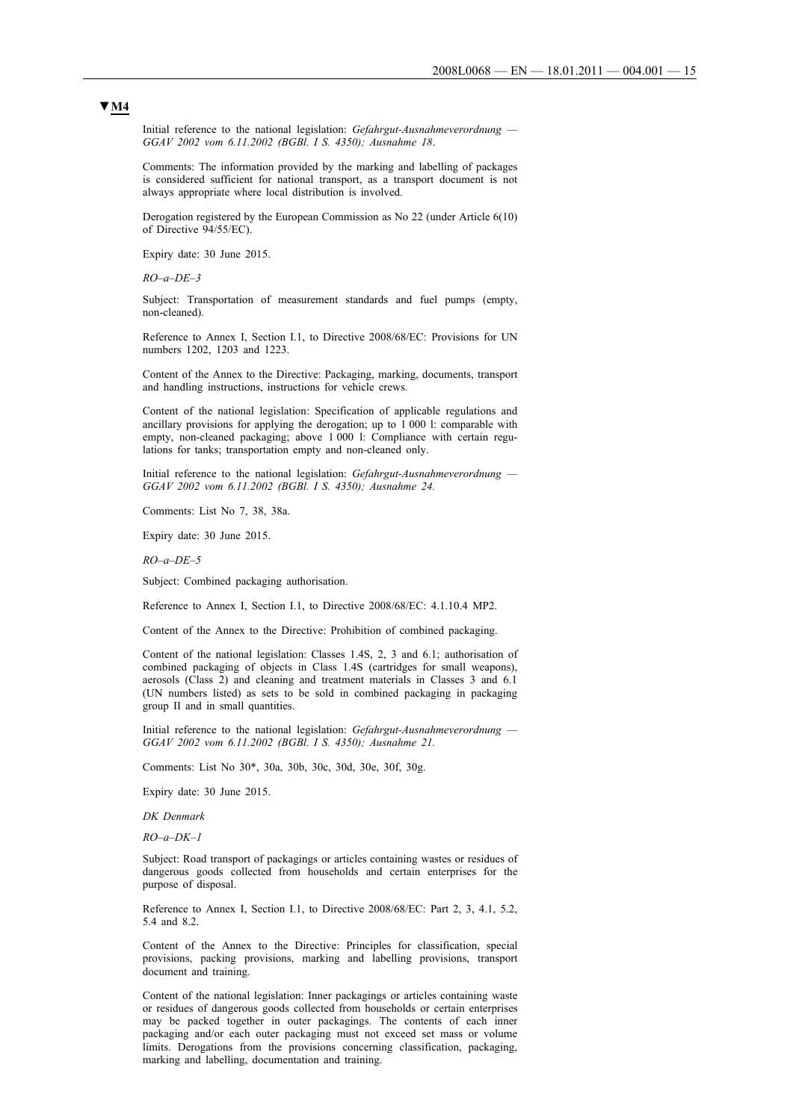Initial reference to the national legislation: *Gefahrgut-Ausnahmeverordnung — GGAV 2002 vom 6.11.2002 (BGBl. I S. 4350); Ausnahme 18*.

Comments: The information provided by the marking and labelling of packages is considered sufficient for national transport, as a transport document is not always appropriate where local distribution is involved.

Derogation registered by the European Commission as No 22 (under Article 6(10) of Directive 94/55/EC).

Expiry date: 30 June 2015.

*RO–a–DE–3*

Subject: Transportation of measurement standards and fuel pumps (empty, non-cleaned).

Reference to Annex I, Section I.1, to Directive 2008/68/EC: Provisions for UN numbers 1202, 1203 and 1223.

Content of the Annex to the Directive: Packaging, marking, documents, transport and handling instructions, instructions for vehicle crews.

Content of the national legislation: Specification of applicable regulations and ancillary provisions for applying the derogation; up to 1 000 l: comparable with empty, non-cleaned packaging; above 1 000 l: Compliance with certain regulations for tanks; transportation empty and non-cleaned only.

Initial reference to the national legislation: *Gefahrgut-Ausnahmeverordnung — GGAV 2002 vom 6.11.2002 (BGBl. I S. 4350); Ausnahme 24.*

Comments: List No 7, 38, 38a.

Expiry date: 30 June 2015.

*RO–a–DE–5*

Subject: Combined packaging authorisation.

Reference to Annex I, Section I.1, to Directive 2008/68/EC: 4.1.10.4 MP2.

Content of the Annex to the Directive: Prohibition of combined packaging.

Content of the national legislation: Classes 1.4S, 2, 3 and 6.1; authorisation of combined packaging of objects in Class 1.4S (cartridges for small weapons), aerosols (Class 2) and cleaning and treatment materials in Classes 3 and 6.1 (UN numbers listed) as sets to be sold in combined packaging in packaging group II and in small quantities.

Initial reference to the national legislation: *Gefahrgut-Ausnahmeverordnung — GGAV 2002 vom 6.11.2002 (BGBl. I S. 4350); Ausnahme 21.*

Comments: List No 30\*, 30a, 30b, 30c, 30d, 30e, 30f, 30g.

Expiry date: 30 June 2015.

*DK Denmark*

*RO–a–DK–1*

Subject: Road transport of packagings or articles containing wastes or residues of dangerous goods collected from households and certain enterprises for the purpose of disposal.

Reference to Annex I, Section I.1, to Directive 2008/68/EC: Part 2, 3, 4.1, 5.2, 5.4 and 8.2.

Content of the Annex to the Directive: Principles for classification, special provisions, packing provisions, marking and labelling provisions, transport document and training.

Content of the national legislation: Inner packagings or articles containing waste or residues of dangerous goods collected from households or certain enterprises may be packed together in outer packagings. The contents of each inner packaging and/or each outer packaging must not exceed set mass or volume limits. Derogations from the provisions concerning classification, packaging, marking and labelling, documentation and training.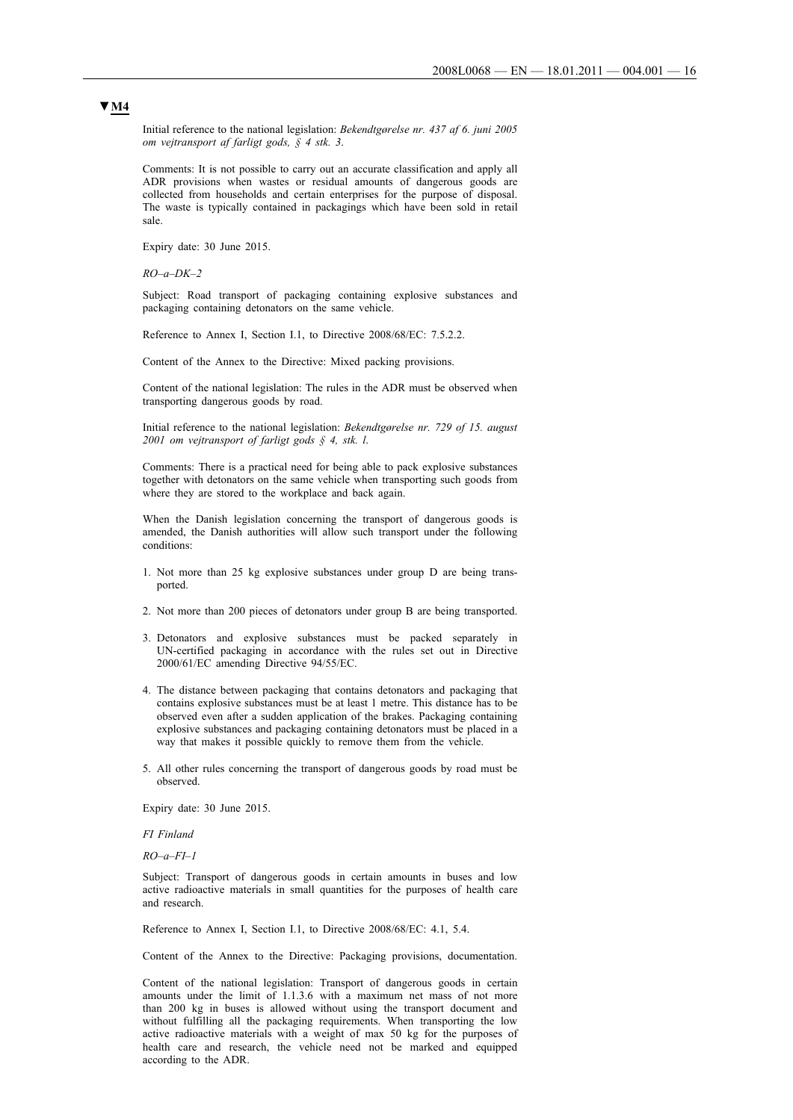Initial reference to the national legislation: *Bekendtgørelse nr. 437 af 6. juni 2005 om vejtransport af farligt gods, § 4 stk. 3*.

Comments: It is not possible to carry out an accurate classification and apply all ADR provisions when wastes or residual amounts of dangerous goods are collected from households and certain enterprises for the purpose of disposal. The waste is typically contained in packagings which have been sold in retail sale.

Expiry date: 30 June 2015.

*RO–a–DK–2*

Subject: Road transport of packaging containing explosive substances and packaging containing detonators on the same vehicle.

Reference to Annex I, Section I.1, to Directive 2008/68/EC: 7.5.2.2.

Content of the Annex to the Directive: Mixed packing provisions.

Content of the national legislation: The rules in the ADR must be observed when transporting dangerous goods by road.

Initial reference to the national legislation: *Bekendtgørelse nr. 729 of 15. august 2001 om vejtransport of farligt gods § 4, stk. l*.

Comments: There is a practical need for being able to pack explosive substances together with detonators on the same vehicle when transporting such goods from where they are stored to the workplace and back again.

When the Danish legislation concerning the transport of dangerous goods is amended, the Danish authorities will allow such transport under the following conditions:

- 1. Not more than 25 kg explosive substances under group D are being transported.
- 2. Not more than 200 pieces of detonators under group B are being transported.
- 3. Detonators and explosive substances must be packed separately in UN-certified packaging in accordance with the rules set out in Directive 2000/61/EC amending Directive 94/55/EC.
- 4. The distance between packaging that contains detonators and packaging that contains explosive substances must be at least 1 metre. This distance has to be observed even after a sudden application of the brakes. Packaging containing explosive substances and packaging containing detonators must be placed in a way that makes it possible quickly to remove them from the vehicle.
- 5. All other rules concerning the transport of dangerous goods by road must be observed.

Expiry date: 30 June 2015.

### *FI Finland*

*RO–a–FI–1*

Subject: Transport of dangerous goods in certain amounts in buses and low active radioactive materials in small quantities for the purposes of health care and research.

Reference to Annex I, Section I.1, to Directive 2008/68/EC: 4.1, 5.4.

Content of the Annex to the Directive: Packaging provisions, documentation.

Content of the national legislation: Transport of dangerous goods in certain amounts under the limit of 1.1.3.6 with a maximum net mass of not more than 200 kg in buses is allowed without using the transport document and without fulfilling all the packaging requirements. When transporting the low active radioactive materials with a weight of max 50 kg for the purposes of health care and research, the vehicle need not be marked and equipped according to the ADR.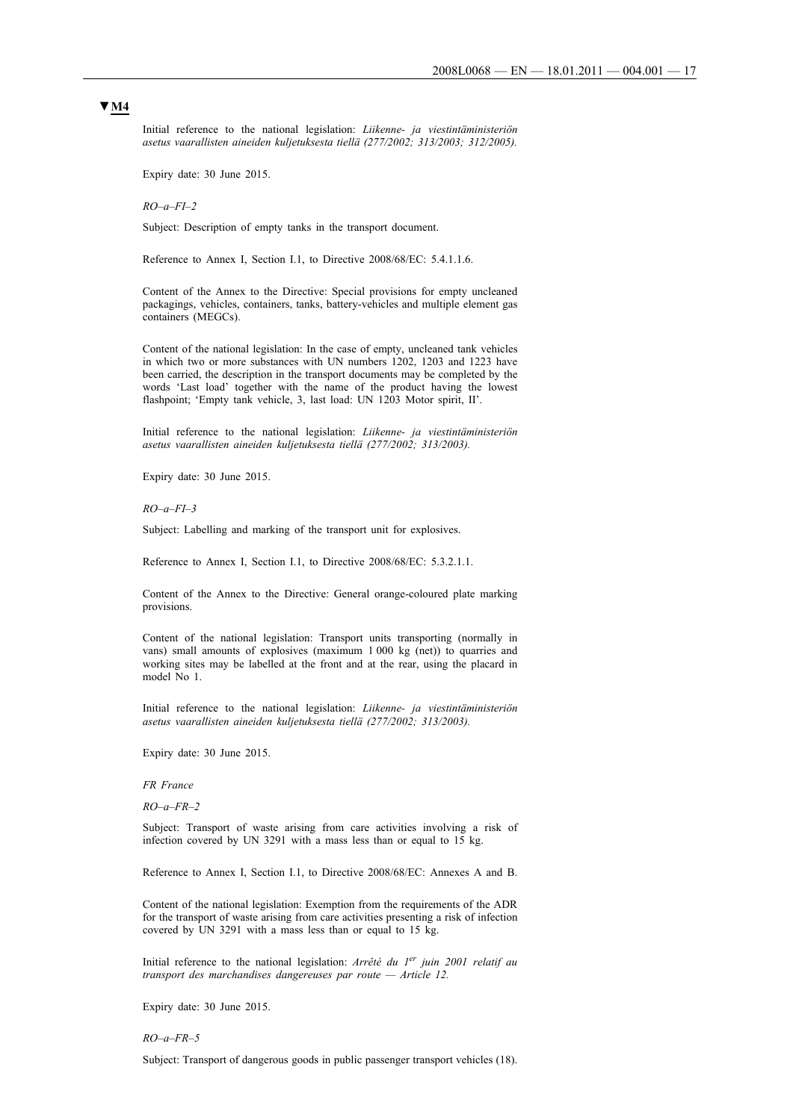Initial reference to the national legislation: *Liikenne- ja viestintäministeriön asetus vaarallisten aineiden kuljetuksesta tiellä (277/2002; 313/2003; 312/2005).*

Expiry date: 30 June 2015.

*RO–a–FI–2*

Subject: Description of empty tanks in the transport document.

Reference to Annex I, Section I.1, to Directive 2008/68/EC: 5.4.1.1.6.

Content of the Annex to the Directive: Special provisions for empty uncleaned packagings, vehicles, containers, tanks, battery-vehicles and multiple element gas containers (MEGCs).

Content of the national legislation: In the case of empty, uncleaned tank vehicles in which two or more substances with UN numbers 1202, 1203 and 1223 have been carried, the description in the transport documents may be completed by the words 'Last load' together with the name of the product having the lowest flashpoint; 'Empty tank vehicle, 3, last load: UN 1203 Motor spirit, II'.

Initial reference to the national legislation: *Liikenne- ja viestintäministeriön asetus vaarallisten aineiden kuljetuksesta tiellä (277/2002; 313/2003).*

Expiry date: 30 June 2015.

*RO–a–FI–3*

Subject: Labelling and marking of the transport unit for explosives.

Reference to Annex I, Section I.1, to Directive 2008/68/EC: 5.3.2.1.1.

Content of the Annex to the Directive: General orange-coloured plate marking provisions.

Content of the national legislation: Transport units transporting (normally in vans) small amounts of explosives (maximum 1 000 kg (net)) to quarries and working sites may be labelled at the front and at the rear, using the placard in model No 1.

Initial reference to the national legislation: *Liikenne- ja viestintäministeriön asetus vaarallisten aineiden kuljetuksesta tiellä (277/2002; 313/2003).*

Expiry date: 30 June 2015.

*FR France*

*RO–a–FR–2*

Subject: Transport of waste arising from care activities involving a risk of infection covered by UN 3291 with a mass less than or equal to 15 kg.

Reference to Annex I, Section I.1, to Directive 2008/68/EC: Annexes A and B.

Content of the national legislation: Exemption from the requirements of the ADR for the transport of waste arising from care activities presenting a risk of infection covered by UN 3291 with a mass less than or equal to 15 kg.

Initial reference to the national legislation: *Arrêté du 1er juin 2001 relatif au transport des marchandises dangereuses par route — Article 12.*

Expiry date: 30 June 2015.

*RO–a–FR–5*

Subject: Transport of dangerous goods in public passenger transport vehicles (18).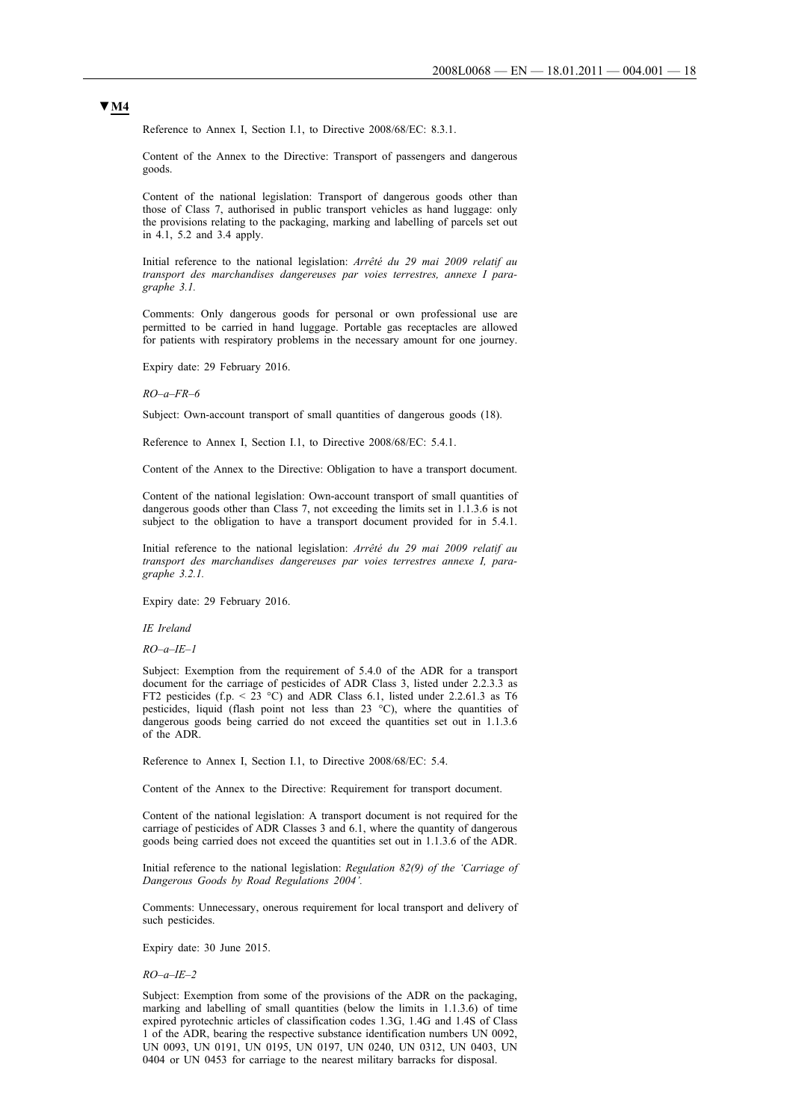Reference to Annex I, Section I.1, to Directive 2008/68/EC: 8.3.1.

Content of the Annex to the Directive: Transport of passengers and dangerous goods.

Content of the national legislation: Transport of dangerous goods other than those of Class 7, authorised in public transport vehicles as hand luggage: only the provisions relating to the packaging, marking and labelling of parcels set out in 4.1, 5.2 and 3.4 apply.

Initial reference to the national legislation: *Arrêté du 29 mai 2009 relatif au transport des marchandises dangereuses par voies terrestres, annexe I paragraphe 3.1.*

Comments: Only dangerous goods for personal or own professional use are permitted to be carried in hand luggage. Portable gas receptacles are allowed for patients with respiratory problems in the necessary amount for one journey.

Expiry date: 29 February 2016.

#### *RO–a–FR–6*

Subject: Own-account transport of small quantities of dangerous goods (18).

Reference to Annex I, Section I.1, to Directive 2008/68/EC: 5.4.1.

Content of the Annex to the Directive: Obligation to have a transport document.

Content of the national legislation: Own-account transport of small quantities of dangerous goods other than Class 7, not exceeding the limits set in 1.1.3.6 is not subject to the obligation to have a transport document provided for in 5.4.1.

Initial reference to the national legislation: *Arrêté du 29 mai 2009 relatif au transport des marchandises dangereuses par voies terrestres annexe I, paragraphe 3.2.1.*

Expiry date: 29 February 2016.

*IE Ireland*

*RO–a–IE–1*

Subject: Exemption from the requirement of 5.4.0 of the ADR for a transport document for the carriage of pesticides of ADR Class 3, listed under 2.2.3.3 as FT2 pesticides (f.p.  $\leq$  23 °C) and ADR Class 6.1, listed under 2.2.61.3 as T6 pesticides, liquid (flash point not less than 23 °C), where the quantities of dangerous goods being carried do not exceed the quantities set out in 1.1.3.6 of the ADR.

Reference to Annex I, Section I.1, to Directive 2008/68/EC: 5.4.

Content of the Annex to the Directive: Requirement for transport document.

Content of the national legislation: A transport document is not required for the carriage of pesticides of ADR Classes 3 and 6.1, where the quantity of dangerous goods being carried does not exceed the quantities set out in 1.1.3.6 of the ADR.

Initial reference to the national legislation: *Regulation 82(9) of the 'Carriage of Dangerous Goods by Road Regulations 2004'.*

Comments: Unnecessary, onerous requirement for local transport and delivery of such pesticides.

Expiry date: 30 June 2015.

*RO–a–IE–2*

Subject: Exemption from some of the provisions of the ADR on the packaging, marking and labelling of small quantities (below the limits in 1.1.3.6) of time expired pyrotechnic articles of classification codes 1.3G, 1.4G and 1.4S of Class 1 of the ADR, bearing the respective substance identification numbers UN 0092, UN 0093, UN 0191, UN 0195, UN 0197, UN 0240, UN 0312, UN 0403, UN 0404 or UN 0453 for carriage to the nearest military barracks for disposal.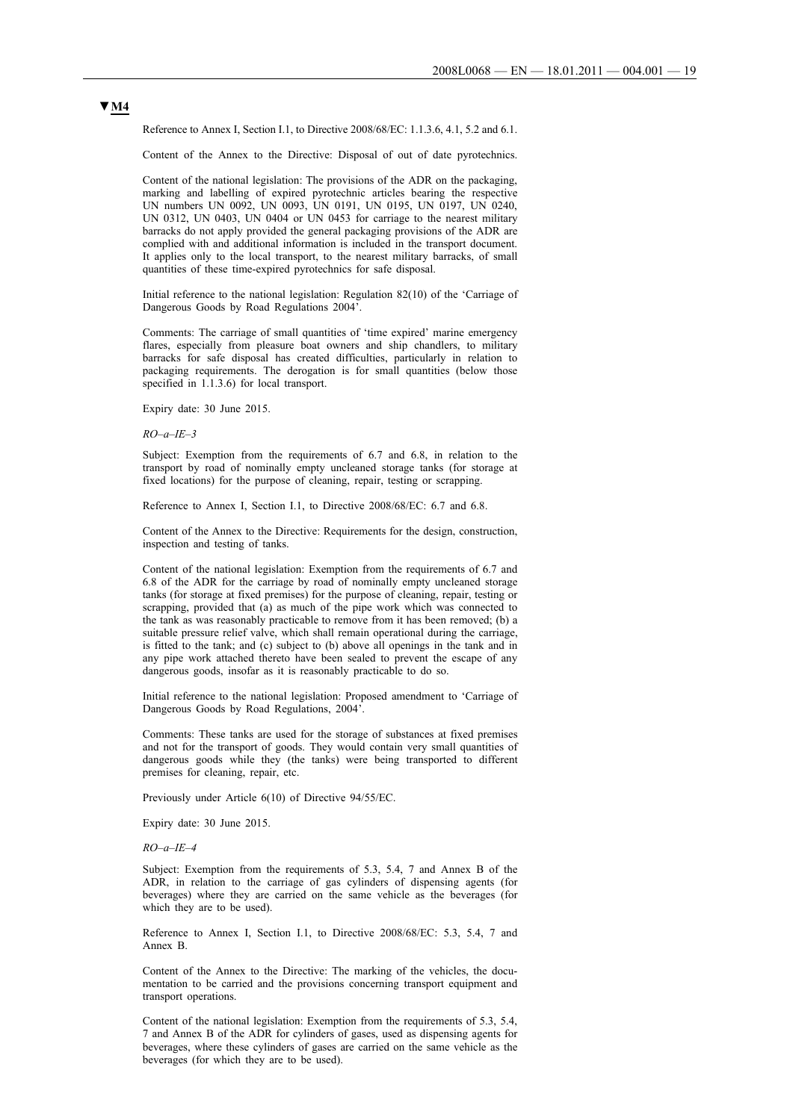Reference to Annex I, Section I.1, to Directive 2008/68/EC: 1.1.3.6, 4.1, 5.2 and 6.1.

Content of the Annex to the Directive: Disposal of out of date pyrotechnics.

Content of the national legislation: The provisions of the ADR on the packaging, marking and labelling of expired pyrotechnic articles bearing the respective UN numbers UN 0092, UN 0093, UN 0191, UN 0195, UN 0197, UN 0240, UN 0312, UN 0403, UN 0404 or UN 0453 for carriage to the nearest military barracks do not apply provided the general packaging provisions of the ADR are complied with and additional information is included in the transport document. It applies only to the local transport, to the nearest military barracks, of small quantities of these time-expired pyrotechnics for safe disposal.

Initial reference to the national legislation: Regulation 82(10) of the 'Carriage of Dangerous Goods by Road Regulations 2004'.

Comments: The carriage of small quantities of 'time expired' marine emergency flares, especially from pleasure boat owners and ship chandlers, to military barracks for safe disposal has created difficulties, particularly in relation to packaging requirements. The derogation is for small quantities (below those specified in 1.1.3.6) for local transport.

Expiry date: 30 June 2015.

#### *RO–a–IE–3*

Subject: Exemption from the requirements of 6.7 and 6.8, in relation to the transport by road of nominally empty uncleaned storage tanks (for storage at fixed locations) for the purpose of cleaning, repair, testing or scrapping.

Reference to Annex I, Section I.1, to Directive 2008/68/EC: 6.7 and 6.8.

Content of the Annex to the Directive: Requirements for the design, construction, inspection and testing of tanks.

Content of the national legislation: Exemption from the requirements of 6.7 and 6.8 of the ADR for the carriage by road of nominally empty uncleaned storage tanks (for storage at fixed premises) for the purpose of cleaning, repair, testing or scrapping, provided that (a) as much of the pipe work which was connected to the tank as was reasonably practicable to remove from it has been removed; (b) a suitable pressure relief valve, which shall remain operational during the carriage, is fitted to the tank; and (c) subject to (b) above all openings in the tank and in any pipe work attached thereto have been sealed to prevent the escape of any dangerous goods, insofar as it is reasonably practicable to do so.

Initial reference to the national legislation: Proposed amendment to 'Carriage of Dangerous Goods by Road Regulations, 2004'.

Comments: These tanks are used for the storage of substances at fixed premises and not for the transport of goods. They would contain very small quantities of dangerous goods while they (the tanks) were being transported to different premises for cleaning, repair, etc.

Previously under Article 6(10) of Directive 94/55/EC.

Expiry date: 30 June 2015.

#### *RO–a–IE–4*

Subject: Exemption from the requirements of 5.3, 5.4, 7 and Annex B of the ADR, in relation to the carriage of gas cylinders of dispensing agents (for beverages) where they are carried on the same vehicle as the beverages (for which they are to be used).

Reference to Annex I, Section I.1, to Directive 2008/68/EC: 5.3, 5.4, 7 and Annex B.

Content of the Annex to the Directive: The marking of the vehicles, the documentation to be carried and the provisions concerning transport equipment and transport operations.

Content of the national legislation: Exemption from the requirements of 5.3, 5.4, 7 and Annex B of the ADR for cylinders of gases, used as dispensing agents for beverages, where these cylinders of gases are carried on the same vehicle as the beverages (for which they are to be used).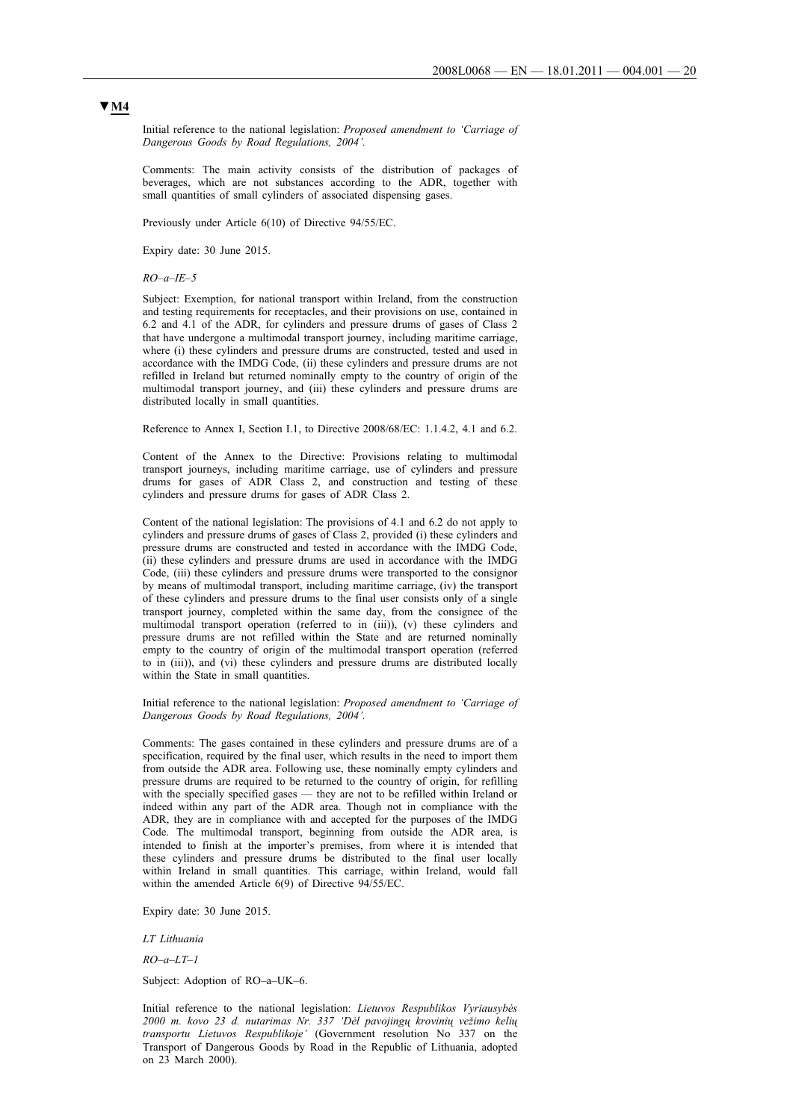Initial reference to the national legislation: *Proposed amendment to 'Carriage of Dangerous Goods by Road Regulations, 2004'.*

Comments: The main activity consists of the distribution of packages of beverages, which are not substances according to the ADR, together with small quantities of small cylinders of associated dispensing gases.

Previously under Article 6(10) of Directive 94/55/EC.

Expiry date: 30 June 2015.

*RO–a–IE–5*

Subject: Exemption, for national transport within Ireland, from the construction and testing requirements for receptacles, and their provisions on use, contained in 6.2 and 4.1 of the ADR, for cylinders and pressure drums of gases of Class 2 that have undergone a multimodal transport journey, including maritime carriage, where (i) these cylinders and pressure drums are constructed, tested and used in accordance with the IMDG Code, (ii) these cylinders and pressure drums are not refilled in Ireland but returned nominally empty to the country of origin of the multimodal transport journey, and (iii) these cylinders and pressure drums are distributed locally in small quantities.

Reference to Annex I, Section I.1, to Directive 2008/68/EC: 1.1.4.2, 4.1 and 6.2.

Content of the Annex to the Directive: Provisions relating to multimodal transport journeys, including maritime carriage, use of cylinders and pressure drums for gases of ADR Class 2, and construction and testing of these cylinders and pressure drums for gases of ADR Class 2.

Content of the national legislation: The provisions of 4.1 and 6.2 do not apply to cylinders and pressure drums of gases of Class 2, provided (i) these cylinders and pressure drums are constructed and tested in accordance with the IMDG Code, (ii) these cylinders and pressure drums are used in accordance with the IMDG Code, (iii) these cylinders and pressure drums were transported to the consignor by means of multimodal transport, including maritime carriage, (iv) the transport of these cylinders and pressure drums to the final user consists only of a single transport journey, completed within the same day, from the consignee of the multimodal transport operation (referred to in (iii)), (v) these cylinders and pressure drums are not refilled within the State and are returned nominally empty to the country of origin of the multimodal transport operation (referred to in (iii)), and (vi) these cylinders and pressure drums are distributed locally within the State in small quantities.

Initial reference to the national legislation: *Proposed amendment to 'Carriage of Dangerous Goods by Road Regulations, 2004'.*

Comments: The gases contained in these cylinders and pressure drums are of a specification, required by the final user, which results in the need to import them from outside the ADR area. Following use, these nominally empty cylinders and pressure drums are required to be returned to the country of origin, for refilling with the specially specified gases — they are not to be refilled within Ireland or indeed within any part of the ADR area. Though not in compliance with the ADR, they are in compliance with and accepted for the purposes of the IMDG Code. The multimodal transport, beginning from outside the ADR area, is intended to finish at the importer's premises, from where it is intended that these cylinders and pressure drums be distributed to the final user locally within Ireland in small quantities. This carriage, within Ireland, would fall within the amended Article 6(9) of Directive 94/55/EC.

Expiry date: 30 June 2015.

*LT Lithuania*

*RO–a–LT–1*

Subject: Adoption of RO–a–UK–6.

Initial reference to the national legislation: *Lietuvos Respublikos Vyriausybės 2000 m. kovo 23 d. nutarimas Nr. 337 'Dėl pavojingų krovinių vežimo kelių transportu Lietuvos Respublikoje'* (Government resolution No 337 on the Transport of Dangerous Goods by Road in the Republic of Lithuania, adopted on 23 March 2000).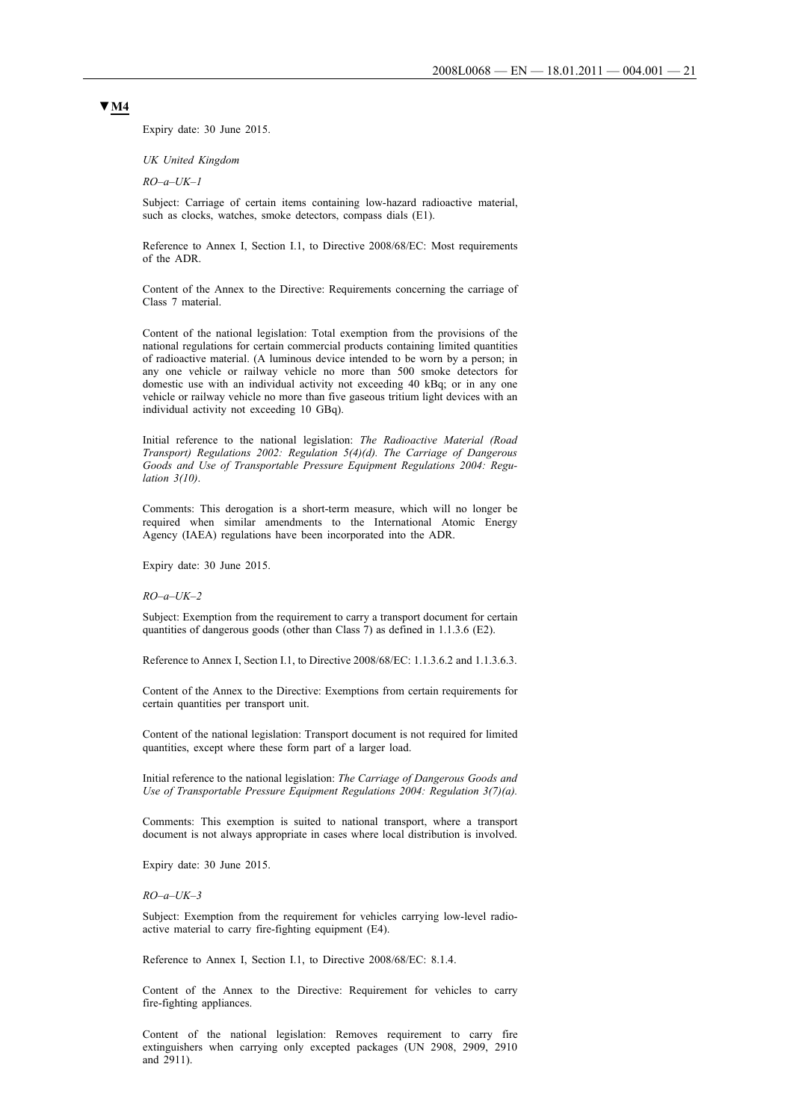Expiry date: 30 June 2015.

*UK United Kingdom*

*RO–a–UK–1*

Subject: Carriage of certain items containing low-hazard radioactive material, such as clocks, watches, smoke detectors, compass dials (E1).

Reference to Annex I, Section I.1, to Directive 2008/68/EC: Most requirements of the ADR.

Content of the Annex to the Directive: Requirements concerning the carriage of Class 7 material.

Content of the national legislation: Total exemption from the provisions of the national regulations for certain commercial products containing limited quantities of radioactive material. (A luminous device intended to be worn by a person; in any one vehicle or railway vehicle no more than 500 smoke detectors for domestic use with an individual activity not exceeding 40 kBq; or in any one vehicle or railway vehicle no more than five gaseous tritium light devices with an individual activity not exceeding 10 GBq).

Initial reference to the national legislation: *The Radioactive Material (Road Transport) Regulations 2002: Regulation 5(4)(d). The Carriage of Dangerous Goods and Use of Transportable Pressure Equipment Regulations 2004: Regulation 3(10)*.

Comments: This derogation is a short-term measure, which will no longer be required when similar amendments to the International Atomic Energy Agency (IAEA) regulations have been incorporated into the ADR.

Expiry date: 30 June 2015.

#### *RO–a–UK–2*

Subject: Exemption from the requirement to carry a transport document for certain quantities of dangerous goods (other than Class 7) as defined in 1.1.3.6 (E2).

Reference to Annex I, Section I.1, to Directive 2008/68/EC: 1.1.3.6.2 and 1.1.3.6.3.

Content of the Annex to the Directive: Exemptions from certain requirements for certain quantities per transport unit.

Content of the national legislation: Transport document is not required for limited quantities, except where these form part of a larger load.

Initial reference to the national legislation: *The Carriage of Dangerous Goods and Use of Transportable Pressure Equipment Regulations 2004: Regulation 3(7)(a).*

Comments: This exemption is suited to national transport, where a transport document is not always appropriate in cases where local distribution is involved.

Expiry date: 30 June 2015.

### *RO–a–UK–3*

Subject: Exemption from the requirement for vehicles carrying low-level radioactive material to carry fire-fighting equipment (E4).

Reference to Annex I, Section I.1, to Directive 2008/68/EC: 8.1.4.

Content of the Annex to the Directive: Requirement for vehicles to carry fire-fighting appliances.

Content of the national legislation: Removes requirement to carry fire extinguishers when carrying only excepted packages (UN 2908, 2909, 2910 and 2911).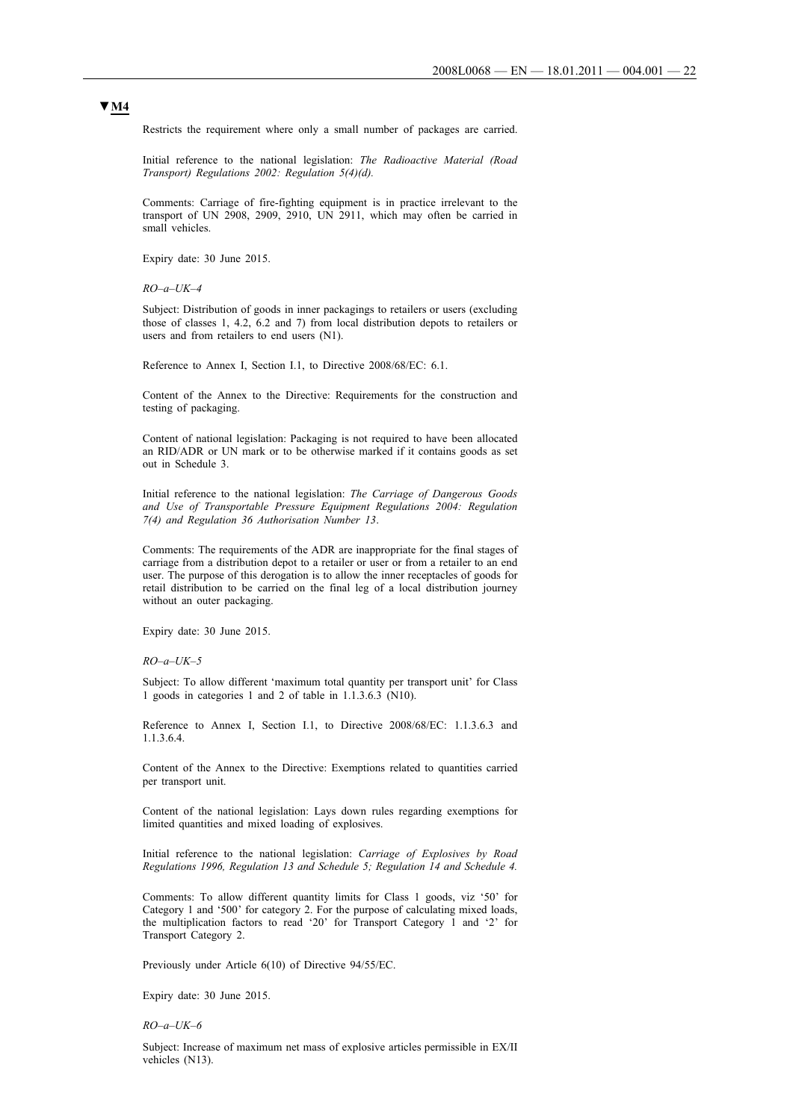Restricts the requirement where only a small number of packages are carried.

Initial reference to the national legislation: *The Radioactive Material (Road Transport) Regulations 2002: Regulation 5(4)(d).*

Comments: Carriage of fire-fighting equipment is in practice irrelevant to the transport of UN 2908, 2909, 2910, UN 2911, which may often be carried in small vehicles.

Expiry date: 30 June 2015.

*RO–a–UK–4*

Subject: Distribution of goods in inner packagings to retailers or users (excluding those of classes 1, 4.2, 6.2 and 7) from local distribution depots to retailers or users and from retailers to end users (N1).

Reference to Annex I, Section I.1, to Directive 2008/68/EC: 6.1.

Content of the Annex to the Directive: Requirements for the construction and testing of packaging.

Content of national legislation: Packaging is not required to have been allocated an RID/ADR or UN mark or to be otherwise marked if it contains goods as set out in Schedule 3.

Initial reference to the national legislation: *The Carriage of Dangerous Goods and Use of Transportable Pressure Equipment Regulations 2004: Regulation 7(4) and Regulation 36 Authorisation Number 13*.

Comments: The requirements of the ADR are inappropriate for the final stages of carriage from a distribution depot to a retailer or user or from a retailer to an end user. The purpose of this derogation is to allow the inner receptacles of goods for retail distribution to be carried on the final leg of a local distribution journey without an outer packaging.

Expiry date: 30 June 2015.

*RO–a–UK–5*

Subject: To allow different 'maximum total quantity per transport unit' for Class 1 goods in categories 1 and 2 of table in 1.1.3.6.3 (N10).

Reference to Annex I, Section I.1, to Directive 2008/68/EC: 1.1.3.6.3 and 1.1.3.6.4.

Content of the Annex to the Directive: Exemptions related to quantities carried per transport unit.

Content of the national legislation: Lays down rules regarding exemptions for limited quantities and mixed loading of explosives.

Initial reference to the national legislation: *Carriage of Explosives by Road Regulations 1996, Regulation 13 and Schedule 5; Regulation 14 and Schedule 4.*

Comments: To allow different quantity limits for Class 1 goods, viz '50' for Category 1 and '500' for category 2. For the purpose of calculating mixed loads, the multiplication factors to read '20' for Transport Category 1 and '2' for Transport Category 2.

Previously under Article 6(10) of Directive 94/55/EC.

Expiry date: 30 June 2015.

*RO–a–UK–6*

Subject: Increase of maximum net mass of explosive articles permissible in EX/II vehicles (N13).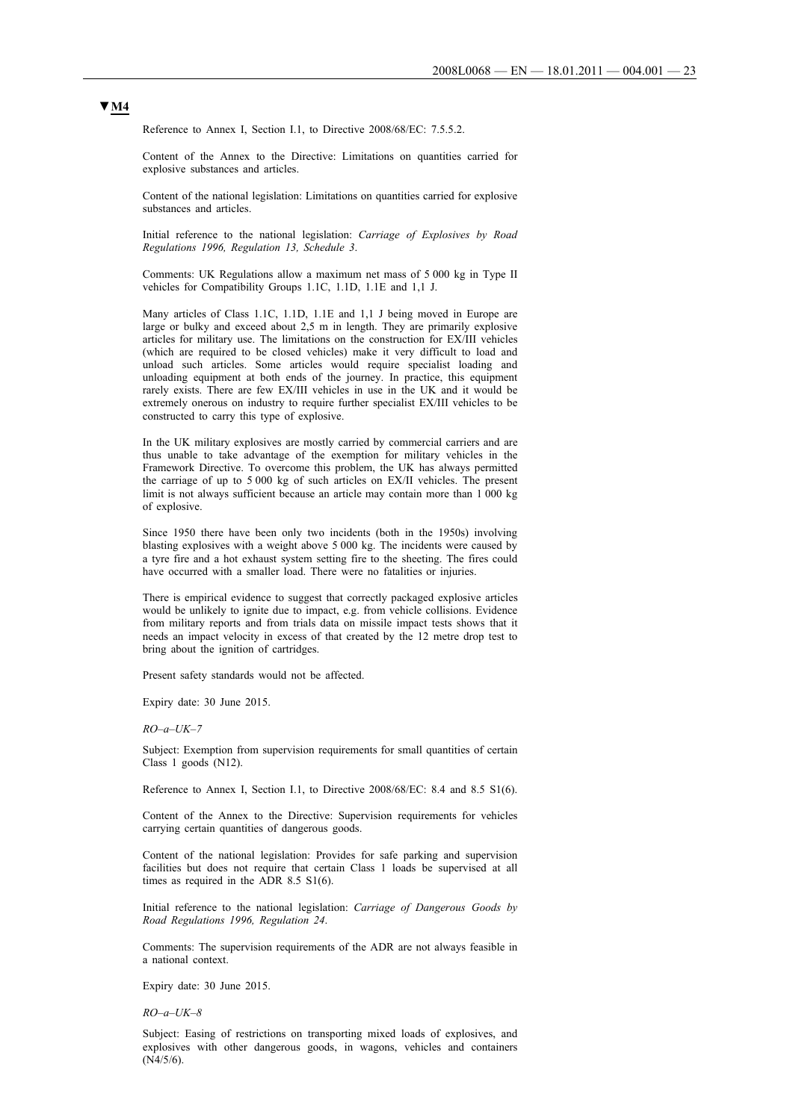Reference to Annex I, Section I.1, to Directive 2008/68/EC: 7.5.5.2.

Content of the Annex to the Directive: Limitations on quantities carried for explosive substances and articles.

Content of the national legislation: Limitations on quantities carried for explosive substances and articles.

Initial reference to the national legislation: *Carriage of Explosives by Road Regulations 1996, Regulation 13, Schedule 3*.

Comments: UK Regulations allow a maximum net mass of 5 000 kg in Type II vehicles for Compatibility Groups 1.1C, 1.1D, 1.1E and 1,1 J.

Many articles of Class 1.1C, 1.1D, 1.1E and 1,1 J being moved in Europe are large or bulky and exceed about 2,5 m in length. They are primarily explosive articles for military use. The limitations on the construction for EX/III vehicles (which are required to be closed vehicles) make it very difficult to load and unload such articles. Some articles would require specialist loading and unloading equipment at both ends of the journey. In practice, this equipment rarely exists. There are few EX/III vehicles in use in the UK and it would be extremely onerous on industry to require further specialist EX/III vehicles to be constructed to carry this type of explosive.

In the UK military explosives are mostly carried by commercial carriers and are thus unable to take advantage of the exemption for military vehicles in the Framework Directive. To overcome this problem, the UK has always permitted the carriage of up to 5 000 kg of such articles on EX/II vehicles. The present limit is not always sufficient because an article may contain more than 1 000 kg of explosive.

Since 1950 there have been only two incidents (both in the 1950s) involving blasting explosives with a weight above 5 000 kg. The incidents were caused by a tyre fire and a hot exhaust system setting fire to the sheeting. The fires could have occurred with a smaller load. There were no fatalities or injuries.

There is empirical evidence to suggest that correctly packaged explosive articles would be unlikely to ignite due to impact, e.g. from vehicle collisions. Evidence from military reports and from trials data on missile impact tests shows that it needs an impact velocity in excess of that created by the 12 metre drop test to bring about the ignition of cartridges.

Present safety standards would not be affected.

Expiry date: 30 June 2015.

*RO–a–UK–7*

Subject: Exemption from supervision requirements for small quantities of certain Class 1 goods (N12).

Reference to Annex I, Section I.1, to Directive 2008/68/EC: 8.4 and 8.5 S1(6).

Content of the Annex to the Directive: Supervision requirements for vehicles carrying certain quantities of dangerous goods.

Content of the national legislation: Provides for safe parking and supervision facilities but does not require that certain Class 1 loads be supervised at all times as required in the ADR 8.5 S1(6).

Initial reference to the national legislation: *Carriage of Dangerous Goods by Road Regulations 1996, Regulation 24*.

Comments: The supervision requirements of the ADR are not always feasible in a national context.

Expiry date: 30 June 2015.

*RO–a–UK–8*

Subject: Easing of restrictions on transporting mixed loads of explosives, and explosives with other dangerous goods, in wagons, vehicles and containers (N4/5/6).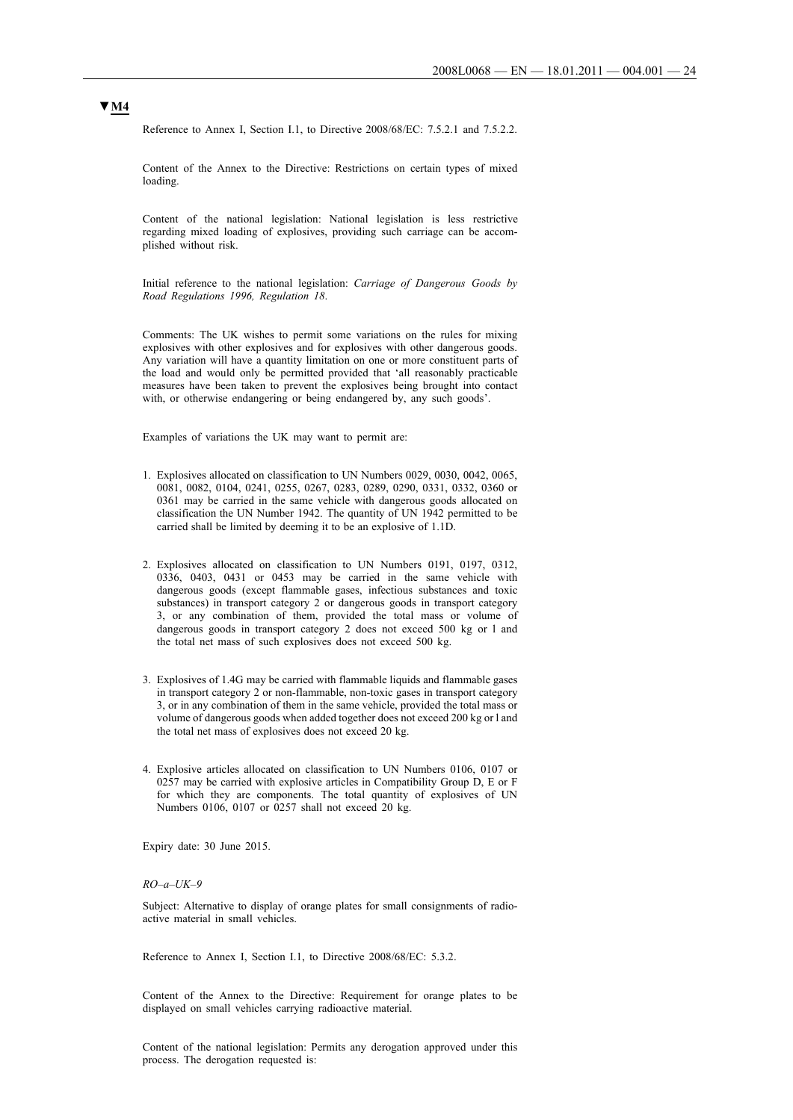Reference to Annex I, Section I.1, to Directive 2008/68/EC: 7.5.2.1 and 7.5.2.2.

Content of the Annex to the Directive: Restrictions on certain types of mixed loading.

Content of the national legislation: National legislation is less restrictive regarding mixed loading of explosives, providing such carriage can be accomplished without risk.

Initial reference to the national legislation: *Carriage of Dangerous Goods by Road Regulations 1996, Regulation 18*.

Comments: The UK wishes to permit some variations on the rules for mixing explosives with other explosives and for explosives with other dangerous goods. Any variation will have a quantity limitation on one or more constituent parts of the load and would only be permitted provided that 'all reasonably practicable measures have been taken to prevent the explosives being brought into contact with, or otherwise endangering or being endangered by, any such goods'.

Examples of variations the UK may want to permit are:

- 1. Explosives allocated on classification to UN Numbers 0029, 0030, 0042, 0065, 0081, 0082, 0104, 0241, 0255, 0267, 0283, 0289, 0290, 0331, 0332, 0360 or 0361 may be carried in the same vehicle with dangerous goods allocated on classification the UN Number 1942. The quantity of UN 1942 permitted to be carried shall be limited by deeming it to be an explosive of 1.1D.
- 2. Explosives allocated on classification to UN Numbers 0191, 0197, 0312, 0336, 0403, 0431 or 0453 may be carried in the same vehicle with dangerous goods (except flammable gases, infectious substances and toxic substances) in transport category 2 or dangerous goods in transport category 3, or any combination of them, provided the total mass or volume of dangerous goods in transport category 2 does not exceed 500 kg or l and the total net mass of such explosives does not exceed 500 kg.
- 3. Explosives of 1.4G may be carried with flammable liquids and flammable gases in transport category 2 or non-flammable, non-toxic gases in transport category 3, or in any combination of them in the same vehicle, provided the total mass or volume of dangerous goods when added together does not exceed 200 kg or l and the total net mass of explosives does not exceed 20 kg.
- 4. Explosive articles allocated on classification to UN Numbers 0106, 0107 or 0257 may be carried with explosive articles in Compatibility Group D, E or F for which they are components. The total quantity of explosives of UN Numbers 0106, 0107 or 0257 shall not exceed 20 kg.

Expiry date: 30 June 2015.

*RO–a–UK–9*

Subject: Alternative to display of orange plates for small consignments of radioactive material in small vehicles.

Reference to Annex I, Section I.1, to Directive 2008/68/EC: 5.3.2.

Content of the Annex to the Directive: Requirement for orange plates to be displayed on small vehicles carrying radioactive material.

Content of the national legislation: Permits any derogation approved under this process. The derogation requested is: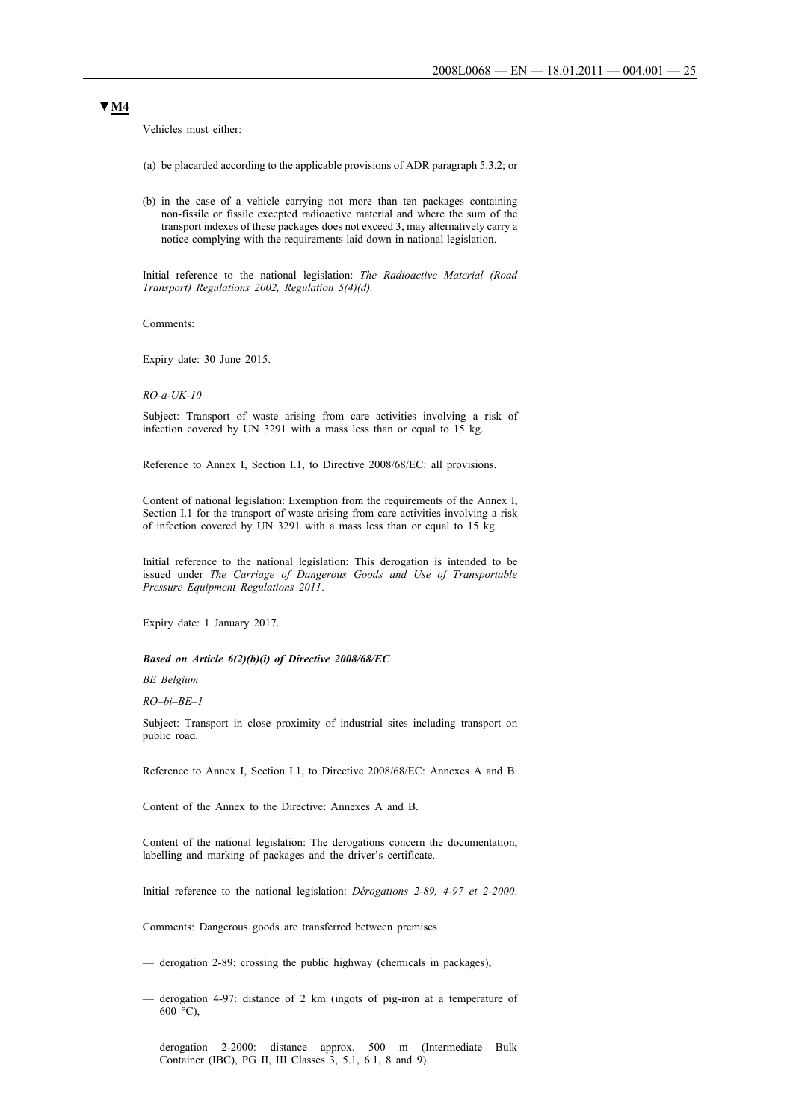Vehicles must either:

- (a) be placarded according to the applicable provisions of ADR paragraph 5.3.2; or
- (b) in the case of a vehicle carrying not more than ten packages containing non-fissile or fissile excepted radioactive material and where the sum of the transport indexes of these packages does not exceed 3, may alternatively carry a notice complying with the requirements laid down in national legislation.

Initial reference to the national legislation: *The Radioactive Material (Road Transport) Regulations 2002, Regulation 5(4)(d).*

Comments:

Expiry date: 30 June 2015.

#### *RO-a-UK-10*

Subject: Transport of waste arising from care activities involving a risk of infection covered by UN 3291 with a mass less than or equal to 15 kg.

Reference to Annex I, Section I.1, to Directive 2008/68/EC: all provisions.

Content of national legislation: Exemption from the requirements of the Annex I, Section I.1 for the transport of waste arising from care activities involving a risk of infection covered by UN 3291 with a mass less than or equal to 15 kg.

Initial reference to the national legislation: This derogation is intended to be issued under *The Carriage of Dangerous Goods and Use of Transportable Pressure Equipment Regulations 2011*.

Expiry date: 1 January 2017.

#### *Based on Article 6(2)(b)(i) of Directive 2008/68/EC*

*BE Belgium*

*RO–bi–BE–1*

Subject: Transport in close proximity of industrial sites including transport on public road.

Reference to Annex I, Section I.1, to Directive 2008/68/EC: Annexes A and B.

Content of the Annex to the Directive: Annexes A and B.

Content of the national legislation: The derogations concern the documentation, labelling and marking of packages and the driver's certificate.

Initial reference to the national legislation: *Dérogations 2-89, 4-97 et 2-2000*.

Comments: Dangerous goods are transferred between premises

— derogation 2-89: crossing the public highway (chemicals in packages),

- derogation 4-97: distance of 2 km (ingots of pig-iron at a temperature of  $600^\circ$ C),
- derogation 2-2000: distance approx. 500 m (Intermediate Bulk Container (IBC), PG II, III Classes 3, 5.1, 6.1, 8 and 9).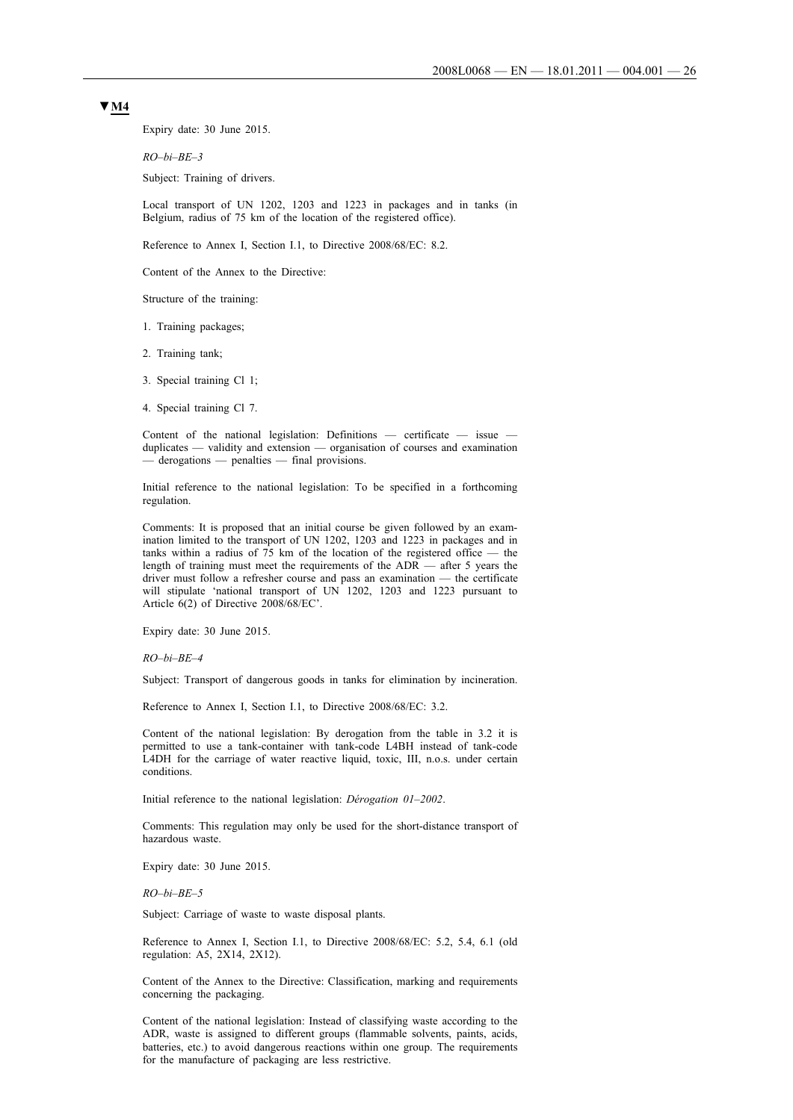Expiry date: 30 June 2015.

*RO–bi–BE–3*

Subject: Training of drivers.

Local transport of UN 1202, 1203 and 1223 in packages and in tanks (in Belgium, radius of 75 km of the location of the registered office).

Reference to Annex I, Section I.1, to Directive 2008/68/EC: 8.2.

Content of the Annex to the Directive:

Structure of the training:

- 1. Training packages;
- 2. Training tank;
- 3. Special training Cl 1;
- 4. Special training Cl 7.

Content of the national legislation: Definitions — certificate — issue duplicates — validity and extension — organisation of courses and examination — derogations — penalties — final provisions.

Initial reference to the national legislation: To be specified in a forthcoming regulation.

Comments: It is proposed that an initial course be given followed by an examination limited to the transport of UN 1202, 1203 and 1223 in packages and in tanks within a radius of 75 km of the location of the registered office — the length of training must meet the requirements of the ADR — after 5 years the driver must follow a refresher course and pass an examination — the certificate will stipulate 'national transport of UN 1202, 1203 and 1223 pursuant to Article 6(2) of Directive 2008/68/EC'.

Expiry date: 30 June 2015.

*RO–bi–BE–4*

Subject: Transport of dangerous goods in tanks for elimination by incineration.

Reference to Annex I, Section I.1, to Directive 2008/68/EC: 3.2.

Content of the national legislation: By derogation from the table in 3.2 it is permitted to use a tank-container with tank-code L4BH instead of tank-code L4DH for the carriage of water reactive liquid, toxic, III, n.o.s. under certain conditions.

Initial reference to the national legislation: *Dérogation 01–2002*.

Comments: This regulation may only be used for the short-distance transport of hazardous waste.

Expiry date: 30 June 2015.

*RO–bi–BE–5*

Subject: Carriage of waste to waste disposal plants.

Reference to Annex I, Section I.1, to Directive 2008/68/EC: 5.2, 5.4, 6.1 (old regulation: A5, 2X14, 2X12).

Content of the Annex to the Directive: Classification, marking and requirements concerning the packaging.

Content of the national legislation: Instead of classifying waste according to the ADR, waste is assigned to different groups (flammable solvents, paints, acids, batteries, etc.) to avoid dangerous reactions within one group. The requirements for the manufacture of packaging are less restrictive.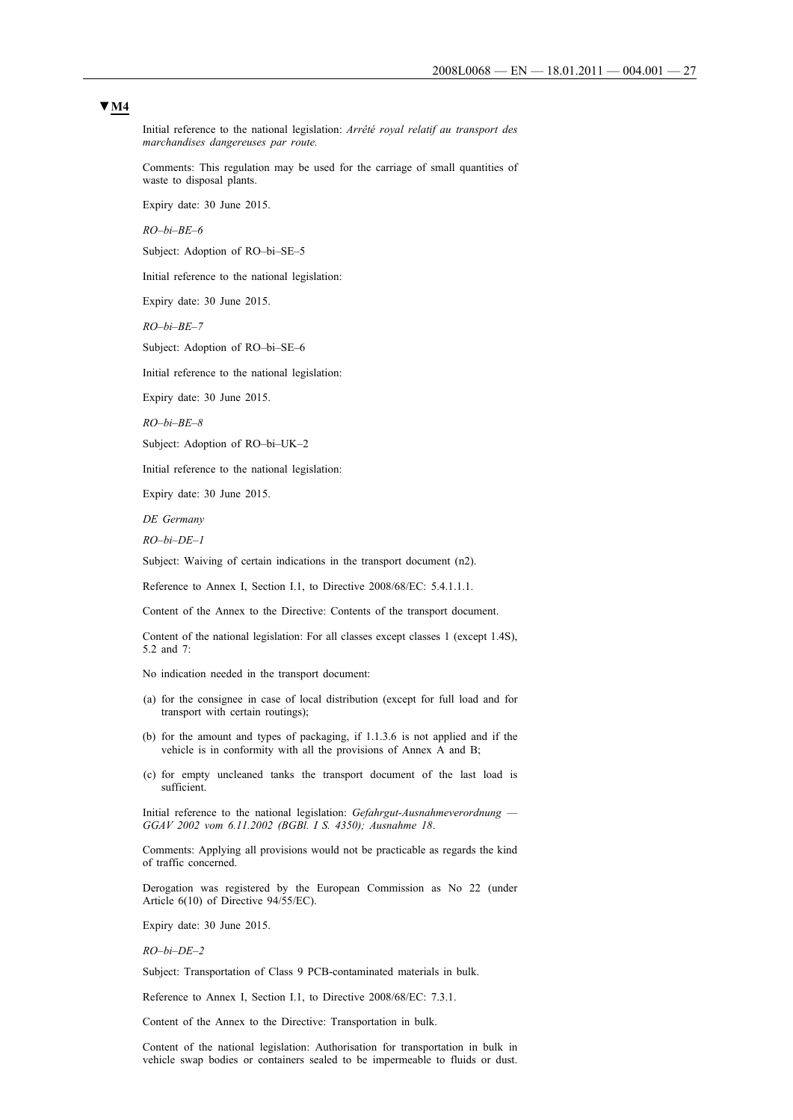Initial reference to the national legislation: *Arrêté royal relatif au transport des marchandises dangereuses par route.*

Comments: This regulation may be used for the carriage of small quantities of waste to disposal plants.

Expiry date: 30 June 2015.

*RO–bi–BE–6*

Subject: Adoption of RO–bi–SE–5

Initial reference to the national legislation:

Expiry date: 30 June 2015.

*RO–bi–BE–7*

Subject: Adoption of RO–bi–SE–6

Initial reference to the national legislation:

Expiry date: 30 June 2015.

*RO–bi–BE–8*

Subject: Adoption of RO–bi–UK–2

Initial reference to the national legislation:

Expiry date: 30 June 2015.

*DE Germany*

*RO–bi–DE–1*

Subject: Waiving of certain indications in the transport document (n2).

Reference to Annex I, Section I.1, to Directive 2008/68/EC: 5.4.1.1.1.

Content of the Annex to the Directive: Contents of the transport document.

Content of the national legislation: For all classes except classes 1 (except 1.4S), 5.2 and 7:

No indication needed in the transport document:

- (a) for the consignee in case of local distribution (except for full load and for transport with certain routings);
- (b) for the amount and types of packaging, if 1.1.3.6 is not applied and if the vehicle is in conformity with all the provisions of Annex A and B;
- (c) for empty uncleaned tanks the transport document of the last load is sufficient.

Initial reference to the national legislation: *Gefahrgut-Ausnahmeverordnung — GGAV 2002 vom 6.11.2002 (BGBl. I S. 4350); Ausnahme 18*.

Comments: Applying all provisions would not be practicable as regards the kind of traffic concerned.

Derogation was registered by the European Commission as No 22 (under Article 6(10) of Directive 94/55/EC).

Expiry date: 30 June 2015.

*RO–bi–DE–2*

Subject: Transportation of Class 9 PCB-contaminated materials in bulk.

Reference to Annex I, Section I.1, to Directive 2008/68/EC: 7.3.1.

Content of the Annex to the Directive: Transportation in bulk.

Content of the national legislation: Authorisation for transportation in bulk in vehicle swap bodies or containers sealed to be impermeable to fluids or dust.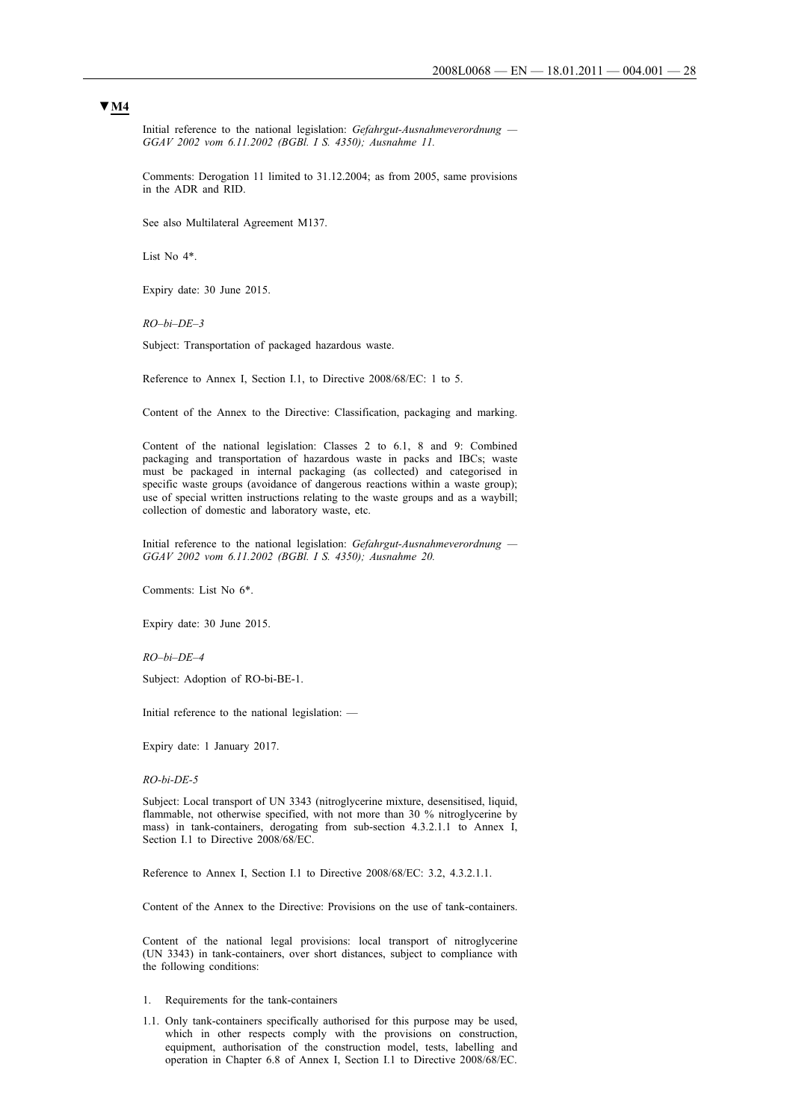Initial reference to the national legislation: *Gefahrgut-Ausnahmeverordnung — GGAV 2002 vom 6.11.2002 (BGBl. I S. 4350); Ausnahme 11.*

Comments: Derogation 11 limited to 31.12.2004; as from 2005, same provisions in the ADR and RID.

See also Multilateral Agreement M137.

List No 4\*.

Expiry date: 30 June 2015.

*RO–bi–DE–3*

Subject: Transportation of packaged hazardous waste.

Reference to Annex I, Section I.1, to Directive 2008/68/EC: 1 to 5.

Content of the Annex to the Directive: Classification, packaging and marking.

Content of the national legislation: Classes 2 to 6.1, 8 and 9: Combined packaging and transportation of hazardous waste in packs and IBCs; waste must be packaged in internal packaging (as collected) and categorised in specific waste groups (avoidance of dangerous reactions within a waste group); use of special written instructions relating to the waste groups and as a waybill; collection of domestic and laboratory waste, etc.

Initial reference to the national legislation: *Gefahrgut-Ausnahmeverordnung — GGAV 2002 vom 6.11.2002 (BGBl. I S. 4350); Ausnahme 20.*

Comments: List No 6\*.

Expiry date: 30 June 2015.

*RO–bi–DE–4*

Subject: Adoption of RO-bi-BE-1.

Initial reference to the national legislation: —

Expiry date: 1 January 2017.

#### *RO-bi-DE-5*

Subject: Local transport of UN 3343 (nitroglycerine mixture, desensitised, liquid, flammable, not otherwise specified, with not more than 30 % nitroglycerine by mass) in tank-containers, derogating from sub-section 4.3.2.1.1 to Annex I, Section I.1 to Directive 2008/68/EC.

Reference to Annex I, Section I.1 to Directive 2008/68/EC: 3.2, 4.3.2.1.1.

Content of the Annex to the Directive: Provisions on the use of tank-containers.

Content of the national legal provisions: local transport of nitroglycerine (UN 3343) in tank-containers, over short distances, subject to compliance with the following conditions:

- 1. Requirements for the tank-containers
- 1.1. Only tank-containers specifically authorised for this purpose may be used, which in other respects comply with the provisions on construction, equipment, authorisation of the construction model, tests, labelling and operation in Chapter 6.8 of Annex I, Section I.1 to Directive 2008/68/EC.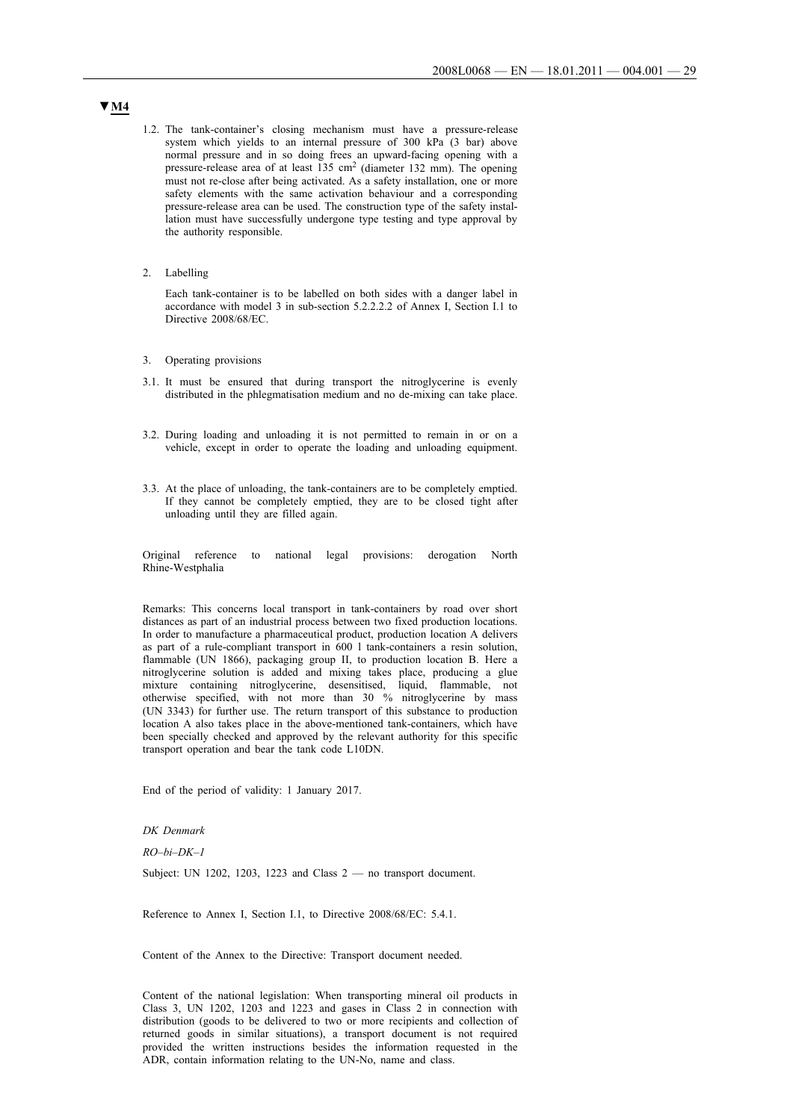- 1.2. The tank-container's closing mechanism must have a pressure-release system which yields to an internal pressure of 300 kPa (3 bar) above normal pressure and in so doing frees an upward-facing opening with a pressure-release area of at least 135 cm2 (diameter 132 mm). The opening must not re-close after being activated. As a safety installation, one or more safety elements with the same activation behaviour and a corresponding pressure-release area can be used. The construction type of the safety installation must have successfully undergone type testing and type approval by the authority responsible.
- 2. Labelling

Each tank-container is to be labelled on both sides with a danger label in accordance with model 3 in sub-section 5.2.2.2.2 of Annex I, Section I.1 to Directive 2008/68/EC.

- 3. Operating provisions
- 3.1. It must be ensured that during transport the nitroglycerine is evenly distributed in the phlegmatisation medium and no de-mixing can take place.
- 3.2. During loading and unloading it is not permitted to remain in or on a vehicle, except in order to operate the loading and unloading equipment.
- 3.3. At the place of unloading, the tank-containers are to be completely emptied. If they cannot be completely emptied, they are to be closed tight after unloading until they are filled again.

Original reference to national legal provisions: derogation North Rhine-Westphalia

Remarks: This concerns local transport in tank-containers by road over short distances as part of an industrial process between two fixed production locations. In order to manufacture a pharmaceutical product, production location A delivers as part of a rule-compliant transport in 600 l tank-containers a resin solution, flammable (UN 1866), packaging group II, to production location B. Here a nitroglycerine solution is added and mixing takes place, producing a glue mixture containing nitroglycerine, desensitised, liquid, flammable, not otherwise specified, with not more than 30 % nitroglycerine by mass (UN 3343) for further use. The return transport of this substance to production location A also takes place in the above-mentioned tank-containers, which have been specially checked and approved by the relevant authority for this specific transport operation and bear the tank code L10DN.

End of the period of validity: 1 January 2017.

#### *DK Denmark*

*RO–bi–DK–1*

Subject: UN 1202, 1203, 1223 and Class 2 — no transport document.

Reference to Annex I, Section I.1, to Directive 2008/68/EC: 5.4.1.

Content of the Annex to the Directive: Transport document needed.

Content of the national legislation: When transporting mineral oil products in Class 3, UN 1202, 1203 and 1223 and gases in Class 2 in connection with distribution (goods to be delivered to two or more recipients and collection of returned goods in similar situations), a transport document is not required provided the written instructions besides the information requested in the ADR, contain information relating to the UN-No, name and class.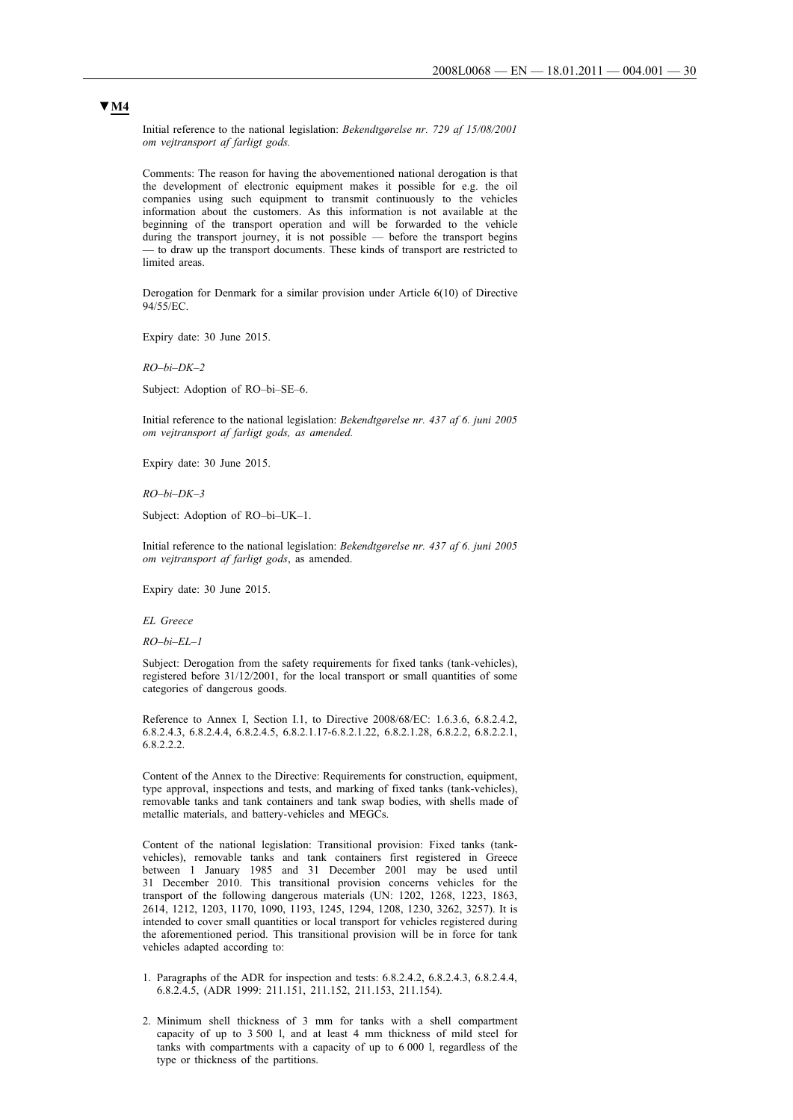Initial reference to the national legislation: *Bekendtgørelse nr. 729 af 15/08/2001 om vejtransport af farligt gods.*

Comments: The reason for having the abovementioned national derogation is that the development of electronic equipment makes it possible for e.g. the oil companies using such equipment to transmit continuously to the vehicles information about the customers. As this information is not available at the beginning of the transport operation and will be forwarded to the vehicle during the transport journey, it is not possible — before the transport begins — to draw up the transport documents. These kinds of transport are restricted to limited areas.

Derogation for Denmark for a similar provision under Article 6(10) of Directive 94/55/EC.

Expiry date: 30 June 2015.

*RO–bi–DK–2*

Subject: Adoption of RO–bi–SE–6.

Initial reference to the national legislation: *Bekendtgørelse nr. 437 af 6. juni 2005 om vejtransport af farligt gods, as amended.*

Expiry date: 30 June 2015.

*RO–bi–DK–3*

Subject: Adoption of RO–bi–UK–1.

Initial reference to the national legislation: *Bekendtgørelse nr. 437 af 6. juni 2005 om vejtransport af farligt gods*, as amended.

Expiry date: 30 June 2015.

*EL Greece*

*RO–bi–EL–1*

Subject: Derogation from the safety requirements for fixed tanks (tank-vehicles), registered before 31/12/2001, for the local transport or small quantities of some categories of dangerous goods.

Reference to Annex I, Section I.1, to Directive 2008/68/EC: 1.6.3.6, 6.8.2.4.2, 6.8.2.4.3, 6.8.2.4.4, 6.8.2.4.5, 6.8.2.1.17-6.8.2.1.22, 6.8.2.1.28, 6.8.2.2, 6.8.2.2.1, 6.8.2.2.2.

Content of the Annex to the Directive: Requirements for construction, equipment, type approval, inspections and tests, and marking of fixed tanks (tank-vehicles), removable tanks and tank containers and tank swap bodies, with shells made of metallic materials, and battery-vehicles and MEGCs.

Content of the national legislation: Transitional provision: Fixed tanks (tankvehicles), removable tanks and tank containers first registered in Greece between 1 January 1985 and 31 December 2001 may be used until 31 December 2010. This transitional provision concerns vehicles for the transport of the following dangerous materials (UN: 1202, 1268, 1223, 1863, 2614, 1212, 1203, 1170, 1090, 1193, 1245, 1294, 1208, 1230, 3262, 3257). It is intended to cover small quantities or local transport for vehicles registered during the aforementioned period. This transitional provision will be in force for tank vehicles adapted according to:

- 1. Paragraphs of the ADR for inspection and tests: 6.8.2.4.2, 6.8.2.4.3, 6.8.2.4.4, 6.8.2.4.5, (ADR 1999: 211.151, 211.152, 211.153, 211.154).
- 2. Minimum shell thickness of 3 mm for tanks with a shell compartment capacity of up to 3 500 l, and at least 4 mm thickness of mild steel for tanks with compartments with a capacity of up to 6 000 l, regardless of the type or thickness of the partitions.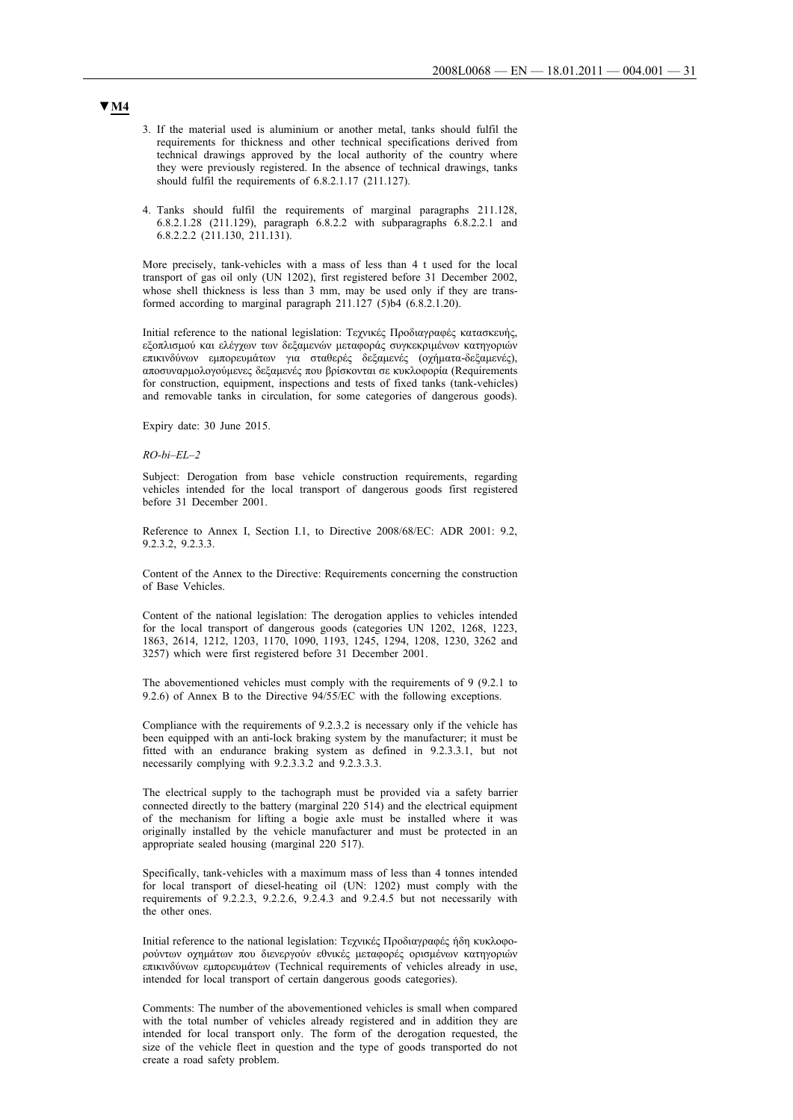- 3. If the material used is aluminium or another metal, tanks should fulfil the requirements for thickness and other technical specifications derived from technical drawings approved by the local authority of the country where they were previously registered. In the absence of technical drawings, tanks should fulfil the requirements of 6.8.2.1.17 (211.127).
- 4. Tanks should fulfil the requirements of marginal paragraphs 211.128, 6.8.2.1.28 (211.129), paragraph 6.8.2.2 with subparagraphs 6.8.2.2.1 and 6.8.2.2.2 (211.130, 211.131).

More precisely, tank-vehicles with a mass of less than 4 t used for the local transport of gas oil only (UN 1202), first registered before 31 December 2002, whose shell thickness is less than 3 mm, may be used only if they are transformed according to marginal paragraph 211.127 (5)b4 (6.8.2.1.20).

Initial reference to the national legislation: Τεχνικές Προδιαγραφές κατασκευής, εξοπλισμού και ελέγχων των δεξαμενών μεταφοράς συγκεκριμένων κατηγοριών επικινδύνων εμπορευμάτων για σταθερές δεξαμενές (οχήματα-δεξαμενές), αποσυναρμολογούμενες δεξαμενές που βρίσκονται σε κυκλοφορία (Requirements for construction, equipment, inspections and tests of fixed tanks (tank-vehicles) and removable tanks in circulation, for some categories of dangerous goods).

Expiry date: 30 June 2015.

#### *RO-bi–EL–2*

Subject: Derogation from base vehicle construction requirements, regarding vehicles intended for the local transport of dangerous goods first registered before 31 December 2001.

Reference to Annex I, Section I.1, to Directive 2008/68/EC: ADR 2001: 9.2, 9.2.3.2, 9.2.3.3.

Content of the Annex to the Directive: Requirements concerning the construction of Base Vehicles.

Content of the national legislation: The derogation applies to vehicles intended for the local transport of dangerous goods (categories UN 1202, 1268, 1223, 1863, 2614, 1212, 1203, 1170, 1090, 1193, 1245, 1294, 1208, 1230, 3262 and 3257) which were first registered before 31 December 2001.

The abovementioned vehicles must comply with the requirements of 9 (9.2.1 to 9.2.6) of Annex B to the Directive 94/55/EC with the following exceptions.

Compliance with the requirements of 9.2.3.2 is necessary only if the vehicle has been equipped with an anti-lock braking system by the manufacturer; it must be fitted with an endurance braking system as defined in 9.2.3.3.1, but not necessarily complying with 9.2.3.3.2 and 9.2.3.3.3.

The electrical supply to the tachograph must be provided via a safety barrier connected directly to the battery (marginal 220 514) and the electrical equipment of the mechanism for lifting a bogie axle must be installed where it was originally installed by the vehicle manufacturer and must be protected in an appropriate sealed housing (marginal 220 517).

Specifically, tank-vehicles with a maximum mass of less than 4 tonnes intended for local transport of diesel-heating oil (UN: 1202) must comply with the requirements of 9.2.2.3, 9.2.2.6, 9.2.4.3 and 9.2.4.5 but not necessarily with the other ones.

Initial reference to the national legislation: Τεχνικές Προδιαγραφές ήδη κυκλοφορούντων οχημάτων που διενεργούν εθνικές μεταφορές ορισμένων κατηγοριών επικινδύνων εμπορευμάτων (Technical requirements of vehicles already in use, intended for local transport of certain dangerous goods categories).

Comments: The number of the abovementioned vehicles is small when compared with the total number of vehicles already registered and in addition they are intended for local transport only. The form of the derogation requested, the size of the vehicle fleet in question and the type of goods transported do not create a road safety problem.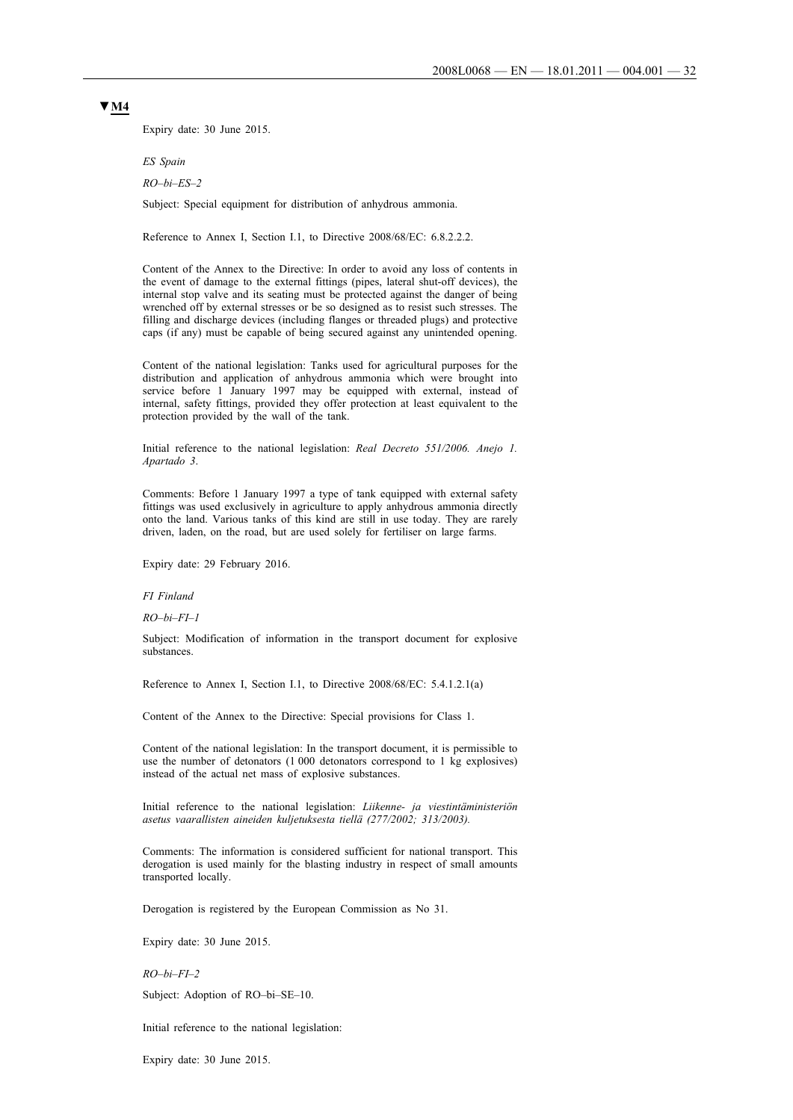Expiry date: 30 June 2015.

*ES Spain*

*RO–bi–ES–2*

Subject: Special equipment for distribution of anhydrous ammonia.

Reference to Annex I, Section I.1, to Directive 2008/68/EC: 6.8.2.2.2.

Content of the Annex to the Directive: In order to avoid any loss of contents in the event of damage to the external fittings (pipes, lateral shut-off devices), the internal stop valve and its seating must be protected against the danger of being wrenched off by external stresses or be so designed as to resist such stresses. The filling and discharge devices (including flanges or threaded plugs) and protective caps (if any) must be capable of being secured against any unintended opening.

Content of the national legislation: Tanks used for agricultural purposes for the distribution and application of anhydrous ammonia which were brought into service before 1 January 1997 may be equipped with external, instead of internal, safety fittings, provided they offer protection at least equivalent to the protection provided by the wall of the tank.

Initial reference to the national legislation: *Real Decreto 551/2006. Anejo 1. Apartado 3*.

Comments: Before 1 January 1997 a type of tank equipped with external safety fittings was used exclusively in agriculture to apply anhydrous ammonia directly onto the land. Various tanks of this kind are still in use today. They are rarely driven, laden, on the road, but are used solely for fertiliser on large farms.

Expiry date: 29 February 2016.

#### *FI Finland*

*RO–bi–FI–1*

Subject: Modification of information in the transport document for explosive substances.

Reference to Annex I, Section I.1, to Directive 2008/68/EC: 5.4.1.2.1(a)

Content of the Annex to the Directive: Special provisions for Class 1.

Content of the national legislation: In the transport document, it is permissible to use the number of detonators (1 000 detonators correspond to 1 kg explosives) instead of the actual net mass of explosive substances.

Initial reference to the national legislation: *Liikenne- ja viestintäministeriön asetus vaarallisten aineiden kuljetuksesta tiellä (277/2002; 313/2003).*

Comments: The information is considered sufficient for national transport. This derogation is used mainly for the blasting industry in respect of small amounts transported locally.

Derogation is registered by the European Commission as No 31.

Expiry date: 30 June 2015.

*RO–bi–FI–2*

Subject: Adoption of RO–bi–SE–10.

Initial reference to the national legislation:

Expiry date: 30 June 2015.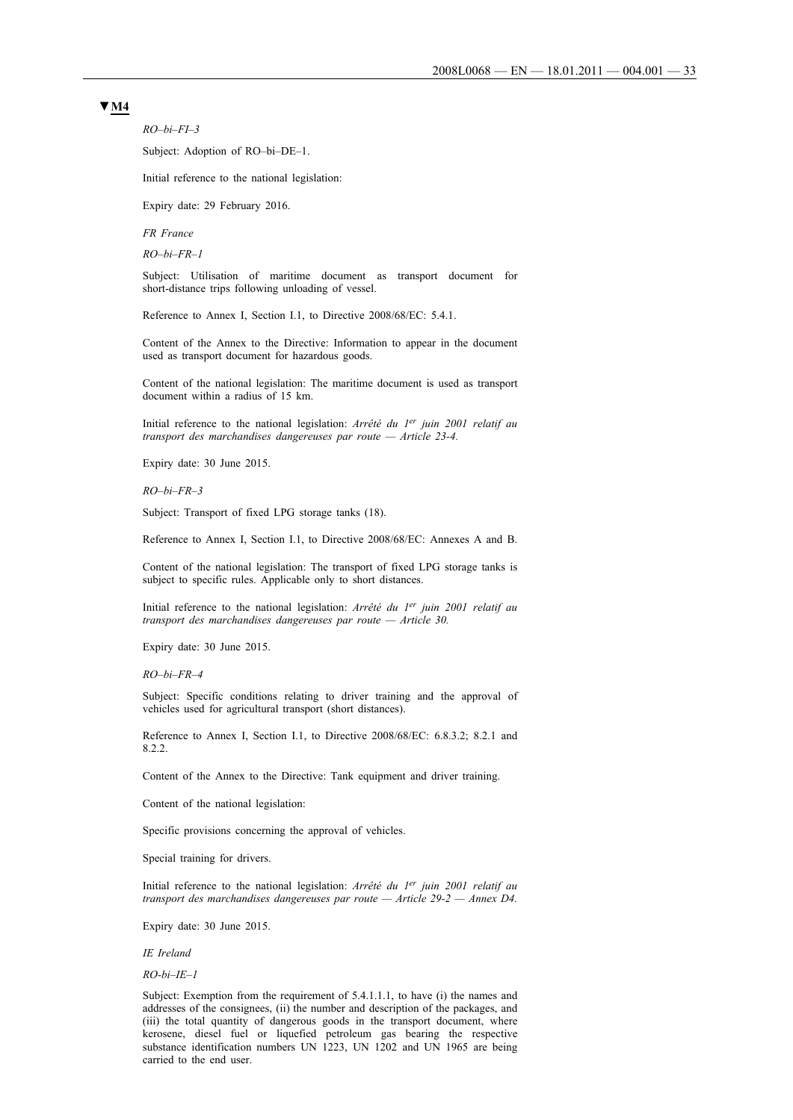*RO–bi–FI–3*

Subject: Adoption of RO–bi–DE–1.

Initial reference to the national legislation:

Expiry date: 29 February 2016.

*FR France*

*RO–bi–FR–1*

Subject: Utilisation of maritime document as transport document for short-distance trips following unloading of vessel.

Reference to Annex I, Section I.1, to Directive 2008/68/EC: 5.4.1.

Content of the Annex to the Directive: Information to appear in the document used as transport document for hazardous goods.

Content of the national legislation: The maritime document is used as transport document within a radius of 15 km.

Initial reference to the national legislation: *Arrêté du 1er juin 2001 relatif au transport des marchandises dangereuses par route — Article 23-4.*

Expiry date: 30 June 2015.

*RO–bi–FR–3*

Subject: Transport of fixed LPG storage tanks (18).

Reference to Annex I, Section I.1, to Directive 2008/68/EC: Annexes A and B.

Content of the national legislation: The transport of fixed LPG storage tanks is subject to specific rules. Applicable only to short distances.

Initial reference to the national legislation: *Arrêté du 1er juin 2001 relatif au transport des marchandises dangereuses par route — Article 30.*

Expiry date: 30 June 2015.

*RO–bi–FR–4*

Subject: Specific conditions relating to driver training and the approval of vehicles used for agricultural transport (short distances).

Reference to Annex I, Section I.1, to Directive 2008/68/EC: 6.8.3.2; 8.2.1 and 8.2.2.

Content of the Annex to the Directive: Tank equipment and driver training.

Content of the national legislation:

Specific provisions concerning the approval of vehicles.

Special training for drivers.

Initial reference to the national legislation: *Arrêté du 1er juin 2001 relatif au transport des marchandises dangereuses par route — Article 29-2 — Annex D4.*

Expiry date: 30 June 2015.

*IE Ireland*

*RO-bi–IE–1*

Subject: Exemption from the requirement of 5.4.1.1.1, to have (i) the names and addresses of the consignees, (ii) the number and description of the packages, and (iii) the total quantity of dangerous goods in the transport document, where kerosene, diesel fuel or liquefied petroleum gas bearing the respective substance identification numbers UN 1223, UN 1202 and UN 1965 are being carried to the end user.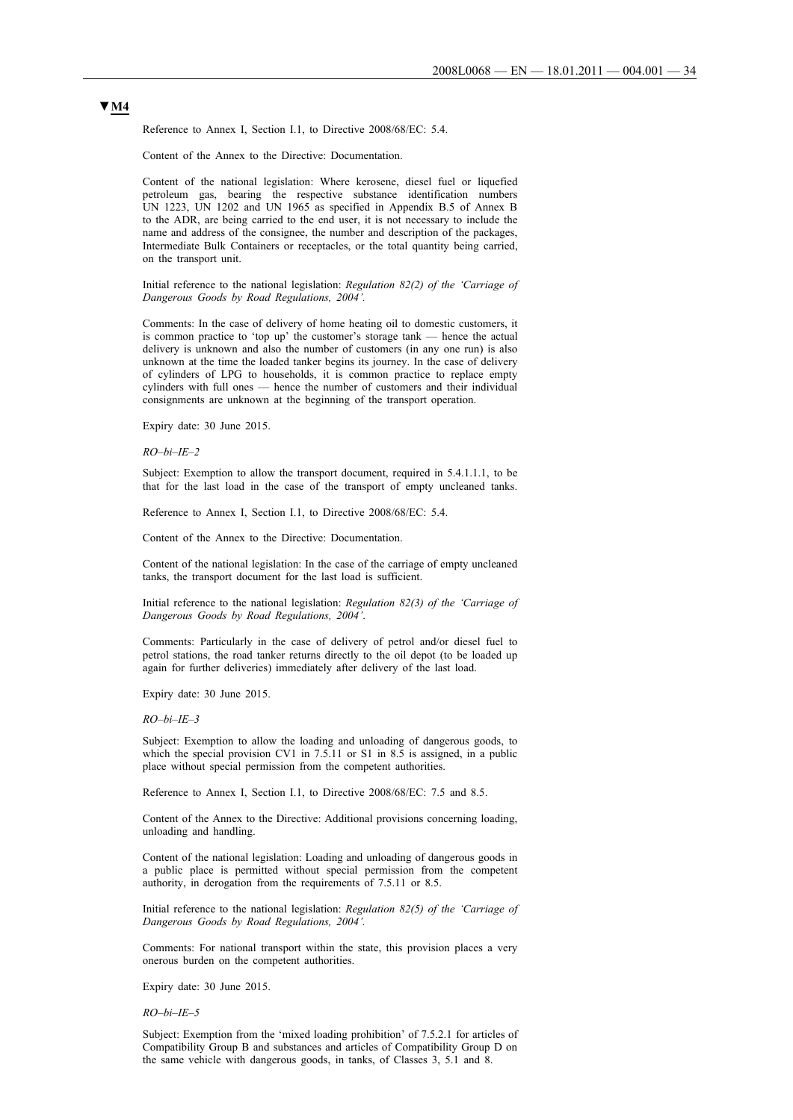Reference to Annex I, Section I.1, to Directive 2008/68/EC: 5.4.

Content of the Annex to the Directive: Documentation.

Content of the national legislation: Where kerosene, diesel fuel or liquefied petroleum gas, bearing the respective substance identification numbers UN 1223, UN 1202 and UN 1965 as specified in Appendix B.5 of Annex B to the ADR, are being carried to the end user, it is not necessary to include the name and address of the consignee, the number and description of the packages, Intermediate Bulk Containers or receptacles, or the total quantity being carried, on the transport unit.

Initial reference to the national legislation: *Regulation 82(2) of the 'Carriage of Dangerous Goods by Road Regulations, 2004'.*

Comments: In the case of delivery of home heating oil to domestic customers, it is common practice to 'top up' the customer's storage tank — hence the actual delivery is unknown and also the number of customers (in any one run) is also unknown at the time the loaded tanker begins its journey. In the case of delivery of cylinders of LPG to households, it is common practice to replace empty cylinders with full ones — hence the number of customers and their individual consignments are unknown at the beginning of the transport operation.

Expiry date: 30 June 2015.

*RO–bi–IE–2*

Subject: Exemption to allow the transport document, required in 5.4.1.1.1, to be that for the last load in the case of the transport of empty uncleaned tanks.

Reference to Annex I, Section I.1, to Directive 2008/68/EC: 5.4.

Content of the Annex to the Directive: Documentation.

Content of the national legislation: In the case of the carriage of empty uncleaned tanks, the transport document for the last load is sufficient.

Initial reference to the national legislation: *Regulation 82(3) of the 'Carriage of Dangerous Goods by Road Regulations, 2004'*.

Comments: Particularly in the case of delivery of petrol and/or diesel fuel to petrol stations, the road tanker returns directly to the oil depot (to be loaded up again for further deliveries) immediately after delivery of the last load.

Expiry date: 30 June 2015.

*RO–bi–IE–3*

Subject: Exemption to allow the loading and unloading of dangerous goods, to which the special provision CV1 in 7.5.11 or S1 in 8.5 is assigned, in a public place without special permission from the competent authorities.

Reference to Annex I, Section I.1, to Directive 2008/68/EC: 7.5 and 8.5.

Content of the Annex to the Directive: Additional provisions concerning loading, unloading and handling.

Content of the national legislation: Loading and unloading of dangerous goods in a public place is permitted without special permission from the competent authority, in derogation from the requirements of 7.5.11 or 8.5.

Initial reference to the national legislation: *Regulation 82(5) of the 'Carriage of Dangerous Goods by Road Regulations, 2004'.*

Comments: For national transport within the state, this provision places a very onerous burden on the competent authorities.

Expiry date: 30 June 2015.

*RO–bi–IE–5*

Subject: Exemption from the 'mixed loading prohibition' of 7.5.2.1 for articles of Compatibility Group B and substances and articles of Compatibility Group D on the same vehicle with dangerous goods, in tanks, of Classes 3, 5.1 and 8.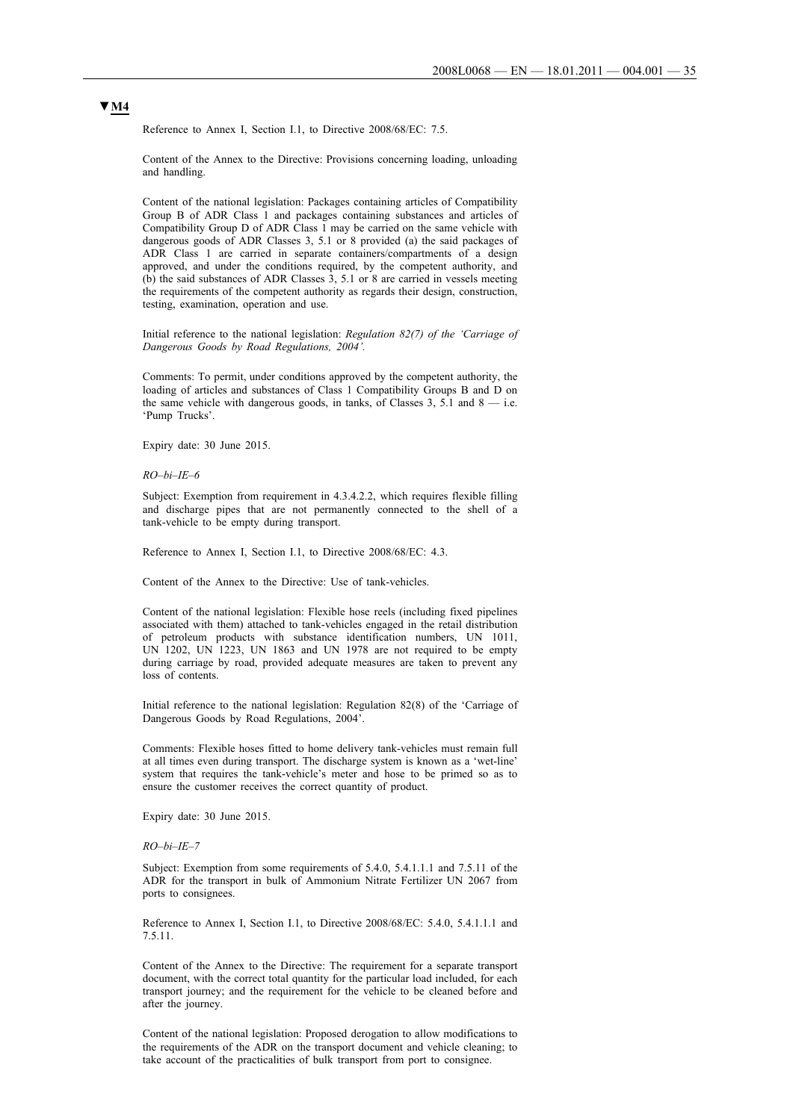Reference to Annex I, Section I.1, to Directive 2008/68/EC: 7.5.

Content of the Annex to the Directive: Provisions concerning loading, unloading and handling.

Content of the national legislation: Packages containing articles of Compatibility Group B of ADR Class 1 and packages containing substances and articles of Compatibility Group D of ADR Class 1 may be carried on the same vehicle with dangerous goods of ADR Classes 3, 5.1 or 8 provided (a) the said packages of ADR Class 1 are carried in separate containers/compartments of a design approved, and under the conditions required, by the competent authority, and (b) the said substances of ADR Classes 3, 5.1 or 8 are carried in vessels meeting the requirements of the competent authority as regards their design, construction, testing, examination, operation and use.

Initial reference to the national legislation: *Regulation 82(7) of the 'Carriage of Dangerous Goods by Road Regulations, 2004'.*

Comments: To permit, under conditions approved by the competent authority, the loading of articles and substances of Class 1 Compatibility Groups B and D on the same vehicle with dangerous goods, in tanks, of Classes 3, 5.1 and  $8 - i.e.$ 'Pump Trucks'.

Expiry date: 30 June 2015.

*RO–bi–IE–6*

Subject: Exemption from requirement in 4.3.4.2.2, which requires flexible filling and discharge pipes that are not permanently connected to the shell of a tank-vehicle to be empty during transport.

Reference to Annex I, Section I.1, to Directive 2008/68/EC: 4.3.

Content of the Annex to the Directive: Use of tank-vehicles.

Content of the national legislation: Flexible hose reels (including fixed pipelines associated with them) attached to tank-vehicles engaged in the retail distribution of petroleum products with substance identification numbers, UN 1011, UN 1202, UN 1223, UN 1863 and UN 1978 are not required to be empty during carriage by road, provided adequate measures are taken to prevent any loss of contents.

Initial reference to the national legislation: Regulation 82(8) of the 'Carriage of Dangerous Goods by Road Regulations, 2004'.

Comments: Flexible hoses fitted to home delivery tank-vehicles must remain full at all times even during transport. The discharge system is known as a 'wet-line' system that requires the tank-vehicle's meter and hose to be primed so as to ensure the customer receives the correct quantity of product.

Expiry date: 30 June 2015.

*RO–bi–IE–7*

Subject: Exemption from some requirements of 5.4.0, 5.4.1.1.1 and 7.5.11 of the ADR for the transport in bulk of Ammonium Nitrate Fertilizer UN 2067 from ports to consignees.

Reference to Annex I, Section I.1, to Directive 2008/68/EC: 5.4.0, 5.4.1.1.1 and 7.5.11.

Content of the Annex to the Directive: The requirement for a separate transport document, with the correct total quantity for the particular load included, for each transport journey; and the requirement for the vehicle to be cleaned before and after the journey.

Content of the national legislation: Proposed derogation to allow modifications to the requirements of the ADR on the transport document and vehicle cleaning; to take account of the practicalities of bulk transport from port to consignee.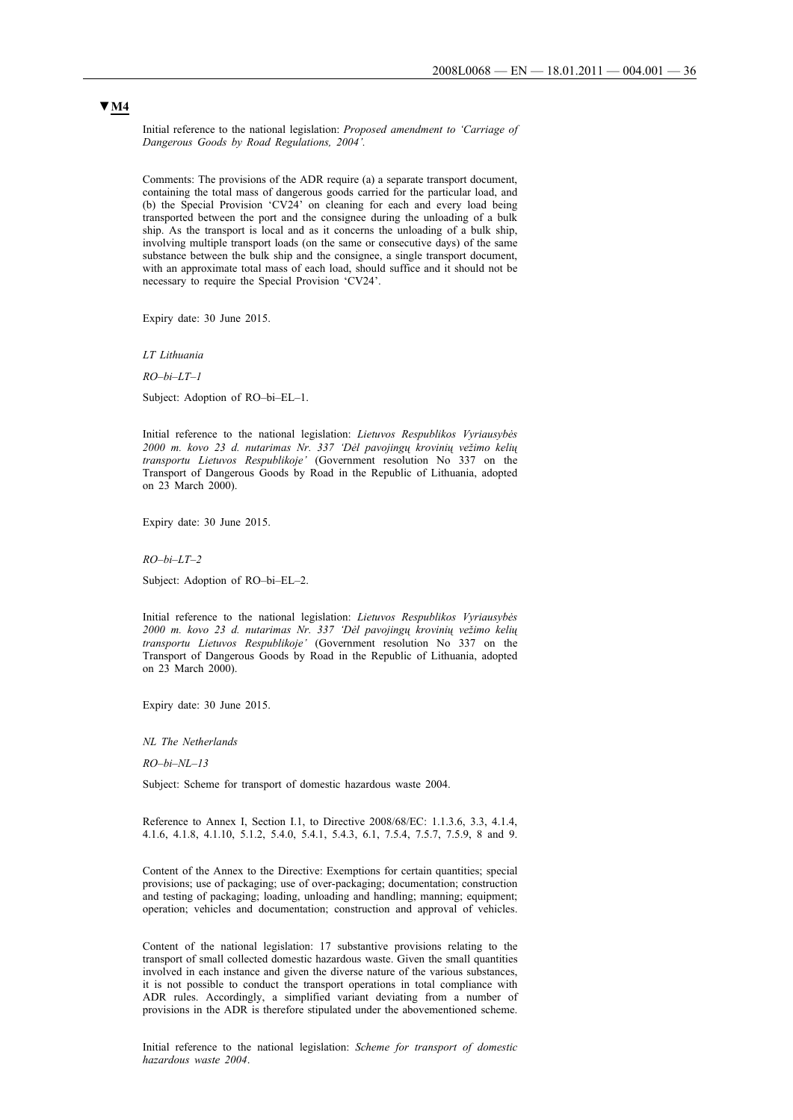Initial reference to the national legislation: *Proposed amendment to 'Carriage of Dangerous Goods by Road Regulations, 2004'.*

Comments: The provisions of the ADR require (a) a separate transport document, containing the total mass of dangerous goods carried for the particular load, and (b) the Special Provision 'CV24' on cleaning for each and every load being transported between the port and the consignee during the unloading of a bulk ship. As the transport is local and as it concerns the unloading of a bulk ship, involving multiple transport loads (on the same or consecutive days) of the same substance between the bulk ship and the consignee, a single transport document, with an approximate total mass of each load, should suffice and it should not be necessary to require the Special Provision 'CV24'.

Expiry date: 30 June 2015.

*LT Lithuania*

*RO–bi–LT–1*

Subject: Adoption of RO–bi–EL–1.

Initial reference to the national legislation: *Lietuvos Respublikos Vyriausybės 2000 m. kovo 23 d. nutarimas Nr. 337 'Dėl pavojingų krovinių vežimo kelių transportu Lietuvos Respublikoje'* (Government resolution No 337 on the Transport of Dangerous Goods by Road in the Republic of Lithuania, adopted on 23 March 2000).

Expiry date: 30 June 2015.

*RO–bi–LT–2*

Subject: Adoption of RO–bi–EL–2.

Initial reference to the national legislation: *Lietuvos Respublikos Vyriausybės 2000 m. kovo 23 d. nutarimas Nr. 337 'Dėl pavojingų krovinių vežimo kelių transportu Lietuvos Respublikoje'* (Government resolution No 337 on the Transport of Dangerous Goods by Road in the Republic of Lithuania, adopted on 23 March 2000).

Expiry date: 30 June 2015.

*NL The Netherlands*

*RO–bi–NL–13*

Subject: Scheme for transport of domestic hazardous waste 2004.

Reference to Annex I, Section I.1, to Directive 2008/68/EC: 1.1.3.6, 3.3, 4.1.4, 4.1.6, 4.1.8, 4.1.10, 5.1.2, 5.4.0, 5.4.1, 5.4.3, 6.1, 7.5.4, 7.5.7, 7.5.9, 8 and 9.

Content of the Annex to the Directive: Exemptions for certain quantities; special provisions; use of packaging; use of over-packaging; documentation; construction and testing of packaging; loading, unloading and handling; manning; equipment; operation; vehicles and documentation; construction and approval of vehicles.

Content of the national legislation: 17 substantive provisions relating to the transport of small collected domestic hazardous waste. Given the small quantities involved in each instance and given the diverse nature of the various substances, it is not possible to conduct the transport operations in total compliance with ADR rules. Accordingly, a simplified variant deviating from a number of provisions in the ADR is therefore stipulated under the abovementioned scheme.

Initial reference to the national legislation: *Scheme for transport of domestic hazardous waste 2004*.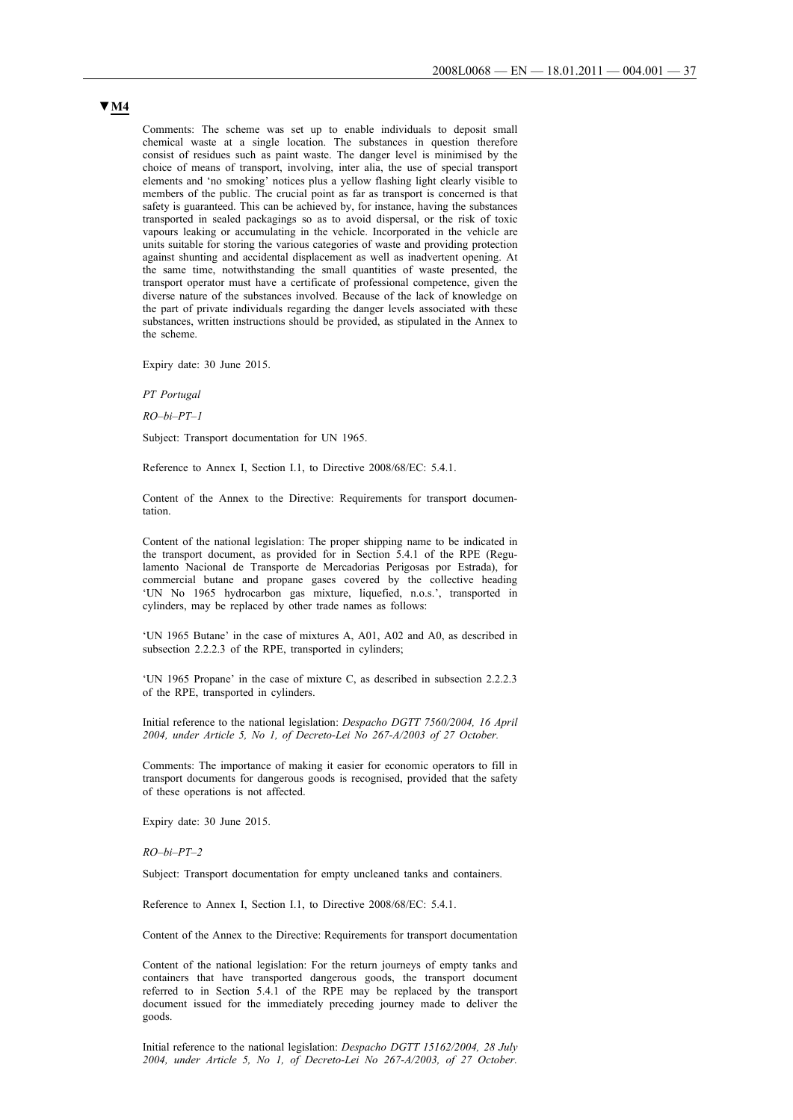Comments: The scheme was set up to enable individuals to deposit small chemical waste at a single location. The substances in question therefore consist of residues such as paint waste. The danger level is minimised by the choice of means of transport, involving, inter alia, the use of special transport elements and 'no smoking' notices plus a yellow flashing light clearly visible to members of the public. The crucial point as far as transport is concerned is that safety is guaranteed. This can be achieved by, for instance, having the substances transported in sealed packagings so as to avoid dispersal, or the risk of toxic vapours leaking or accumulating in the vehicle. Incorporated in the vehicle are units suitable for storing the various categories of waste and providing protection against shunting and accidental displacement as well as inadvertent opening. At the same time, notwithstanding the small quantities of waste presented, the transport operator must have a certificate of professional competence, given the diverse nature of the substances involved. Because of the lack of knowledge on the part of private individuals regarding the danger levels associated with these substances, written instructions should be provided, as stipulated in the Annex to the scheme.

Expiry date: 30 June 2015.

#### *PT Portugal*

*RO–bi–PT–1*

Subject: Transport documentation for UN 1965.

Reference to Annex I, Section I.1, to Directive 2008/68/EC: 5.4.1.

Content of the Annex to the Directive: Requirements for transport documentation.

Content of the national legislation: The proper shipping name to be indicated in the transport document, as provided for in Section 5.4.1 of the RPE (Regulamento Nacional de Transporte de Mercadorias Perigosas por Estrada), for commercial butane and propane gases covered by the collective heading 'UN No 1965 hydrocarbon gas mixture, liquefied, n.o.s.', transported in cylinders, may be replaced by other trade names as follows:

'UN 1965 Butane' in the case of mixtures A, A01, A02 and A0, as described in subsection 2.2.2.3 of the RPE, transported in cylinders;

'UN 1965 Propane' in the case of mixture C, as described in subsection 2.2.2.3 of the RPE, transported in cylinders.

Initial reference to the national legislation: *Despacho DGTT 7560/2004, 16 April 2004, under Article 5, No 1, of Decreto-Lei No 267-A/2003 of 27 October.*

Comments: The importance of making it easier for economic operators to fill in transport documents for dangerous goods is recognised, provided that the safety of these operations is not affected.

Expiry date: 30 June 2015.

*RO–bi–PT–2*

Subject: Transport documentation for empty uncleaned tanks and containers.

Reference to Annex I, Section I.1, to Directive 2008/68/EC: 5.4.1.

Content of the Annex to the Directive: Requirements for transport documentation

Content of the national legislation: For the return journeys of empty tanks and containers that have transported dangerous goods, the transport document referred to in Section 5.4.1 of the RPE may be replaced by the transport document issued for the immediately preceding journey made to deliver the goods.

Initial reference to the national legislation: *Despacho DGTT 15162/2004, 28 July 2004, under Article 5, No 1, of Decreto-Lei No 267-A/2003, of 27 October.*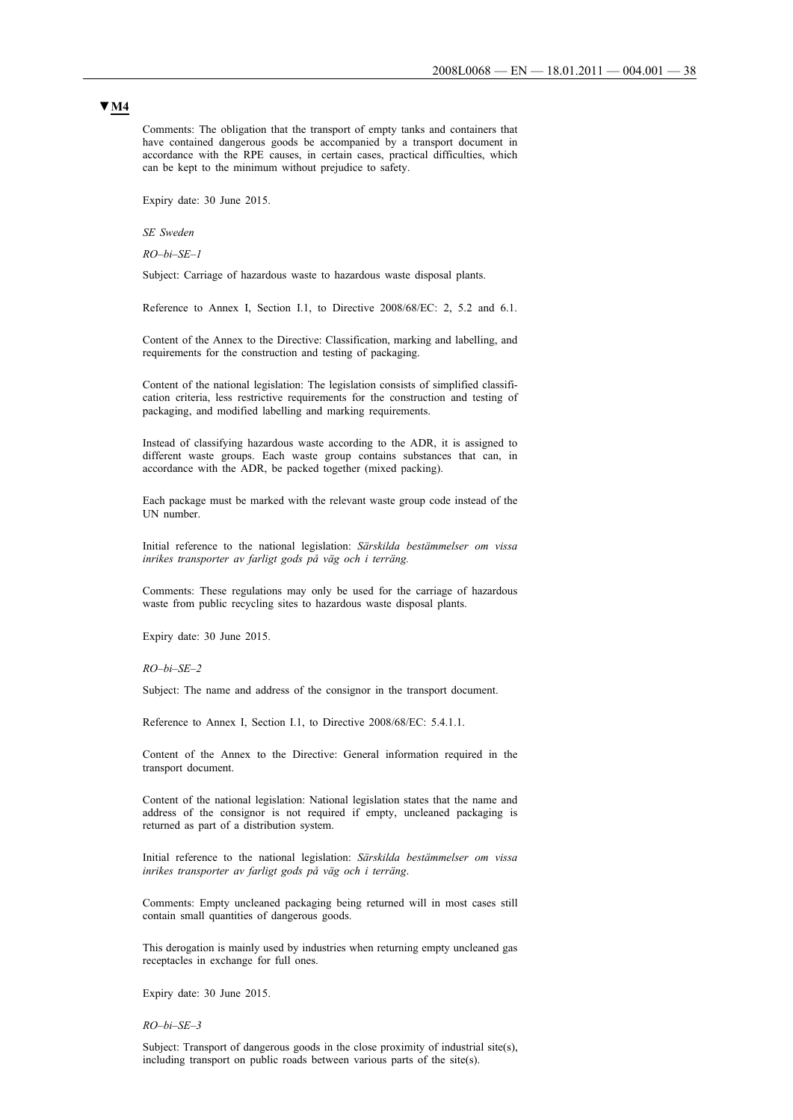Comments: The obligation that the transport of empty tanks and containers that have contained dangerous goods be accompanied by a transport document in accordance with the RPE causes, in certain cases, practical difficulties, which can be kept to the minimum without prejudice to safety.

Expiry date: 30 June 2015.

*SE Sweden*

*RO–bi–SE–1*

Subject: Carriage of hazardous waste to hazardous waste disposal plants.

Reference to Annex I, Section I.1, to Directive 2008/68/EC: 2, 5.2 and 6.1.

Content of the Annex to the Directive: Classification, marking and labelling, and requirements for the construction and testing of packaging.

Content of the national legislation: The legislation consists of simplified classification criteria, less restrictive requirements for the construction and testing of packaging, and modified labelling and marking requirements.

Instead of classifying hazardous waste according to the ADR, it is assigned to different waste groups. Each waste group contains substances that can, in accordance with the ADR, be packed together (mixed packing).

Each package must be marked with the relevant waste group code instead of the UN number.

Initial reference to the national legislation: *Särskilda bestämmelser om vissa inrikes transporter av farligt gods på väg och i terräng.*

Comments: These regulations may only be used for the carriage of hazardous waste from public recycling sites to hazardous waste disposal plants.

Expiry date: 30 June 2015.

*RO–bi–SE–2*

Subject: The name and address of the consignor in the transport document.

Reference to Annex I, Section I.1, to Directive 2008/68/EC: 5.4.1.1.

Content of the Annex to the Directive: General information required in the transport document.

Content of the national legislation: National legislation states that the name and address of the consignor is not required if empty, uncleaned packaging is returned as part of a distribution system.

Initial reference to the national legislation: *Särskilda bestämmelser om vissa inrikes transporter av farligt gods på väg och i terräng*.

Comments: Empty uncleaned packaging being returned will in most cases still contain small quantities of dangerous goods.

This derogation is mainly used by industries when returning empty uncleaned gas receptacles in exchange for full ones.

Expiry date: 30 June 2015.

*RO–bi–SE–3*

Subject: Transport of dangerous goods in the close proximity of industrial site(s), including transport on public roads between various parts of the site(s).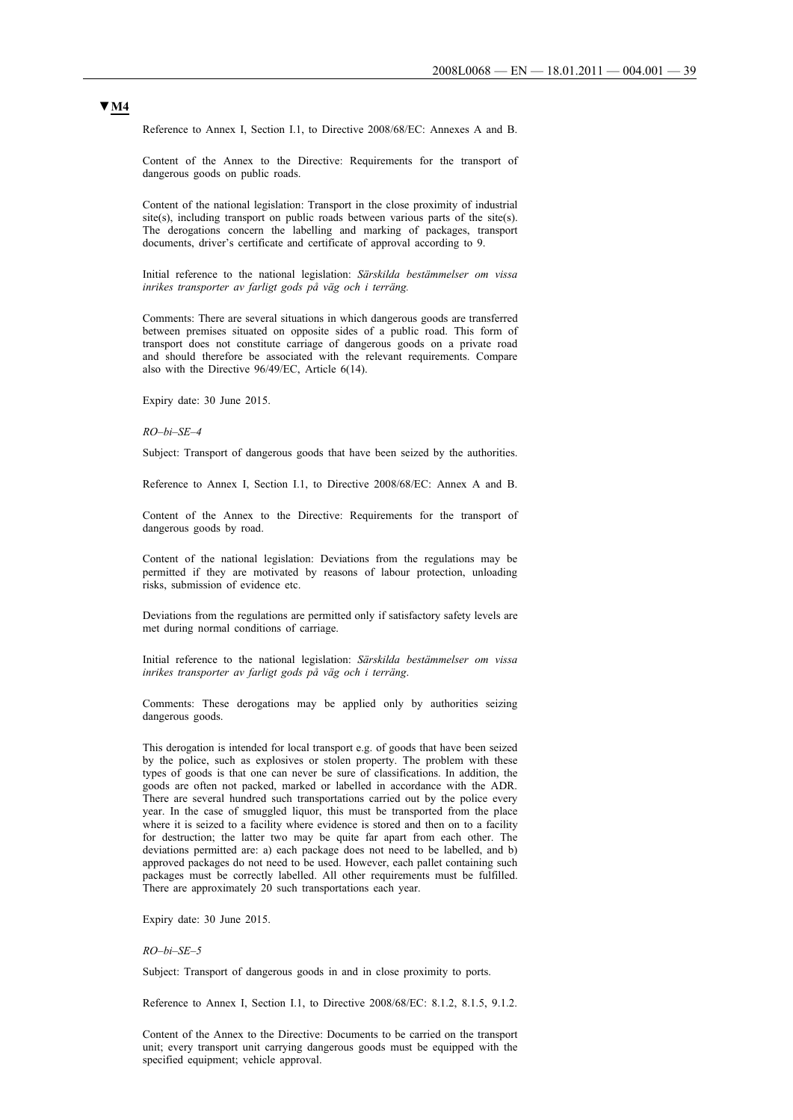Reference to Annex I, Section I.1, to Directive 2008/68/EC: Annexes A and B.

Content of the Annex to the Directive: Requirements for the transport of dangerous goods on public roads.

Content of the national legislation: Transport in the close proximity of industrial site(s), including transport on public roads between various parts of the site(s). The derogations concern the labelling and marking of packages, transport documents, driver's certificate and certificate of approval according to 9.

Initial reference to the national legislation: *Särskilda bestämmelser om vissa inrikes transporter av farligt gods på väg och i terräng.*

Comments: There are several situations in which dangerous goods are transferred between premises situated on opposite sides of a public road. This form of transport does not constitute carriage of dangerous goods on a private road and should therefore be associated with the relevant requirements. Compare also with the Directive 96/49/EC, Article 6(14).

Expiry date: 30 June 2015.

#### *RO–bi–SE–4*

Subject: Transport of dangerous goods that have been seized by the authorities.

Reference to Annex I, Section I.1, to Directive 2008/68/EC: Annex A and B.

Content of the Annex to the Directive: Requirements for the transport of dangerous goods by road.

Content of the national legislation: Deviations from the regulations may be permitted if they are motivated by reasons of labour protection, unloading risks, submission of evidence etc.

Deviations from the regulations are permitted only if satisfactory safety levels are met during normal conditions of carriage.

Initial reference to the national legislation: *Särskilda bestämmelser om vissa inrikes transporter av farligt gods på väg och i terräng*.

Comments: These derogations may be applied only by authorities seizing dangerous goods.

This derogation is intended for local transport e.g. of goods that have been seized by the police, such as explosives or stolen property. The problem with these types of goods is that one can never be sure of classifications. In addition, the goods are often not packed, marked or labelled in accordance with the ADR. There are several hundred such transportations carried out by the police every year. In the case of smuggled liquor, this must be transported from the place where it is seized to a facility where evidence is stored and then on to a facility for destruction; the latter two may be quite far apart from each other. The deviations permitted are: a) each package does not need to be labelled, and b) approved packages do not need to be used. However, each pallet containing such packages must be correctly labelled. All other requirements must be fulfilled. There are approximately 20 such transportations each year.

Expiry date: 30 June 2015.

#### *RO–bi–SE–5*

Subject: Transport of dangerous goods in and in close proximity to ports.

Reference to Annex I, Section I.1, to Directive 2008/68/EC: 8.1.2, 8.1.5, 9.1.2.

Content of the Annex to the Directive: Documents to be carried on the transport unit; every transport unit carrying dangerous goods must be equipped with the specified equipment; vehicle approval.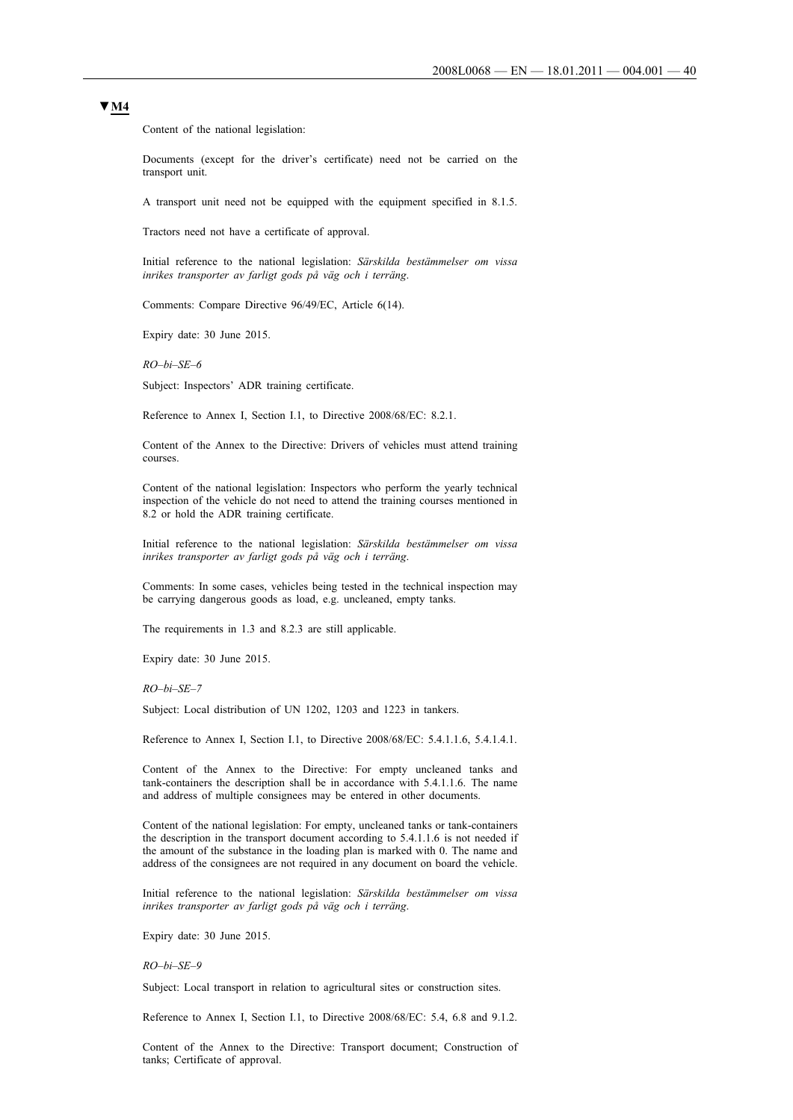Content of the national legislation:

Documents (except for the driver's certificate) need not be carried on the transport unit.

A transport unit need not be equipped with the equipment specified in 8.1.5.

Tractors need not have a certificate of approval.

Initial reference to the national legislation: *Särskilda bestämmelser om vissa inrikes transporter av farligt gods på väg och i terräng*.

Comments: Compare Directive 96/49/EC, Article 6(14).

Expiry date: 30 June 2015.

*RO–bi–SE–6*

Subject: Inspectors' ADR training certificate.

Reference to Annex I, Section I.1, to Directive 2008/68/EC: 8.2.1.

Content of the Annex to the Directive: Drivers of vehicles must attend training courses.

Content of the national legislation: Inspectors who perform the yearly technical inspection of the vehicle do not need to attend the training courses mentioned in 8.2 or hold the ADR training certificate.

Initial reference to the national legislation: *Särskilda bestämmelser om vissa inrikes transporter av farligt gods på väg och i terräng*.

Comments: In some cases, vehicles being tested in the technical inspection may be carrying dangerous goods as load, e.g. uncleaned, empty tanks.

The requirements in 1.3 and 8.2.3 are still applicable.

Expiry date: 30 June 2015.

*RO–bi–SE–7*

Subject: Local distribution of UN 1202, 1203 and 1223 in tankers.

Reference to Annex I, Section I.1, to Directive 2008/68/EC: 5.4.1.1.6, 5.4.1.4.1.

Content of the Annex to the Directive: For empty uncleaned tanks and tank-containers the description shall be in accordance with 5.4.1.1.6. The name and address of multiple consignees may be entered in other documents.

Content of the national legislation: For empty, uncleaned tanks or tank-containers the description in the transport document according to 5.4.1.1.6 is not needed if the amount of the substance in the loading plan is marked with 0. The name and address of the consignees are not required in any document on board the vehicle.

Initial reference to the national legislation: *Särskilda bestämmelser om vissa inrikes transporter av farligt gods på väg och i terräng*.

Expiry date: 30 June 2015.

#### *RO–bi–SE–9*

Subject: Local transport in relation to agricultural sites or construction sites.

Reference to Annex I, Section I.1, to Directive 2008/68/EC: 5.4, 6.8 and 9.1.2.

Content of the Annex to the Directive: Transport document; Construction of tanks; Certificate of approval.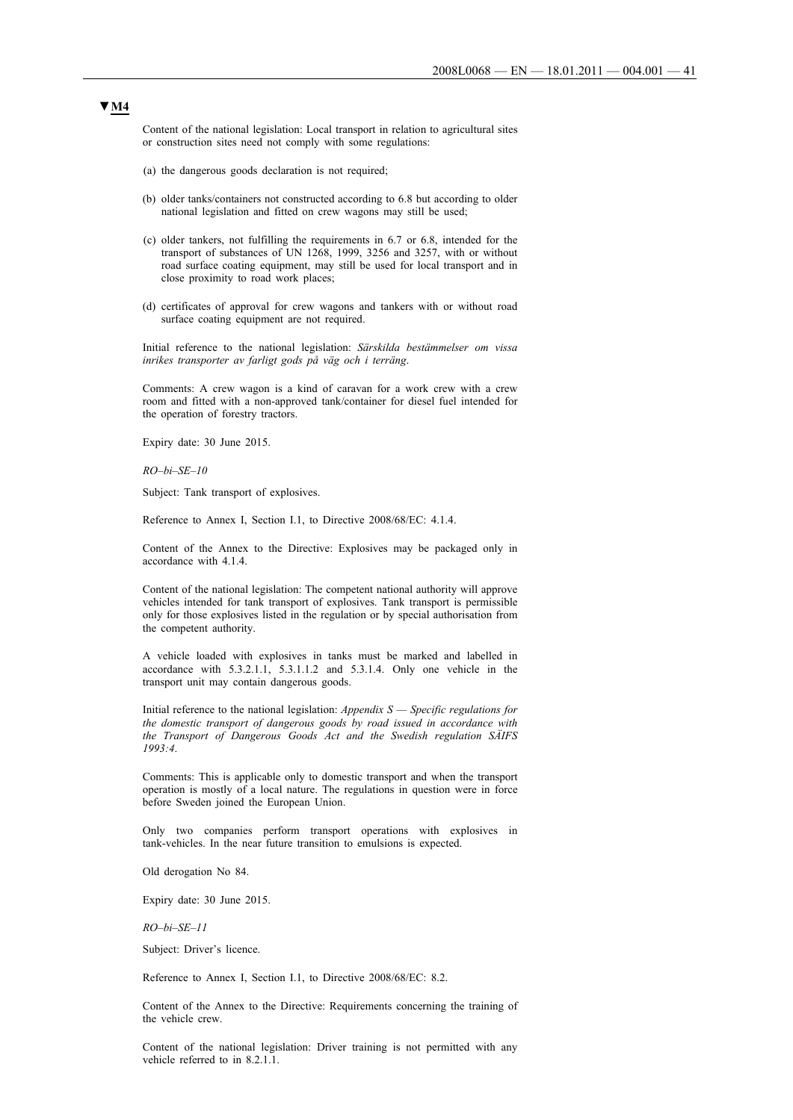Content of the national legislation: Local transport in relation to agricultural sites or construction sites need not comply with some regulations:

- (a) the dangerous goods declaration is not required;
- (b) older tanks/containers not constructed according to 6.8 but according to older national legislation and fitted on crew wagons may still be used;
- (c) older tankers, not fulfilling the requirements in 6.7 or 6.8, intended for the transport of substances of UN 1268, 1999, 3256 and 3257, with or without road surface coating equipment, may still be used for local transport and in close proximity to road work places;
- (d) certificates of approval for crew wagons and tankers with or without road surface coating equipment are not required.

Initial reference to the national legislation: *Särskilda bestämmelser om vissa inrikes transporter av farligt gods på väg och i terräng*.

Comments: A crew wagon is a kind of caravan for a work crew with a crew room and fitted with a non-approved tank/container for diesel fuel intended for the operation of forestry tractors.

Expiry date: 30 June 2015.

*RO–bi–SE–10*

Subject: Tank transport of explosives.

Reference to Annex I, Section I.1, to Directive 2008/68/EC: 4.1.4.

Content of the Annex to the Directive: Explosives may be packaged only in accordance with 4.1.4.

Content of the national legislation: The competent national authority will approve vehicles intended for tank transport of explosives. Tank transport is permissible only for those explosives listed in the regulation or by special authorisation from the competent authority.

A vehicle loaded with explosives in tanks must be marked and labelled in accordance with  $5.3.2.1.1$ ,  $5.3.1.1.2$  and  $5.3.1.4$ . Only one vehicle in the transport unit may contain dangerous goods.

Initial reference to the national legislation: *Appendix S — Specific regulations for the domestic transport of dangerous goods by road issued in accordance with the Transport of Dangerous Goods Act and the Swedish regulation SÄIFS 1993:4*.

Comments: This is applicable only to domestic transport and when the transport operation is mostly of a local nature. The regulations in question were in force before Sweden joined the European Union.

Only two companies perform transport operations with explosives in tank-vehicles. In the near future transition to emulsions is expected.

Old derogation No 84.

Expiry date: 30 June 2015.

*RO–bi–SE–11*

Subject: Driver's licence.

Reference to Annex I, Section I.1, to Directive 2008/68/EC: 8.2.

Content of the Annex to the Directive: Requirements concerning the training of the vehicle crew.

Content of the national legislation: Driver training is not permitted with any vehicle referred to in 8.2.1.1.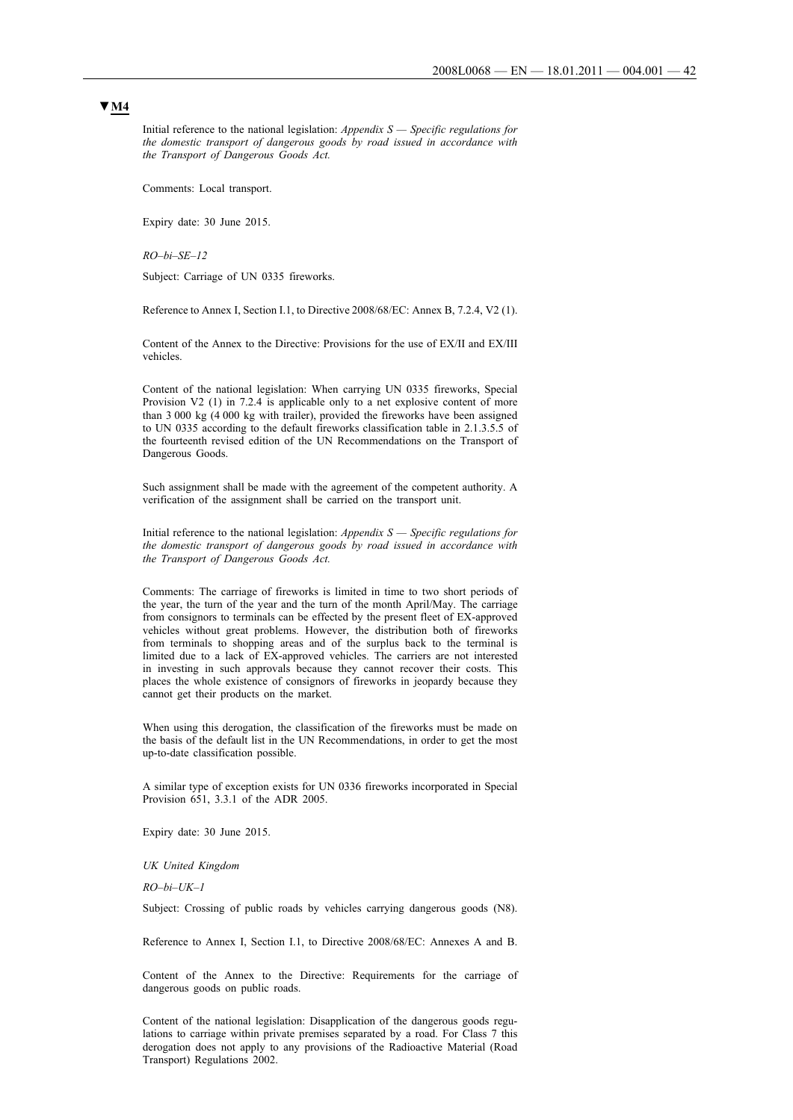Initial reference to the national legislation: *Appendix S — Specific regulations for the domestic transport of dangerous goods by road issued in accordance with the Transport of Dangerous Goods Act.*

Comments: Local transport.

Expiry date: 30 June 2015.

*RO–bi–SE–12*

Subject: Carriage of UN 0335 fireworks.

Reference to Annex I, Section I.1, to Directive 2008/68/EC: Annex B, 7.2.4, V2 (1).

Content of the Annex to the Directive: Provisions for the use of EX/II and EX/III vehicles.

Content of the national legislation: When carrying UN 0335 fireworks, Special Provision V2 (1) in 7.2.4 is applicable only to a net explosive content of more than 3 000 kg (4 000 kg with trailer), provided the fireworks have been assigned to UN 0335 according to the default fireworks classification table in 2.1.3.5.5 of the fourteenth revised edition of the UN Recommendations on the Transport of Dangerous Goods.

Such assignment shall be made with the agreement of the competent authority. A verification of the assignment shall be carried on the transport unit.

Initial reference to the national legislation: *Appendix S — Specific regulations for the domestic transport of dangerous goods by road issued in accordance with the Transport of Dangerous Goods Act.*

Comments: The carriage of fireworks is limited in time to two short periods of the year, the turn of the year and the turn of the month April/May. The carriage from consignors to terminals can be effected by the present fleet of EX-approved vehicles without great problems. However, the distribution both of fireworks from terminals to shopping areas and of the surplus back to the terminal is limited due to a lack of EX-approved vehicles. The carriers are not interested in investing in such approvals because they cannot recover their costs. This places the whole existence of consignors of fireworks in jeopardy because they cannot get their products on the market.

When using this derogation, the classification of the fireworks must be made on the basis of the default list in the UN Recommendations, in order to get the most up-to-date classification possible.

A similar type of exception exists for UN 0336 fireworks incorporated in Special Provision 651, 3.3.1 of the ADR 2005.

Expiry date: 30 June 2015.

*UK United Kingdom*

*RO–bi–UK–1*

Subject: Crossing of public roads by vehicles carrying dangerous goods (N8).

Reference to Annex I, Section I.1, to Directive 2008/68/EC: Annexes A and B.

Content of the Annex to the Directive: Requirements for the carriage of dangerous goods on public roads.

Content of the national legislation: Disapplication of the dangerous goods regulations to carriage within private premises separated by a road. For Class 7 this derogation does not apply to any provisions of the Radioactive Material (Road Transport) Regulations 2002.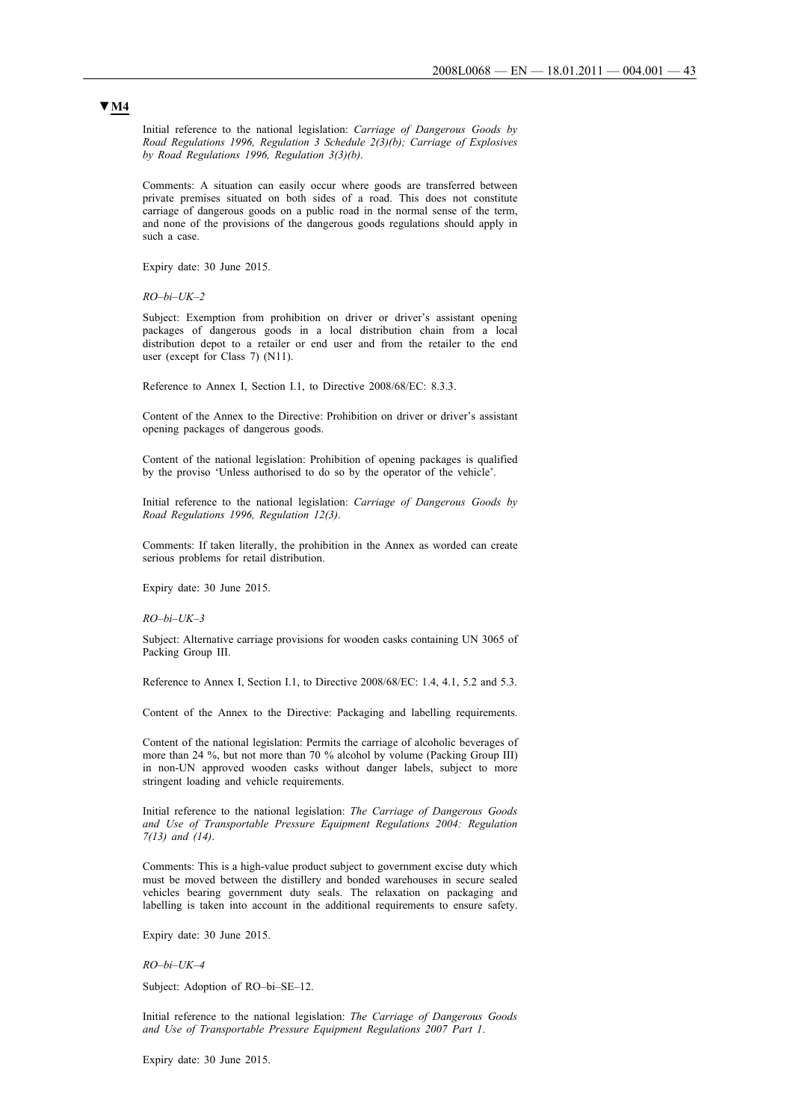Initial reference to the national legislation: *Carriage of Dangerous Goods by Road Regulations 1996, Regulation 3 Schedule 2(3)(b); Carriage of Explosives by Road Regulations 1996, Regulation 3(3)(b)*.

Comments: A situation can easily occur where goods are transferred between private premises situated on both sides of a road. This does not constitute carriage of dangerous goods on a public road in the normal sense of the term, and none of the provisions of the dangerous goods regulations should apply in such a case.

Expiry date: 30 June 2015.

*RO–bi–UK–2*

Subject: Exemption from prohibition on driver or driver's assistant opening packages of dangerous goods in a local distribution chain from a local distribution depot to a retailer or end user and from the retailer to the end user (except for Class 7) (N11).

Reference to Annex I, Section I.1, to Directive 2008/68/EC: 8.3.3.

Content of the Annex to the Directive: Prohibition on driver or driver's assistant opening packages of dangerous goods.

Content of the national legislation: Prohibition of opening packages is qualified by the proviso 'Unless authorised to do so by the operator of the vehicle'.

Initial reference to the national legislation: *Carriage of Dangerous Goods by Road Regulations 1996, Regulation 12(3)*.

Comments: If taken literally, the prohibition in the Annex as worded can create serious problems for retail distribution.

Expiry date: 30 June 2015.

*RO–bi–UK–3*

Subject: Alternative carriage provisions for wooden casks containing UN 3065 of Packing Group III.

Reference to Annex I, Section I.1, to Directive 2008/68/EC: 1.4, 4.1, 5.2 and 5.3.

Content of the Annex to the Directive: Packaging and labelling requirements.

Content of the national legislation: Permits the carriage of alcoholic beverages of more than 24 %, but not more than 70 % alcohol by volume (Packing Group III) in non-UN approved wooden casks without danger labels, subject to more stringent loading and vehicle requirements.

Initial reference to the national legislation: *The Carriage of Dangerous Goods and Use of Transportable Pressure Equipment Regulations 2004: Regulation 7(13) and (14)*.

Comments: This is a high-value product subject to government excise duty which must be moved between the distillery and bonded warehouses in secure sealed vehicles bearing government duty seals. The relaxation on packaging and labelling is taken into account in the additional requirements to ensure safety.

Expiry date: 30 June 2015.

### *RO–bi–UK–4*

Subject: Adoption of RO–bi–SE–12.

Initial reference to the national legislation: *The Carriage of Dangerous Goods and Use of Transportable Pressure Equipment Regulations 2007 Part 1*.

Expiry date: 30 June 2015.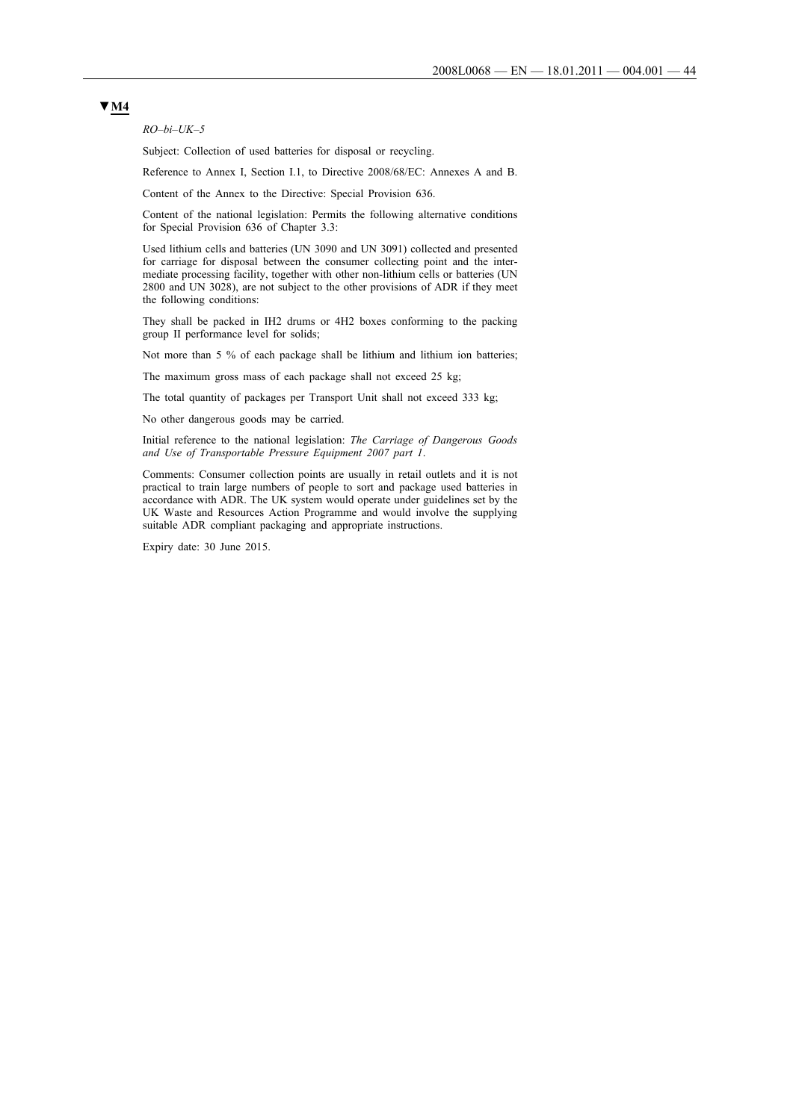*RO–bi–UK–5*

Subject: Collection of used batteries for disposal or recycling.

Reference to Annex I, Section I.1, to Directive 2008/68/EC: Annexes A and B.

Content of the Annex to the Directive: Special Provision 636.

Content of the national legislation: Permits the following alternative conditions for Special Provision 636 of Chapter 3.3:

Used lithium cells and batteries (UN 3090 and UN 3091) collected and presented for carriage for disposal between the consumer collecting point and the intermediate processing facility, together with other non-lithium cells or batteries (UN 2800 and UN 3028), are not subject to the other provisions of ADR if they meet the following conditions:

They shall be packed in IH2 drums or 4H2 boxes conforming to the packing group II performance level for solids;

Not more than 5 % of each package shall be lithium and lithium ion batteries;

The maximum gross mass of each package shall not exceed 25 kg;

The total quantity of packages per Transport Unit shall not exceed 333 kg;

No other dangerous goods may be carried.

Initial reference to the national legislation: *The Carriage of Dangerous Goods and Use of Transportable Pressure Equipment 2007 part 1*.

Comments: Consumer collection points are usually in retail outlets and it is not practical to train large numbers of people to sort and package used batteries in accordance with ADR. The UK system would operate under guidelines set by the UK Waste and Resources Action Programme and would involve the supplying suitable ADR compliant packaging and appropriate instructions.

Expiry date: 30 June 2015.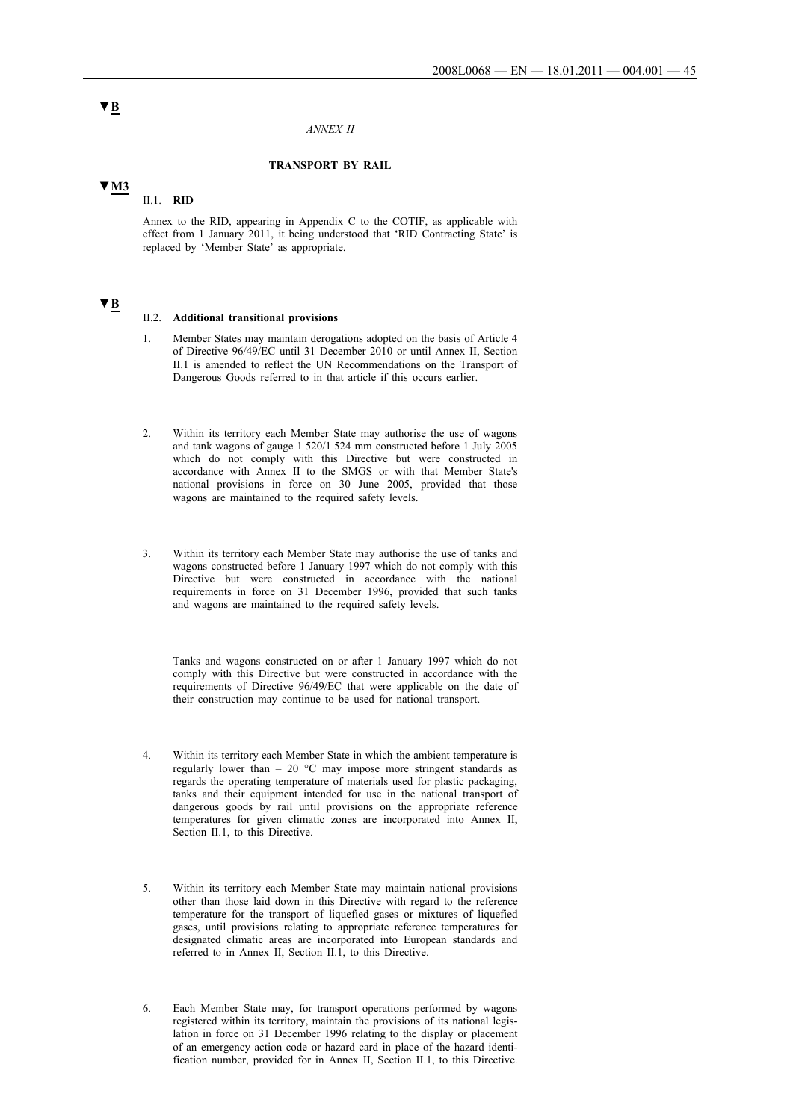#### *ANNEX II*

### **TRANSPORT BY RAIL**

#### **▼M3** II.1. **RID**

Annex to the RID, appearing in Appendix C to the COTIF, as applicable with effect from 1 January 2011, it being understood that 'RID Contracting State' is replaced by 'Member State' as appropriate.

### **▼B**

#### II.2. **Additional transitional provisions**

- 1. Member States may maintain derogations adopted on the basis of Article 4 of Directive 96/49/EC until 31 December 2010 or until Annex II, Section II.1 is amended to reflect the UN Recommendations on the Transport of Dangerous Goods referred to in that article if this occurs earlier.
- 2. Within its territory each Member State may authorise the use of wagons and tank wagons of gauge 1 520/1 524 mm constructed before 1 July 2005 which do not comply with this Directive but were constructed in accordance with Annex II to the SMGS or with that Member State's national provisions in force on 30 June 2005, provided that those wagons are maintained to the required safety levels.
- 3. Within its territory each Member State may authorise the use of tanks and wagons constructed before 1 January 1997 which do not comply with this Directive but were constructed in accordance with the national requirements in force on 31 December 1996, provided that such tanks and wagons are maintained to the required safety levels.

Tanks and wagons constructed on or after 1 January 1997 which do not comply with this Directive but were constructed in accordance with the requirements of Directive 96/49/EC that were applicable on the date of their construction may continue to be used for national transport.

- 4. Within its territory each Member State in which the ambient temperature is regularly lower than  $-20$  °C may impose more stringent standards as regards the operating temperature of materials used for plastic packaging, tanks and their equipment intended for use in the national transport of dangerous goods by rail until provisions on the appropriate reference temperatures for given climatic zones are incorporated into Annex II, Section II.1, to this Directive.
- 5. Within its territory each Member State may maintain national provisions other than those laid down in this Directive with regard to the reference temperature for the transport of liquefied gases or mixtures of liquefied gases, until provisions relating to appropriate reference temperatures for designated climatic areas are incorporated into European standards and referred to in Annex II, Section II.1, to this Directive.
- 6. Each Member State may, for transport operations performed by wagons registered within its territory, maintain the provisions of its national legislation in force on 31 December 1996 relating to the display or placement of an emergency action code or hazard card in place of the hazard identification number, provided for in Annex II, Section II.1, to this Directive.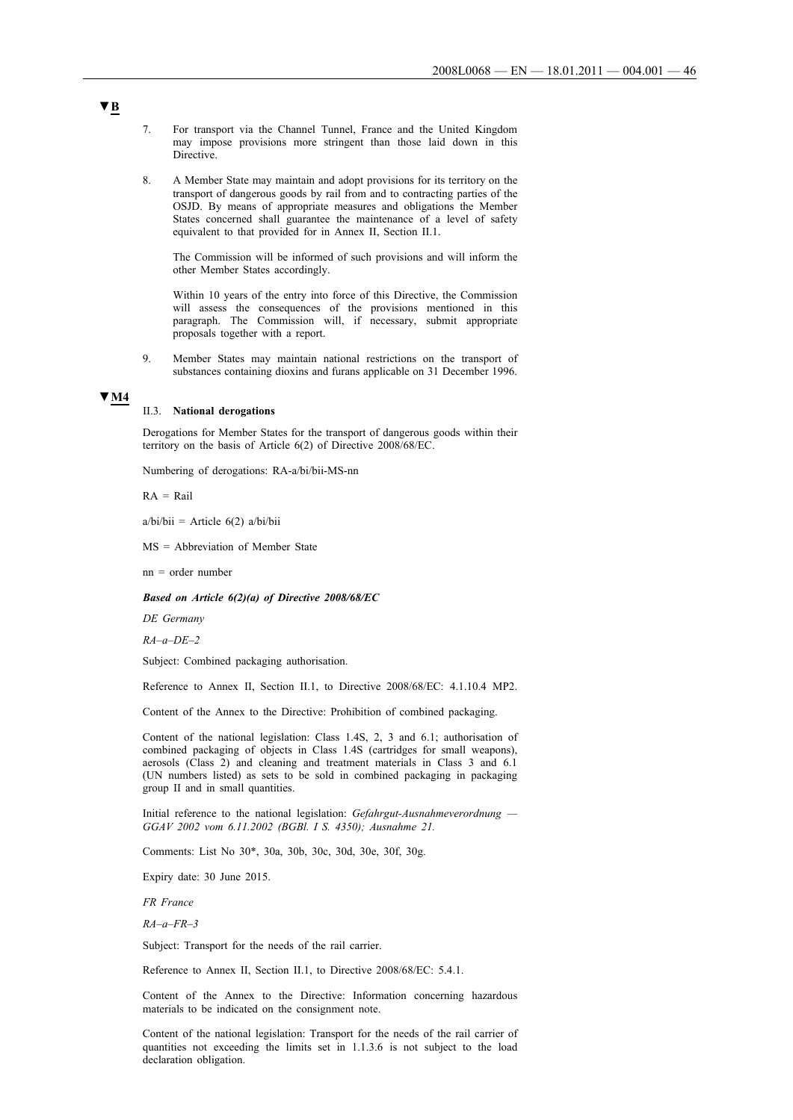- 7. For transport via the Channel Tunnel, France and the United Kingdom may impose provisions more stringent than those laid down in this **Directive**
- 8. A Member State may maintain and adopt provisions for its territory on the transport of dangerous goods by rail from and to contracting parties of the OSJD. By means of appropriate measures and obligations the Member States concerned shall guarantee the maintenance of a level of safety equivalent to that provided for in Annex II, Section II.1.

The Commission will be informed of such provisions and will inform the other Member States accordingly.

Within 10 years of the entry into force of this Directive, the Commission will assess the consequences of the provisions mentioned in this paragraph. The Commission will, if necessary, submit appropriate proposals together with a report.

9. Member States may maintain national restrictions on the transport of substances containing dioxins and furans applicable on 31 December 1996.

### **▼M4**

#### II.3. **National derogations**

Derogations for Member States for the transport of dangerous goods within their territory on the basis of Article 6(2) of Directive 2008/68/EC.

Numbering of derogations: RA-a/bi/bii-MS-nn

 $RA = \text{Rail}$ 

 $a/bi/bii =$  Article 6(2)  $a/bi/bii$ 

MS = Abbreviation of Member State

nn = order number

#### *Based on Article 6(2)(a) of Directive 2008/68/EC*

*DE Germany*

*RA–a–DE–2*

Subject: Combined packaging authorisation.

Reference to Annex II, Section II.1, to Directive 2008/68/EC: 4.1.10.4 MP2.

Content of the Annex to the Directive: Prohibition of combined packaging.

Content of the national legislation: Class 1.4S, 2, 3 and 6.1; authorisation of combined packaging of objects in Class 1.4S (cartridges for small weapons), aerosols (Class 2) and cleaning and treatment materials in Class 3 and 6.1 (UN numbers listed) as sets to be sold in combined packaging in packaging group II and in small quantities.

Initial reference to the national legislation: *Gefahrgut-Ausnahmeverordnung — GGAV 2002 vom 6.11.2002 (BGBl. I S. 4350); Ausnahme 21.*

Comments: List No 30\*, 30a, 30b, 30c, 30d, 30e, 30f, 30g.

Expiry date: 30 June 2015.

*FR France*

*RA–a–FR–3*

Subject: Transport for the needs of the rail carrier.

Reference to Annex II, Section II.1, to Directive 2008/68/EC: 5.4.1.

Content of the Annex to the Directive: Information concerning hazardous materials to be indicated on the consignment note.

Content of the national legislation: Transport for the needs of the rail carrier of quantities not exceeding the limits set in 1.1.3.6 is not subject to the load declaration obligation.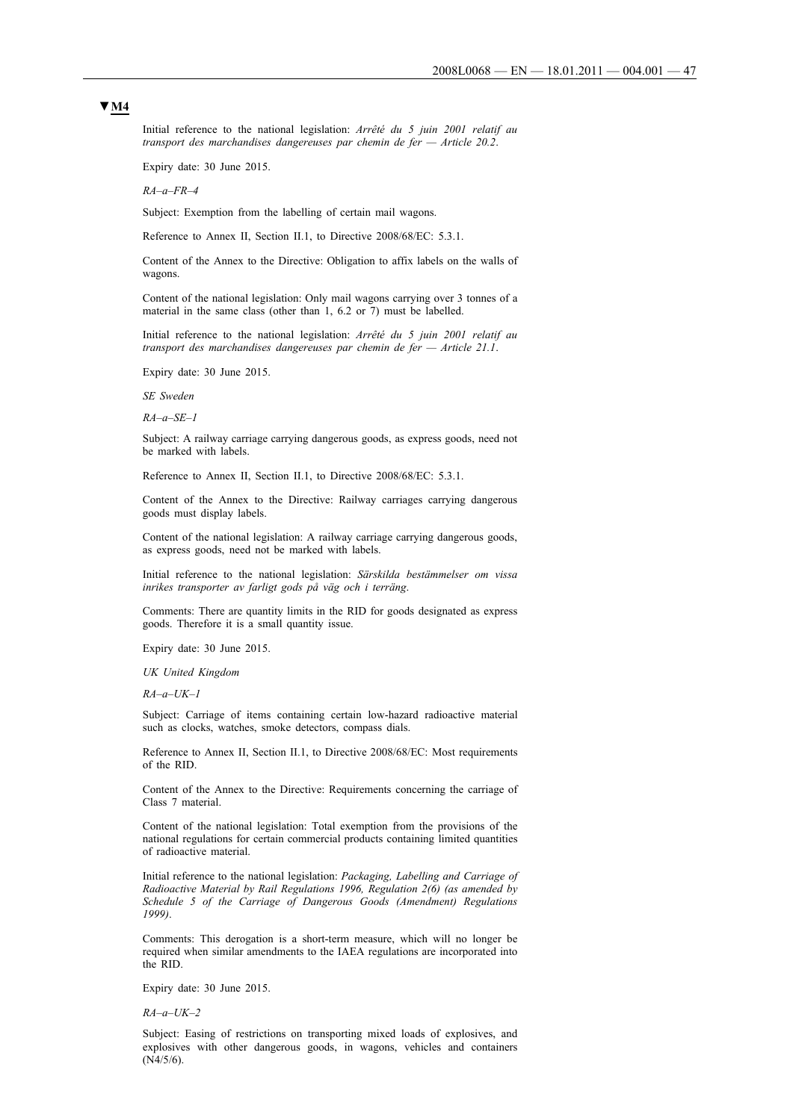Initial reference to the national legislation: *Arrêté du 5 juin 2001 relatif au transport des marchandises dangereuses par chemin de fer — Article 20.2*.

Expiry date: 30 June 2015.

*RA–a–FR–4*

Subject: Exemption from the labelling of certain mail wagons.

Reference to Annex II, Section II.1, to Directive 2008/68/EC: 5.3.1.

Content of the Annex to the Directive: Obligation to affix labels on the walls of wagons.

Content of the national legislation: Only mail wagons carrying over 3 tonnes of a material in the same class (other than 1, 6.2 or 7) must be labelled.

Initial reference to the national legislation: *Arrêté du 5 juin 2001 relatif au transport des marchandises dangereuses par chemin de fer — Article 21.1*.

Expiry date: 30 June 2015.

*SE Sweden*

*RA–a–SE–1*

Subject: A railway carriage carrying dangerous goods, as express goods, need not be marked with labels.

Reference to Annex II, Section II.1, to Directive 2008/68/EC: 5.3.1.

Content of the Annex to the Directive: Railway carriages carrying dangerous goods must display labels.

Content of the national legislation: A railway carriage carrying dangerous goods, as express goods, need not be marked with labels.

Initial reference to the national legislation: *Särskilda bestämmelser om vissa inrikes transporter av farligt gods på väg och i terräng*.

Comments: There are quantity limits in the RID for goods designated as express goods. Therefore it is a small quantity issue.

Expiry date: 30 June 2015.

*UK United Kingdom*

*RA–a–UK–1*

Subject: Carriage of items containing certain low-hazard radioactive material such as clocks, watches, smoke detectors, compass dials.

Reference to Annex II, Section II.1, to Directive 2008/68/EC: Most requirements of the RID.

Content of the Annex to the Directive: Requirements concerning the carriage of Class 7 material.

Content of the national legislation: Total exemption from the provisions of the national regulations for certain commercial products containing limited quantities of radioactive material.

Initial reference to the national legislation: *Packaging, Labelling and Carriage of Radioactive Material by Rail Regulations 1996, Regulation 2(6) (as amended by Schedule 5 of the Carriage of Dangerous Goods (Amendment) Regulations 1999)*.

Comments: This derogation is a short-term measure, which will no longer be required when similar amendments to the IAEA regulations are incorporated into the RID.

Expiry date: 30 June 2015.

*RA–a–UK–2*

Subject: Easing of restrictions on transporting mixed loads of explosives, and explosives with other dangerous goods, in wagons, vehicles and containers (N4/5/6).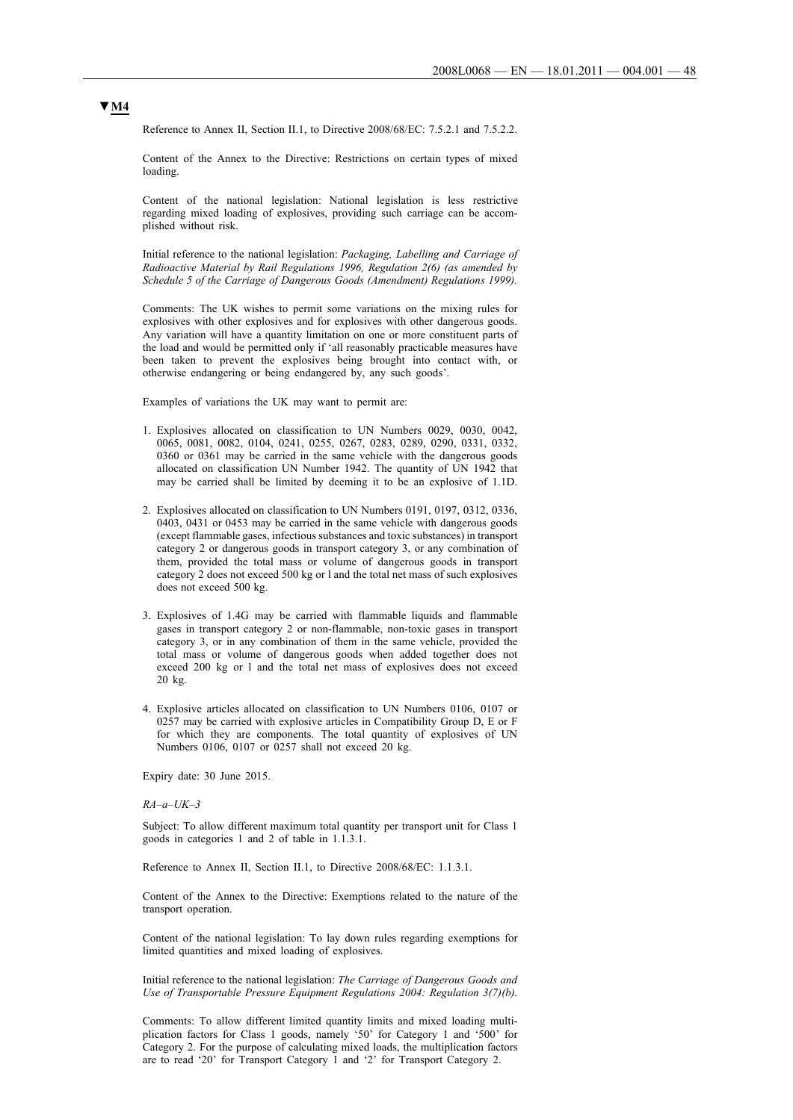Reference to Annex II, Section II.1, to Directive 2008/68/EC: 7.5.2.1 and 7.5.2.2.

Content of the Annex to the Directive: Restrictions on certain types of mixed loading.

Content of the national legislation: National legislation is less restrictive regarding mixed loading of explosives, providing such carriage can be accomplished without risk.

Initial reference to the national legislation: *Packaging, Labelling and Carriage of Radioactive Material by Rail Regulations 1996, Regulation 2(6) (as amended by Schedule 5 of the Carriage of Dangerous Goods (Amendment) Regulations 1999).*

Comments: The UK wishes to permit some variations on the mixing rules for explosives with other explosives and for explosives with other dangerous goods. Any variation will have a quantity limitation on one or more constituent parts of the load and would be permitted only if 'all reasonably practicable measures have been taken to prevent the explosives being brought into contact with, or otherwise endangering or being endangered by, any such goods'.

Examples of variations the UK may want to permit are:

- 1. Explosives allocated on classification to UN Numbers 0029, 0030, 0042, 0065, 0081, 0082, 0104, 0241, 0255, 0267, 0283, 0289, 0290, 0331, 0332, 0360 or 0361 may be carried in the same vehicle with the dangerous goods allocated on classification UN Number 1942. The quantity of UN 1942 that may be carried shall be limited by deeming it to be an explosive of 1.1D.
- 2. Explosives allocated on classification to UN Numbers 0191, 0197, 0312, 0336, 0403, 0431 or 0453 may be carried in the same vehicle with dangerous goods (except flammable gases, infectious substances and toxic substances) in transport category 2 or dangerous goods in transport category 3, or any combination of them, provided the total mass or volume of dangerous goods in transport category 2 does not exceed 500 kg or l and the total net mass of such explosives does not exceed 500 kg.
- 3. Explosives of 1.4G may be carried with flammable liquids and flammable gases in transport category 2 or non-flammable, non-toxic gases in transport category 3, or in any combination of them in the same vehicle, provided the total mass or volume of dangerous goods when added together does not exceed 200 kg or l and the total net mass of explosives does not exceed 20 kg.
- 4. Explosive articles allocated on classification to UN Numbers 0106, 0107 or 0257 may be carried with explosive articles in Compatibility Group D, E or F for which they are components. The total quantity of explosives of UN Numbers 0106, 0107 or 0257 shall not exceed 20 kg.

Expiry date: 30 June 2015.

#### *RA–a–UK–3*

Subject: To allow different maximum total quantity per transport unit for Class 1 goods in categories 1 and 2 of table in 1.1.3.1.

Reference to Annex II, Section II.1, to Directive 2008/68/EC: 1.1.3.1.

Content of the Annex to the Directive: Exemptions related to the nature of the transport operation.

Content of the national legislation: To lay down rules regarding exemptions for limited quantities and mixed loading of explosives.

Initial reference to the national legislation: *The Carriage of Dangerous Goods and Use of Transportable Pressure Equipment Regulations 2004: Regulation 3(7)(b).*

Comments: To allow different limited quantity limits and mixed loading multiplication factors for Class 1 goods, namely '50' for Category 1 and '500' for Category 2. For the purpose of calculating mixed loads, the multiplication factors are to read '20' for Transport Category 1 and '2' for Transport Category 2.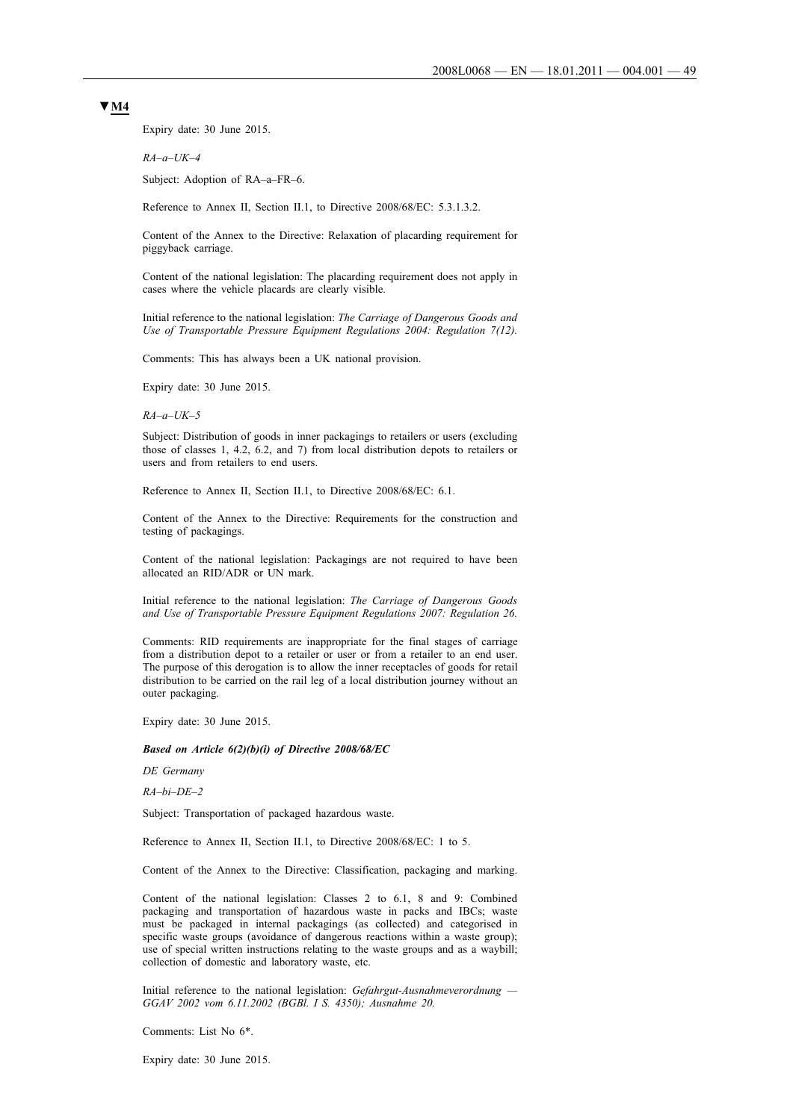Expiry date: 30 June 2015.

*RA–a–UK–4*

Subject: Adoption of RA–a–FR–6.

Reference to Annex II, Section II.1, to Directive 2008/68/EC: 5.3.1.3.2.

Content of the Annex to the Directive: Relaxation of placarding requirement for piggyback carriage.

Content of the national legislation: The placarding requirement does not apply in cases where the vehicle placards are clearly visible.

Initial reference to the national legislation: *The Carriage of Dangerous Goods and Use of Transportable Pressure Equipment Regulations 2004: Regulation 7(12).*

Comments: This has always been a UK national provision.

Expiry date: 30 June 2015.

*RA–a–UK–5*

Subject: Distribution of goods in inner packagings to retailers or users (excluding those of classes 1, 4.2, 6.2, and 7) from local distribution depots to retailers or users and from retailers to end users.

Reference to Annex II, Section II.1, to Directive 2008/68/EC: 6.1.

Content of the Annex to the Directive: Requirements for the construction and testing of packagings.

Content of the national legislation: Packagings are not required to have been allocated an RID/ADR or UN mark.

Initial reference to the national legislation: *The Carriage of Dangerous Goods and Use of Transportable Pressure Equipment Regulations 2007: Regulation 26.*

Comments: RID requirements are inappropriate for the final stages of carriage from a distribution depot to a retailer or user or from a retailer to an end user. The purpose of this derogation is to allow the inner receptacles of goods for retail distribution to be carried on the rail leg of a local distribution journey without an outer packaging.

Expiry date: 30 June 2015.

#### *Based on Article 6(2)(b)(i) of Directive 2008/68/EC*

*DE Germany*

*RA–bi–DE–2*

Subject: Transportation of packaged hazardous waste.

Reference to Annex II, Section II.1, to Directive 2008/68/EC: 1 to 5.

Content of the Annex to the Directive: Classification, packaging and marking.

Content of the national legislation: Classes 2 to 6.1, 8 and 9: Combined packaging and transportation of hazardous waste in packs and IBCs; waste must be packaged in internal packagings (as collected) and categorised in specific waste groups (avoidance of dangerous reactions within a waste group); use of special written instructions relating to the waste groups and as a waybill; collection of domestic and laboratory waste, etc.

Initial reference to the national legislation: *Gefahrgut-Ausnahmeverordnung — GGAV 2002 vom 6.11.2002 (BGBl. I S. 4350); Ausnahme 20.*

Comments: List No 6\*.

Expiry date: 30 June 2015.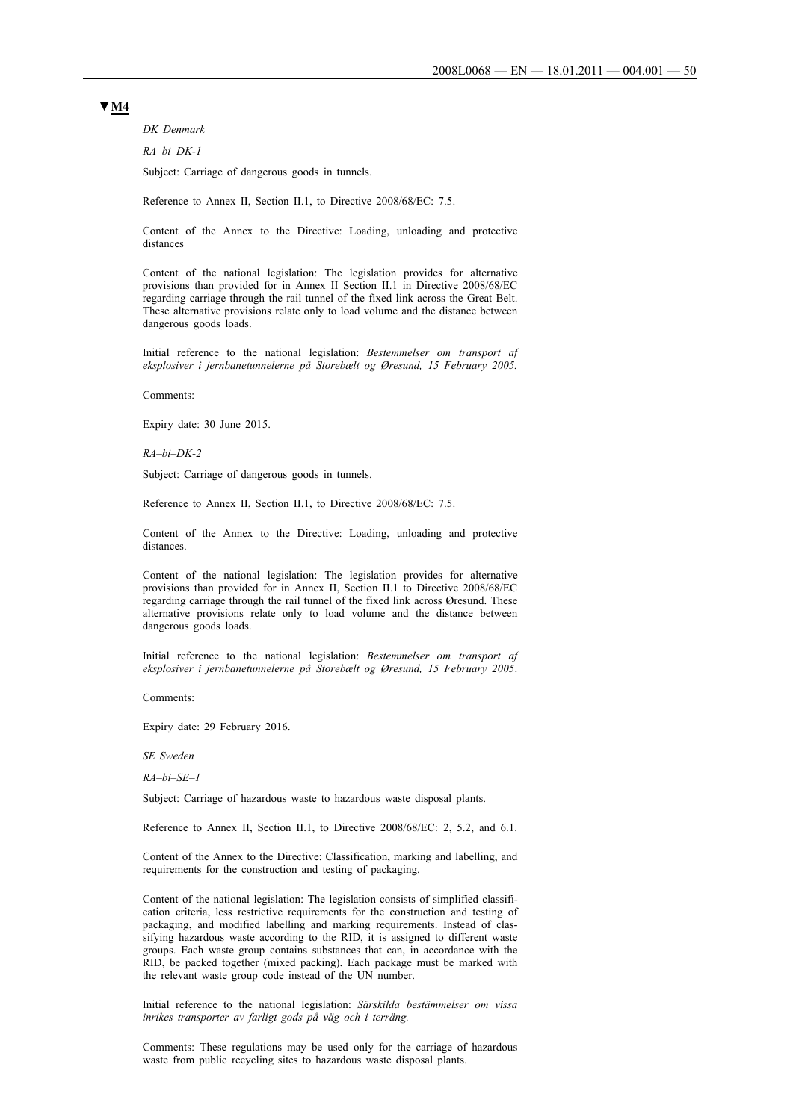*DK Denmark*

*RA–bi–DK-1*

Subject: Carriage of dangerous goods in tunnels.

Reference to Annex II, Section II.1, to Directive 2008/68/EC: 7.5.

Content of the Annex to the Directive: Loading, unloading and protective distances

Content of the national legislation: The legislation provides for alternative provisions than provided for in Annex II Section II.1 in Directive 2008/68/EC regarding carriage through the rail tunnel of the fixed link across the Great Belt. These alternative provisions relate only to load volume and the distance between dangerous goods loads.

Initial reference to the national legislation: *Bestemmelser om transport af eksplosiver i jernbanetunnelerne på Storebælt og Øresund, 15 February 2005.*

#### Comments:

Expiry date: 30 June 2015.

#### *RA–bi–DK-2*

Subject: Carriage of dangerous goods in tunnels.

Reference to Annex II, Section II.1, to Directive 2008/68/EC: 7.5.

Content of the Annex to the Directive: Loading, unloading and protective distances.

Content of the national legislation: The legislation provides for alternative provisions than provided for in Annex II, Section II.1 to Directive 2008/68/EC regarding carriage through the rail tunnel of the fixed link across Øresund. These alternative provisions relate only to load volume and the distance between dangerous goods loads.

Initial reference to the national legislation: *Bestemmelser om transport af eksplosiver i jernbanetunnelerne på Storebælt og Øresund, 15 February 2005*.

Comments:

Expiry date: 29 February 2016.

*SE Sweden*

*RA–bi–SE–1*

Subject: Carriage of hazardous waste to hazardous waste disposal plants.

Reference to Annex II, Section II.1, to Directive 2008/68/EC: 2, 5.2, and 6.1.

Content of the Annex to the Directive: Classification, marking and labelling, and requirements for the construction and testing of packaging.

Content of the national legislation: The legislation consists of simplified classification criteria, less restrictive requirements for the construction and testing of packaging, and modified labelling and marking requirements. Instead of classifying hazardous waste according to the RID, it is assigned to different waste groups. Each waste group contains substances that can, in accordance with the RID, be packed together (mixed packing). Each package must be marked with the relevant waste group code instead of the UN number.

Initial reference to the national legislation: *Särskilda bestämmelser om vissa inrikes transporter av farligt gods på väg och i terräng.*

Comments: These regulations may be used only for the carriage of hazardous waste from public recycling sites to hazardous waste disposal plants.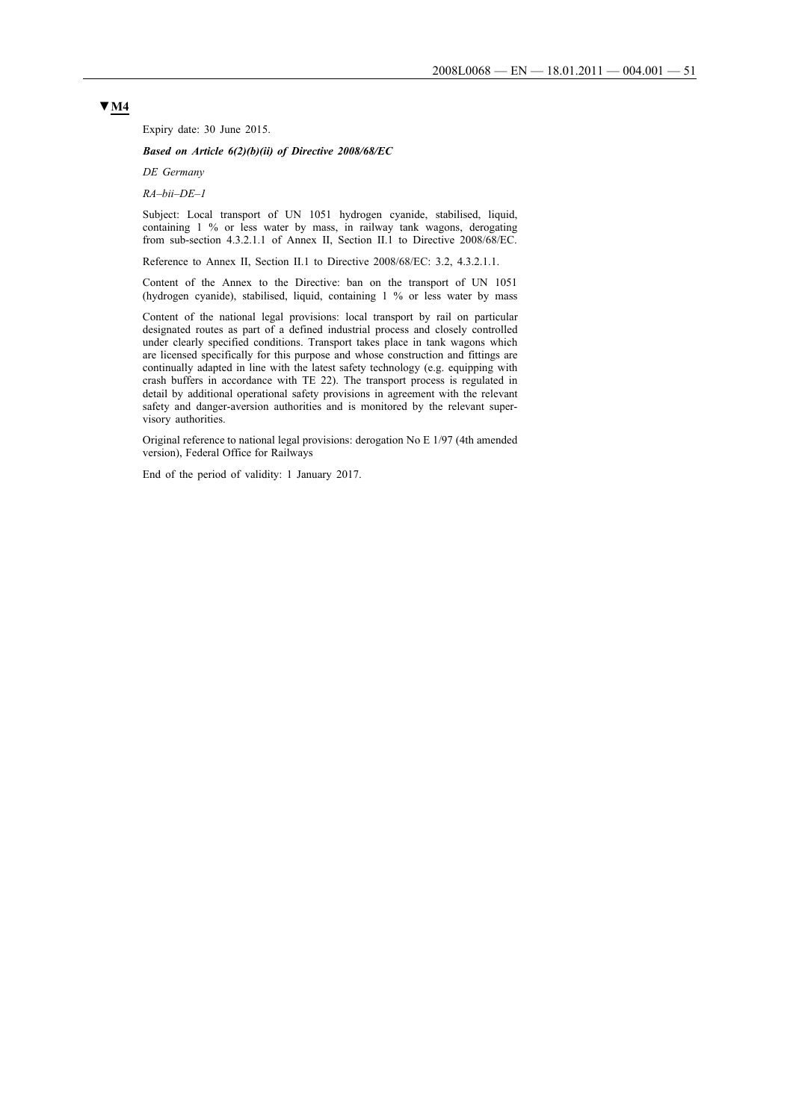Expiry date: 30 June 2015.

### *Based on Article 6(2)(b)(ii) of Directive 2008/68/EC*

*DE Germany*

*RA–bii–DE–1*

Subject: Local transport of UN 1051 hydrogen cyanide, stabilised, liquid, containing 1 % or less water by mass, in railway tank wagons, derogating from sub-section 4.3.2.1.1 of Annex II, Section II.1 to Directive 2008/68/EC.

Reference to Annex II, Section II.1 to Directive 2008/68/EC: 3.2, 4.3.2.1.1.

Content of the Annex to the Directive: ban on the transport of UN 1051 (hydrogen cyanide), stabilised, liquid, containing 1 % or less water by mass

Content of the national legal provisions: local transport by rail on particular designated routes as part of a defined industrial process and closely controlled under clearly specified conditions. Transport takes place in tank wagons which are licensed specifically for this purpose and whose construction and fittings are continually adapted in line with the latest safety technology (e.g. equipping with crash buffers in accordance with TE 22). The transport process is regulated in detail by additional operational safety provisions in agreement with the relevant safety and danger-aversion authorities and is monitored by the relevant supervisory authorities.

Original reference to national legal provisions: derogation No E 1/97 (4th amended version), Federal Office for Railways

End of the period of validity: 1 January 2017.